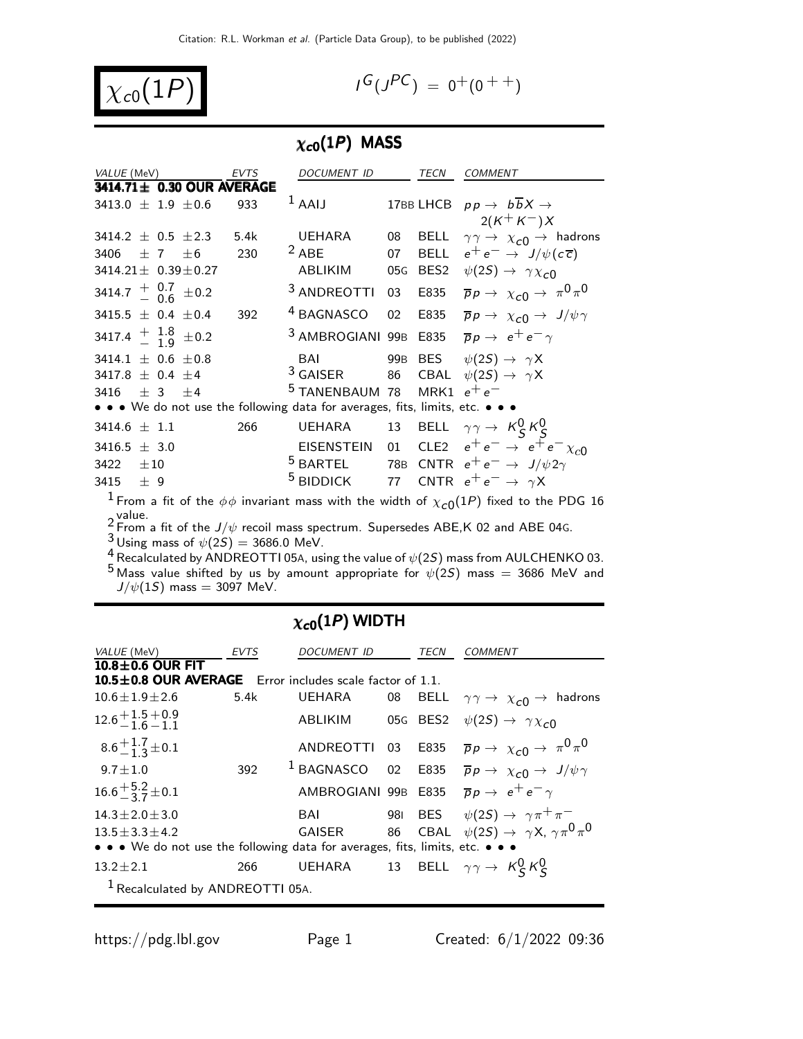$\chi_{c0}(1P)$ 

$$
I^G(J^{PC}) = 0^+(0^{++})
$$

## $\chi_{c0}(1P)$  MASS

| VALUE (MeV)                                      |                             | <b>EVTS</b> | DOCUMENT ID                                                                   |    | TECN | <b>COMMENT</b>                                                                                                    |
|--------------------------------------------------|-----------------------------|-------------|-------------------------------------------------------------------------------|----|------|-------------------------------------------------------------------------------------------------------------------|
|                                                  | 3414.71± 0.30 OUR AVERAGE   |             |                                                                               |    |      |                                                                                                                   |
| 3413.0 $\pm$ 1.9 $\pm$ 0.6                       |                             | 933         | $1$ AAIJ                                                                      |    |      | 17BB LHCB $pp \rightarrow b\overline{b}X \rightarrow$                                                             |
|                                                  |                             |             |                                                                               |    |      | $2(K^+K^-)X$                                                                                                      |
| 3414.2 $\pm$ 0.5 $\pm$ 2.3                       |                             | 5.4k        |                                                                               |    |      | UEHARA 08 BELL $\gamma \gamma \rightarrow \chi_{c0} \rightarrow$ hadrons                                          |
| 3406                                             | $\pm$ 7 $\pm$ 6             | 230         | $2$ ABE                                                                       | 07 |      | BELL $e^+e^- \rightarrow J/\psi(c\overline{c})$                                                                   |
|                                                  | $3414.21 \pm 0.39 \pm 0.27$ |             | ABLIKIM                                                                       |    |      | 05G BES2 $\psi(2S) \rightarrow \gamma \chi_{c0}$                                                                  |
| 3414.7 $\frac{+}{-}$ 0.7 $\pm$ 0.2               |                             |             | <sup>3</sup> ANDREOTTI                                                        | 03 | E835 | $\overline{p}p \rightarrow \chi_{c0} \rightarrow \pi^0 \pi^0$                                                     |
| 3415.5 $\pm$ 0.4 $\pm$ 0.4                       |                             | 392         | <sup>4</sup> BAGNASCO                                                         | 02 | E835 | $\overline{p}p \rightarrow \chi_{c0} \rightarrow J/\psi \gamma$                                                   |
| 3417.4 $\frac{+}{-}$ $\frac{1.8}{1.9}$ $\pm$ 0.2 |                             |             | <sup>3</sup> AMBROGIANI 99B E835 $\overline{p}p \rightarrow e^+e^- \gamma$    |    |      |                                                                                                                   |
| 3414.1 $\pm$ 0.6 $\pm$ 0.8                       |                             |             | BAI                                                                           |    |      | 99B BES $\psi(2S) \rightarrow \gamma X$                                                                           |
| 3417.8 $\pm$ 0.4 $\pm$ 4                         |                             |             | <sup>3</sup> GAISER 86 CBAL $\psi(2S) \rightarrow \gamma X$                   |    |      |                                                                                                                   |
| 3416 $\pm$ 3 $\pm$ 4                             |                             |             | <sup>5</sup> TANENBAUM 78 MRK1 $e^+e^-$                                       |    |      |                                                                                                                   |
|                                                  |                             |             | • • • We do not use the following data for averages, fits, limits, etc. • • • |    |      |                                                                                                                   |
| 3414.6 $\pm$ 1.1                                 |                             | 266         | UEHARA                                                                        |    |      | 13 BELL $\gamma \gamma \rightarrow K_S^0 K_S^0$                                                                   |
| 3416.5 $\pm$ 3.0                                 |                             |             |                                                                               |    |      | EISENSTEIN 01 CLE2 $e^+e^- \rightarrow e^+e^- \chi_{c0}$                                                          |
| 3422 $\pm 10$                                    |                             |             |                                                                               |    |      | <sup>5</sup> BARTEL 78B CNTR $e^+e^- \rightarrow J/\psi 2\gamma$                                                  |
| 3415 $\pm$ 9                                     |                             |             | <sup>5</sup> BIDDICK 77 CNTR $e^+e^- \rightarrow \gamma X$                    |    |      |                                                                                                                   |
|                                                  |                             |             |                                                                               |    |      | $^1$ From a fit of the $\phi\phi$ invariant mass with the width of $\chi_{\mathcal{C} 0}(1P)$ fixed to the PDG 16 |
| $\sim$ value.                                    |                             |             |                                                                               |    |      |                                                                                                                   |

 $2$  value.<br><sup>2</sup> From a fit of the J/ $\psi$  recoil mass spectrum. Supersedes ABE,K 02 and ABE 04G.

 $^3$ Using mass of  $\psi(2S)=3686.0$  MeV.

 $\frac{4}{1}$  Recalculated by ANDREOTTI 05A, using the value of  $\psi(2S)$  mass from AULCHENKO 03.  $^5$  Mass value shifted by us by amount appropriate for  $\psi(2S)$  mass  $=$  3686 MeV and  $J/\psi(1S)$  mass = 3097 MeV.

#### $\chi_{c0}(1P)$  WIDTH

| VALUE (MeV)                                                                   | EVTS | DOCUMENT ID |  | TECN     | <i>COMMENT</i>                                                                                |  |  |  |  |
|-------------------------------------------------------------------------------|------|-------------|--|----------|-----------------------------------------------------------------------------------------------|--|--|--|--|
| $10.8 \pm 0.6$ OUR FIT                                                        |      |             |  |          |                                                                                               |  |  |  |  |
| <b>10.5 ± 0.8 OUR AVERAGE</b> Error includes scale factor of $1.1$ .          |      |             |  |          |                                                                                               |  |  |  |  |
| $10.6 + 1.9 + 2.6$                                                            | 5.4k | UEHARA      |  |          | 08 BELL $\gamma\gamma \rightarrow \chi_{c0} \rightarrow$ hadrons                              |  |  |  |  |
| $12.6 + 1.5 + 0.9$<br>$-1.6 - 1.1$                                            |      | ABLIKIM     |  | 05G BES2 | $\psi(2S) \rightarrow \gamma \chi_{c0}$                                                       |  |  |  |  |
| $8.6 + 1.7 \pm 0.1$                                                           |      | ANDREOTTI   |  | 03 E835  | $\overline{p}p \rightarrow \chi_{c0} \rightarrow \pi^0 \pi^0$                                 |  |  |  |  |
| $9.7 \pm 1.0$                                                                 | 392  |             |  |          | <sup>1</sup> BAGNASCO 02 E835 $\overline{p}p \rightarrow \chi_{c0} \rightarrow J/\psi \gamma$ |  |  |  |  |
| $16.6 + \frac{5.2}{3} \pm 0.1$                                                |      |             |  |          | AMBROGIANI 99B E835 $\overline{p}p \rightarrow e^+e^- \gamma$                                 |  |  |  |  |
| $14.3 \pm 2.0 \pm 3.0$                                                        |      | BAI         |  |          | 981 BES $\psi(2S) \rightarrow \gamma \pi^+ \pi^-$                                             |  |  |  |  |
| $13.5 + 3.3 + 4.2$                                                            |      |             |  |          | GAISER 66 CBAL $\psi(2S) \rightarrow \gamma X, \gamma \pi^0 \pi^0$                            |  |  |  |  |
| • • • We do not use the following data for averages, fits, limits, etc. • • • |      |             |  |          |                                                                                               |  |  |  |  |
| $13.2 \pm 2.1$                                                                | 266  |             |  |          | UEHARA 13 BELL $\gamma \gamma \rightarrow K_S^0 K_S^0$                                        |  |  |  |  |
| <sup>1</sup> Recalculated by ANDREOTTI 05A.                                   |      |             |  |          |                                                                                               |  |  |  |  |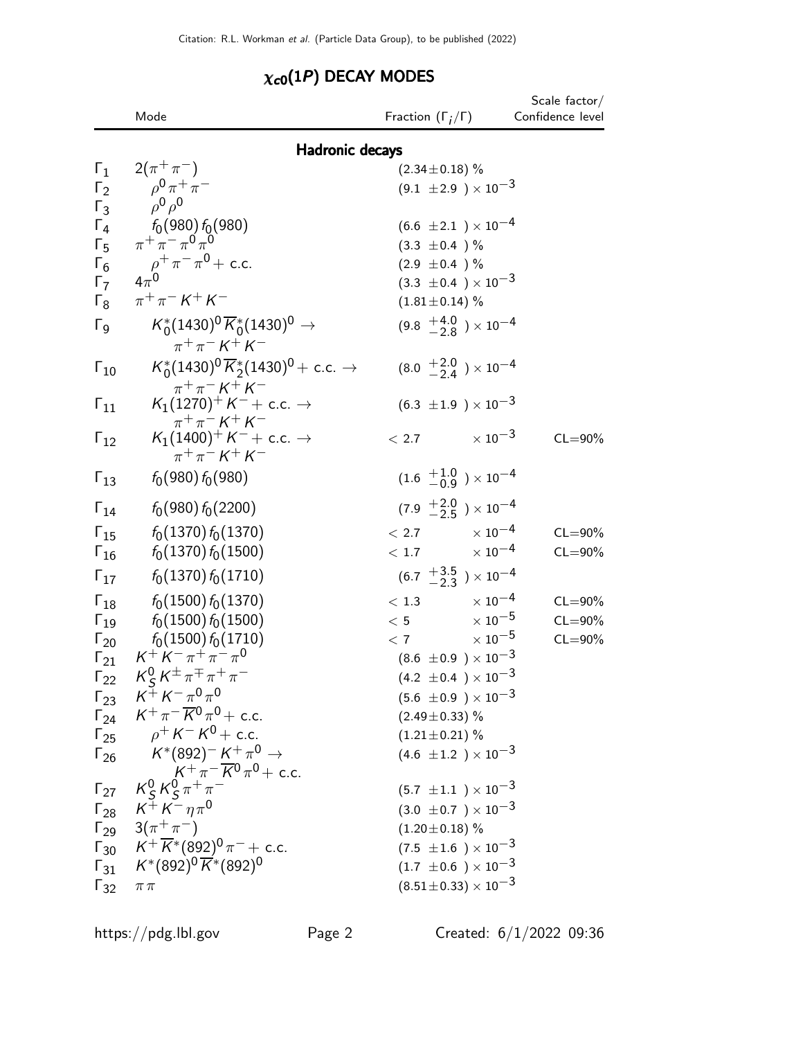## $\chi_{c0}(1P)$  DECAY MODES

|                       | Mode                                                                                           | Fraction $(\Gamma_i/\Gamma)$              | Scale factor $/$<br>Confidence level |
|-----------------------|------------------------------------------------------------------------------------------------|-------------------------------------------|--------------------------------------|
|                       | <b>Hadronic decays</b>                                                                         |                                           |                                      |
| $\Gamma_1$            | $2(\pi^{+}\pi^{-})$                                                                            | $(2.34 \pm 0.18)$ %                       |                                      |
| $\Gamma_2$            | $\rho^{0} \pi^{+} \pi^{-}$                                                                     | $(9.1 \pm 2.9) \times 10^{-3}$            |                                      |
| $\Gamma_3$            | $\rho^0 \rho^0$                                                                                |                                           |                                      |
| $\Gamma_4$            | $f_0(980) f_0(980)$                                                                            | $(6.6 \pm 2.1) \times 10^{-4}$            |                                      |
| $\Gamma_5$            | $\pi^+ \pi^- \pi^0 \pi^0$                                                                      | $(3.3 \pm 0.4) \%$                        |                                      |
| $\Gamma_6$            | $\rho^+\pi^-\pi^0+$ c.c.                                                                       | $(2.9 \pm 0.4)$ %                         |                                      |
| $\Gamma_7$            | $4\pi^0$                                                                                       | $(3.3 \pm 0.4) \times 10^{-3}$            |                                      |
| $\Gamma_8$            | $\pi^{+}\pi^{-} K^{+} K^{-}$                                                                   | $(1.81 \pm 0.14)$ %                       |                                      |
| $\Gamma_{\mathsf{Q}}$ | $K_0^*(1430)^0 \overline{K}_0^*(1430)^0 \to$<br>$\pi^{+}\pi^{-}$ K <sup>+</sup> K <sup>-</sup> | $(9.8 \tfrac{+4.0}{-2.8}) \times 10^{-4}$ |                                      |
| $\Gamma_{10}$         | $K_0^*(1430)^0 \overline{K}_2^*(1430)^0$ + c.c. $\rightarrow$<br>$\pi^{+}\pi^{-}K^{+}K^{-}$    | $(8.0 \tfrac{+2.0}{-2.4}) \times 10^{-4}$ |                                      |
| $\Gamma_{11}$         | $K_1(1270)^+ K^- +$ c.c. $\rightarrow$<br>$\pi^{+}\pi^{-} K^{+} K^{-}$                         | $(6.3 \pm 1.9) \times 10^{-3}$            |                                      |
| $\Gamma_{12}$         | $K_1(1400)^+ K^- +$ c.c. $\rightarrow$<br>$\pi^{+}\pi^{-}$ K <sup>+</sup> K <sup>-</sup>       | $\times$ 10 $^{-3}$<br>$<$ 2.7            | $CL = 90\%$                          |
| $\Gamma_{13}$         | $f_0(980) f_0(980)$                                                                            | $(1.6 \tfrac{+1.0}{-0.9}) \times 10^{-4}$ |                                      |
| $\Gamma_{14}$         | $f_0(980) f_0(2200)$                                                                           | $(7.9 \tfrac{+2.0}{-2.5}) \times 10^{-4}$ |                                      |
| $\Gamma_{15}$         | $f_0(1370) f_0(1370)$                                                                          | $< 2.7$ $\times 10^{-4}$                  | $CL = 90\%$                          |
| $\Gamma_{16}$         | $f_0(1370) f_0(1500)$                                                                          | $< 1.7$ $\times 10^{-4}$                  | $CL = 90\%$                          |
| $\Gamma_{17}$         | $f_0(1370) f_0(1710)$                                                                          | $(6.7 \frac{+3.5}{-2.3}) \times 10^{-4}$  |                                      |
| $\Gamma_{18}$         | $f_0(1500) f_0(1370)$                                                                          | $< 1.3$ $\times 10^{-4}$                  | $CL = 90\%$                          |
|                       | $\Gamma_{19}$ $f_0(1500) f_0(1500)$                                                            | $< 5$ $\times 10^{-5}$                    | $CL = 90\%$                          |
| $\Gamma_{20}$         | $f_0(1500) f_0(1710)$                                                                          | $< 7$ $\times 10^{-5}$                    | $CL = 90\%$                          |
| $\Gamma_{21}$         | $K^+ K^- \pi^+ \pi^- \pi^0$                                                                    | $(8.6 \pm 0.9) \times 10^{-3}$            |                                      |
|                       | $\Gamma_{22}$ $K_S^0 K^{\pm} \pi^{\mp} \pi^+ \pi^-$                                            | $(4.2 \pm 0.4) \times 10^{-3}$            |                                      |
|                       | $\Gamma_{23}$ $K^+ K^- \pi^0 \pi^0$                                                            | $(5.6 \pm 0.9) \times 10^{-3}$            |                                      |
|                       | $\Gamma_{24}$ $K^+\pi^-\overline{K}{}^0\pi^0$ + c.c.                                           | $(2.49 \pm 0.33)$ %                       |                                      |
|                       | $\Gamma_{25}$ $\rho^+ K^- K^0 + c.c.$                                                          | $(1.21 \pm 0.21)$ %                       |                                      |
|                       | $\Gamma_{26}$ $K^*(892)^{-} K^{+} \pi^0 \rightarrow$<br>$K^+\pi^-\overline{K^0}\pi^0 +$ c.c.   | $(4.6 \pm 1.2) \times 10^{-3}$            |                                      |
|                       | $\Gamma_{27}$ $K_S^0 K_S^0 \pi^+ \pi^-$                                                        | $(5.7 \pm 1.1) \times 10^{-3}$            |                                      |
|                       | $\Gamma_{28}$ $K^+ K^- \eta \pi^0$                                                             | $(3.0 \pm 0.7) \times 10^{-3}$            |                                      |
|                       | $\Gamma_{29}$ 3( $\pi^{+}\pi^{-}$ )                                                            | $(1.20 \pm 0.18)$ %                       |                                      |
|                       | $\Gamma_{30}$ $K^+\overline{K}{}^*(892)^0 \pi^-$ + c.c.                                        | $(7.5 \pm 1.6) \times 10^{-3}$            |                                      |
|                       | $\Gamma_{31}$ $K^*(892)^0 \overline{K}^*(892)^0$                                               | $(1.7 \pm 0.6) \times 10^{-3}$            |                                      |
| $\Gamma_{32}$         | $\pi\pi$                                                                                       | $(8.51\!\pm\!0.33)\times10^{-3}$          |                                      |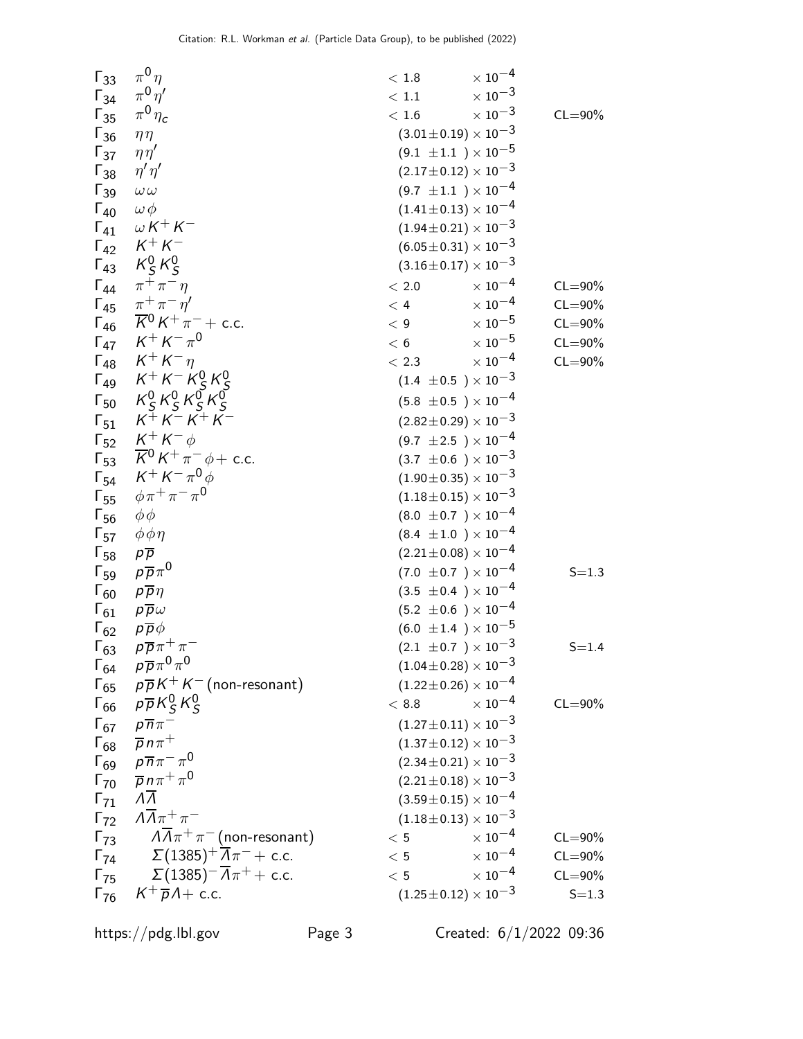| $\Gamma_{33}$          | $\pi^0\eta$                                                   | $\times$ 10 <sup>-4</sup><br>$<\,1.8$ |             |
|------------------------|---------------------------------------------------------------|---------------------------------------|-------------|
| $\Gamma_{34}$          | $\pi^0\eta'$                                                  | $\times$ 10 <sup>-3</sup><br>< 1.1    |             |
| $\Gamma_{35}$          | $\pi^0\eta_c$                                                 | $\times$ 10 <sup>-3</sup><br>< 1.6    | $CL = 90\%$ |
| $\Gamma_{36}$          | $\eta\eta$                                                    | $(3.01 \pm 0.19) \times 10^{-3}$      |             |
| $\Gamma_{37}$          | $\eta\eta'$                                                   | $(9.1 \pm 1.1) \times 10^{-5}$        |             |
| $\Gamma_{38}$          | $\eta' \eta'$                                                 | $(2.17\pm0.12)\times10^{-3}$          |             |
| $\Gamma_{39}$          | $\omega \, \omega$                                            | $(9.7 \pm 1.1) \times 10^{-4}$        |             |
| $\Gamma_{40}$          | $\omega \phi$                                                 | $(1.41 \pm 0.13) \times 10^{-4}$      |             |
| $\Gamma_{41}$          | $\omega K^+ K^-$                                              | $(1.94 \pm 0.21) \times 10^{-3}$      |             |
| $\Gamma_{42}$          | $K^+ K^-$                                                     | $(6.05 \pm 0.31) \times 10^{-3}$      |             |
| $\Gamma_{43}$          | $K_S^0 K_S^0$                                                 | $(3.16\pm0.17)\times10^{-3}$          |             |
|                        | $\Gamma_{44}$ $\pi^{+}\pi^{-}\eta$                            | $\times$ 10 <sup>-4</sup><br>$<\,2.0$ | $CL = 90\%$ |
|                        | $\Gamma_{45}$ $\pi^{+}\pi^{-}\eta'$                           | $\times$ 10 <sup>-4</sup><br>< 4      | $CL = 90\%$ |
| $\Gamma_{46}$          | $\sqrt{16} K^{0} K^{+} \pi^{-}$ + c.c.                        | $\times$ 10 <sup>-5</sup><br>< 9      | $CL = 90\%$ |
| $\Gamma_{47}$          | $K^+ K^- \pi^0$                                               | $\times$ 10 <sup>-5</sup><br>< 6      | $CL = 90\%$ |
| $\mathsf{\Gamma}_{48}$ | $K^+ K^- \eta$                                                | $\times$ 10 <sup>-4</sup><br>< 2.3    | $CL = 90\%$ |
|                        | $\Gamma_{49}$ $K^+ K^- K^0_S K^0_S$                           | $(1.4 \pm 0.5) \times 10^{-3}$        |             |
|                        | $K_S^0 K_S^0 K_S^0 K_S^0$                                     |                                       |             |
| $\Gamma_{50}$          | $K^{+}K^{-}K^{+}K^{-}$                                        | $(5.8 \pm 0.5) \times 10^{-4}$        |             |
| $\Gamma_{51}$          |                                                               | $(2.82 \pm 0.29) \times 10^{-3}$      |             |
| $\Gamma_{52}$          | $K^+ K^- \phi$                                                | $(9.7 \pm 2.5) \times 10^{-4}$        |             |
|                        | $\Gamma_{53}$ $\overline{K}^0 K^+ \pi^- \phi + \text{c.c.}$   | $(3.7 \pm 0.6) \times 10^{-3}$        |             |
|                        | $\Gamma_{54}$ $K^+ K^- \pi^0 \phi$                            | $(1.90 \pm 0.35) \times 10^{-3}$      |             |
| $\Gamma_{55}$          | $\phi \pi^+ \pi^- \pi^0$                                      | $(1.18\pm0.15)\times10^{-3}$          |             |
| $\Gamma_{56}$          | $\phi\phi$                                                    | $(8.0 \pm 0.7) \times 10^{-4}$        |             |
| $\Gamma_{57}$          | $\phi \phi \eta$                                              | $(8.4 \pm 1.0) \times 10^{-4}$        |             |
| $\Gamma_{58}$          | $p\overline{p}$                                               | $(2.21 \pm 0.08) \times 10^{-4}$      |             |
| $\Gamma_{59}$          | $p\overline{p}\pi^0$                                          | $(7.0 \pm 0.7) \times 10^{-4}$        | $S = 1.3$   |
| $\Gamma_{60}$          | $p\overline{p}\eta$                                           | $(3.5 \pm 0.4) \times 10^{-4}$        |             |
| $\Gamma_{61}$          | $p\overline{p}\omega$                                         | $(5.2 \pm 0.6) \times 10^{-4}$        |             |
| $\Gamma_{62}$          | $p\overline{p}\phi$                                           | $(6.0 \pm 1.4) \times 10^{-5}$        |             |
| $\Gamma_{63}$          | $p\overline{p}\pi^+\pi^-$                                     | $(2.1 \pm 0.7) \times 10^{-3}$        | $S = 1.4$   |
| $\Gamma_{64}$          | $p\overline{p}\pi^0\pi^0$                                     | $(1.04\pm0.28)\times10^{-3}$          |             |
| $\Gamma_{65}$          | $p\overline{p}K^+K^-$ (non-resonant)                          | $(1.22 \pm 0.26) \times 10^{-4}$      |             |
| $\Gamma_{66}$          | $p\overline{p}K_S^0K_S^0$                                     | $\times$ 10 <sup>-4</sup><br>$<\,8.8$ | $CL = 90\%$ |
| $\Gamma_{67}$          | $p\overline{n}\pi^-$                                          | $(1.27 \pm 0.11) \times 10^{-3}$      |             |
| $\Gamma_{68}$          | $\overline{p}n\pi^+$                                          | $(1.37 \pm 0.12) \times 10^{-3}$      |             |
| $\Gamma_{69}$          | $\rho \overline{n} \pi^- \pi^0$                               | $(2.34 \pm 0.21) \times 10^{-3}$      |             |
| $\Gamma_{70}$          | $\overline{p} n \pi^+ \pi^0$                                  | $(2.21 \pm 0.18) \times 10^{-3}$      |             |
| $\Gamma_{71}$          | $\Lambda \overline{\Lambda}$                                  | $(3.59\pm0.15)\times10^{-4}$          |             |
| $\Gamma_{72}$          | $\Lambda \overline{\Lambda} \pi^+ \pi^-$                      | $(1.18\pm0.13)\times10^{-3}$          |             |
| $\Gamma_{73}$          | $\Lambda \overline{\Lambda} \pi^+ \pi^-$ (non-resonant)       | $\times$ 10 <sup>-4</sup><br>$\,<\,5$ | $CL = 90\%$ |
|                        | $\Gamma_{74}$ $\Sigma (1385)^{+} \overline{A} \pi^{-}$ + c.c. | $\times$ $10^{-4}$<br>< 5             | $CL = 90\%$ |
| $\Gamma_{75}$          | $\Sigma(1385)^{-}\overline{A}\pi^{+}+$ c.c.                   | $\times$ 10 <sup>-4</sup><br>< 5      | $CL = 90\%$ |
| $\Gamma_{76}$          | $K^+\overline{p}A+$ c.c.                                      | $(1.25 \pm 0.12) \times 10^{-3}$      | $S = 1.3$   |
|                        |                                                               |                                       |             |

https://pdg.lbl.gov Page 3 Created: 6/1/2022 09:36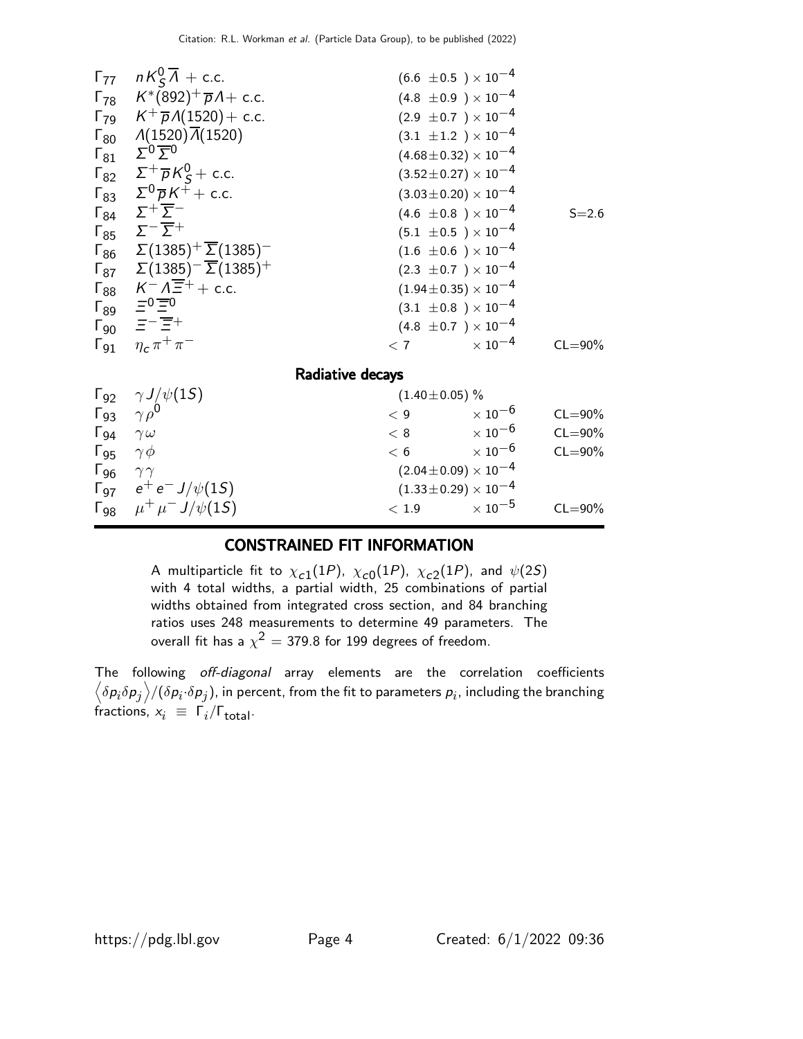| $\Gamma_{77}$                 | $nK_S^0\overline{\Lambda}$ + c.c.                              | $(6.6 \pm 0.5) \times 10^{-4}$   |             |
|-------------------------------|----------------------------------------------------------------|----------------------------------|-------------|
|                               | $\Gamma_{78}$ $K^*(892)^+\overline{p}A + \text{c.c.}$          | $(4.8 \pm 0.9) \times 10^{-4}$   |             |
|                               | $\Gamma_{79}$ $K^{+} \overline{p} A(1520) + c.c.$              | $(2.9 \pm 0.7) \times 10^{-4}$   |             |
|                               | $\Gamma_{80}$ $\Lambda(1520)\overline{\Lambda}(1520)$          | $(3.1 \pm 1.2) \times 10^{-4}$   |             |
| $\mathsf{\Gamma}_{81}$        | $\Sigma_0 \underline{\Sigma}_0$                                | $(4.68 \pm 0.32) \times 10^{-4}$ |             |
|                               | $\Gamma_{82}$ $\Sigma^{+} \overline{p} K_{S}^{0} + c.c.$       | $(3.52 \pm 0.27) \times 10^{-4}$ |             |
|                               | $\Gamma_{83}$ $\Sigma^0 \overline{p} K^{\tilde{+}} + c.c.$     | $(3.03 \pm 0.20) \times 10^{-4}$ |             |
|                               | $\Gamma_{84}$ $\Sigma^+\overline{\Sigma}^-$                    | $(4.6 \pm 0.8) \times 10^{-4}$   | $S = 2.6$   |
|                               | $\Gamma_{85}$ $\Sigma^{-}\overline{\Sigma}^{+}$                | $(5.1 \pm 0.5) \times 10^{-4}$   |             |
|                               | $\Gamma_{86}$ $\Sigma(1385)^{+} \overline{\Sigma}(1385)^{-}$   | $(1.6 \pm 0.6) \times 10^{-4}$   |             |
|                               | $\Gamma_{87}$ $\Sigma(1385)^{-}$ $\overline{\Sigma}(1385)^{+}$ | $(2.3 \pm 0.7) \times 10^{-4}$   |             |
|                               | $\Gamma_{88}$ $K^- \Lambda \overline{\Xi}^+$ + c.c.            | $(1.94 \pm 0.35) \times 10^{-4}$ |             |
|                               | $\Gamma_{89}$ $\equiv$ <sup>0</sup> $\equiv$ <sup>0</sup>      | $(3.1 \pm 0.8) \times 10^{-4}$   |             |
|                               | $\Gamma_{90}$ $\equiv -\overline{\Xi}^{+}$                     | $(4.8 \pm 0.7) \times 10^{-4}$   |             |
|                               | $\Gamma_{91}$ – $\eta_c\,\pi^+\,\pi^-$                         | $< 7$ $\times 10^{-4}$           | $CL = 90\%$ |
|                               |                                                                | Radiative decays                 |             |
|                               | $\Gamma_{92}$ $\gamma J/\psi(15)$                              | $(1.40 \pm 0.05)$ %              |             |
|                               | $\Gamma_{93}$ $\gamma \rho^0$                                  | $\times$ 10 <sup>-6</sup><br>< 9 | $CL = 90\%$ |
| $\Gamma_{94}$ $\gamma \omega$ |                                                                | $\times$ 10 $^{-6}$<br>< 8       | $CL = 90\%$ |
| $\Gamma_{95}$ $\gamma \phi$   |                                                                | $\times$ 10 <sup>-6</sup><br>< 6 | $CL = 90\%$ |
| $\Gamma_{96}$ $\gamma\gamma$  |                                                                | $(2.04\pm0.09)\times10^{-4}$     |             |
|                               | $\Gamma_{97}$ $e^+e^- J/\psi(15)$                              | $(1.33 \pm 0.29) \times 10^{-4}$ |             |
|                               | $\Gamma_{98}$ $\mu^+ \mu^- J/\psi(15)$                         | $\times$ 10 $^{-5}$<br>< 1.9     | $CL = 90\%$ |

#### CONSTRAINED FIT INFORMATION

A multiparticle fit to  $\chi_{c1}(1P)$ ,  $\chi_{c0}(1P)$ ,  $\chi_{c2}(1P)$ , and  $\psi(2S)$ with 4 total widths, a partial width, 25 combinations of partial widths obtained from integrated cross section, and 84 branching ratios uses 248 measurements to determine 49 parameters. The overall fit has a  $\chi^2 =$  379.8 for 199 degrees of freedom.

The following off-diagonal array elements are the correlation coefficients  $\left<\delta p_i\delta p_j\right>$ /( $\delta p_i\!\cdot\!\delta p_j$ ), in percent, from the fit to parameters  $p_i$ , including the branching fractions,  $x_i \equiv \Gamma_i / \Gamma_{\text{total}}$ .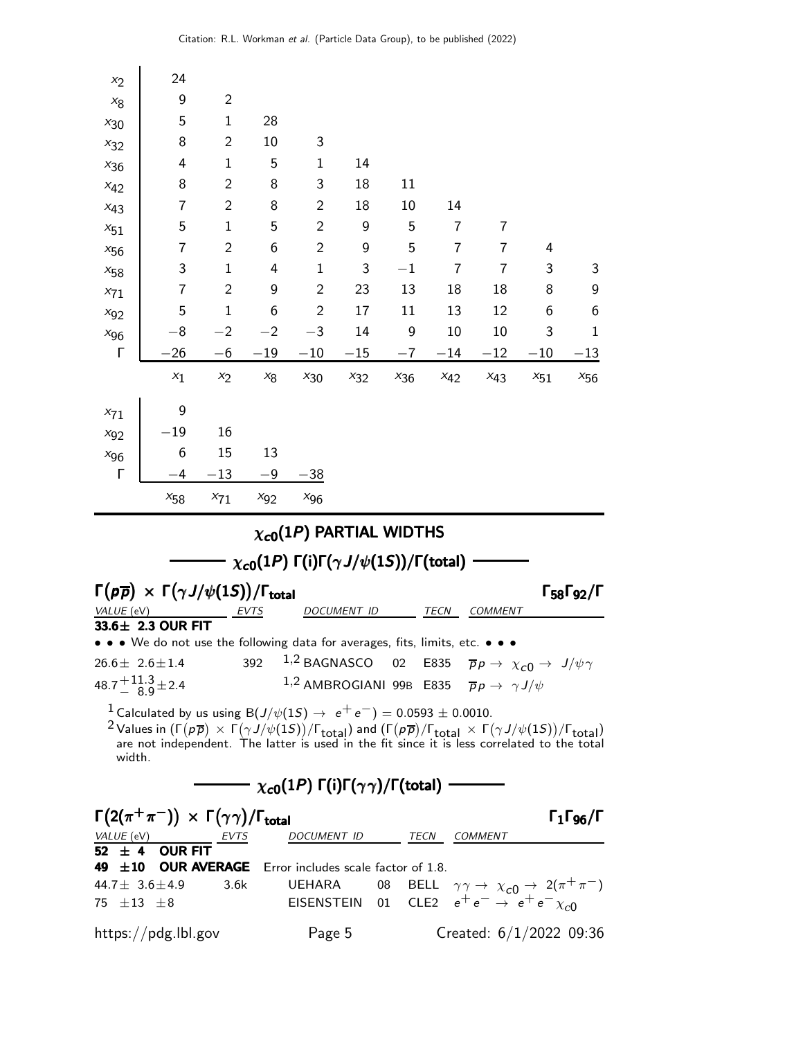| $x_2$               | 24                                                                                                                                                                                                                                                                                                                                                                                          |                |          |                |                                                                                                      |          |          |                |                                                                      |                                                         |  |  |
|---------------------|---------------------------------------------------------------------------------------------------------------------------------------------------------------------------------------------------------------------------------------------------------------------------------------------------------------------------------------------------------------------------------------------|----------------|----------|----------------|------------------------------------------------------------------------------------------------------|----------|----------|----------------|----------------------------------------------------------------------|---------------------------------------------------------|--|--|
| $x_8$               | 9                                                                                                                                                                                                                                                                                                                                                                                           | $\overline{2}$ |          |                |                                                                                                      |          |          |                |                                                                      |                                                         |  |  |
| $x_{30}$            | 5                                                                                                                                                                                                                                                                                                                                                                                           | $\mathbf{1}$   | 28       |                |                                                                                                      |          |          |                |                                                                      |                                                         |  |  |
| $x_{32}$            | 8                                                                                                                                                                                                                                                                                                                                                                                           | $\overline{2}$ | 10       | 3              |                                                                                                      |          |          |                |                                                                      |                                                         |  |  |
| $x_{36}$            | 4                                                                                                                                                                                                                                                                                                                                                                                           | $\mathbf{1}$   | 5        | $\mathbf{1}$   | 14                                                                                                   |          |          |                |                                                                      |                                                         |  |  |
| $x_{42}$            | 8                                                                                                                                                                                                                                                                                                                                                                                           | $\overline{2}$ | 8        | 3              | 18                                                                                                   | 11       |          |                |                                                                      |                                                         |  |  |
| $x_{43}$            | 7                                                                                                                                                                                                                                                                                                                                                                                           | $\overline{2}$ | 8        | $\overline{2}$ | 18                                                                                                   | 10       | 14       |                |                                                                      |                                                         |  |  |
| $x_{51}$            | 5                                                                                                                                                                                                                                                                                                                                                                                           | $\mathbf{1}$   | 5        | $\overline{2}$ | 9                                                                                                    | 5        | 7        | 7              |                                                                      |                                                         |  |  |
| $x_{56}$            | 7                                                                                                                                                                                                                                                                                                                                                                                           | $\overline{2}$ | 6        | $\overline{2}$ | 9                                                                                                    | 5        | 7        | 7              | 4                                                                    |                                                         |  |  |
| $x_{58}$            | 3                                                                                                                                                                                                                                                                                                                                                                                           | $\mathbf{1}$   | 4        | $\mathbf{1}$   | 3                                                                                                    | $-1$     | 7        | 7              | 3                                                                    | 3                                                       |  |  |
| $x_{71}$            | 7                                                                                                                                                                                                                                                                                                                                                                                           | $\overline{2}$ | 9        | $\overline{2}$ | 23                                                                                                   | 13       | 18       | 18             | 8                                                                    | 9                                                       |  |  |
| $x_{92}$            | 5                                                                                                                                                                                                                                                                                                                                                                                           | $\mathbf{1}$   | 6        | $\overline{2}$ | 17                                                                                                   | 11       | 13       | 12             | 6                                                                    | $\boldsymbol{6}$                                        |  |  |
| $x_{96}$            | $-8$                                                                                                                                                                                                                                                                                                                                                                                        | $-2$           | $-2$     | $-3$           | 14                                                                                                   | 9        | 10       | 10             | 3                                                                    | 1                                                       |  |  |
| Г                   | 26                                                                                                                                                                                                                                                                                                                                                                                          | $-6$           | $-19$    | $-10$          | $-15$                                                                                                | $^{-7}$  | -14      | $^{-12}$       | $-10$                                                                | $^{-13}$                                                |  |  |
|                     | $x_1$                                                                                                                                                                                                                                                                                                                                                                                       | $x_2$          | $x_8$    | $x_{30}$       | $x_{32}$                                                                                             | $x_{36}$ | $x_{42}$ | $x_{43}$       | $x_{51}$                                                             | $x_{56}$                                                |  |  |
| $x_{71}$            | 9                                                                                                                                                                                                                                                                                                                                                                                           |                |          |                |                                                                                                      |          |          |                |                                                                      |                                                         |  |  |
| $x_{92}$            | $-19$                                                                                                                                                                                                                                                                                                                                                                                       | 16             |          |                |                                                                                                      |          |          |                |                                                                      |                                                         |  |  |
| $x_{96}$            | 6                                                                                                                                                                                                                                                                                                                                                                                           | 15             | 13       |                |                                                                                                      |          |          |                |                                                                      |                                                         |  |  |
| Г                   | -4                                                                                                                                                                                                                                                                                                                                                                                          | $-13$          | $-9$     | $-38$          |                                                                                                      |          |          |                |                                                                      |                                                         |  |  |
|                     | $x_{58}$                                                                                                                                                                                                                                                                                                                                                                                    | $x_{71}$       | $x_{92}$ | $x_{96}$       |                                                                                                      |          |          |                |                                                                      |                                                         |  |  |
|                     | $\chi_{c0}(1P)$ PARTIAL WIDTHS                                                                                                                                                                                                                                                                                                                                                              |                |          |                |                                                                                                      |          |          |                |                                                                      |                                                         |  |  |
|                     |                                                                                                                                                                                                                                                                                                                                                                                             |                |          |                |                                                                                                      |          |          |                |                                                                      |                                                         |  |  |
|                     |                                                                                                                                                                                                                                                                                                                                                                                             |                |          |                | $\chi_{c0}(1P)$ Γ(i)Γ( $\gamma J/\psi(1S)$ )/Γ(total)                                                |          |          |                |                                                                      |                                                         |  |  |
|                     | $\Gamma(p\overline{p}) \times \Gamma(\gamma J/\psi(1S)) / \Gamma_{\text{total}}$                                                                                                                                                                                                                                                                                                            |                |          |                |                                                                                                      |          |          |                |                                                                      | $\Gamma_{58}\Gamma_{92}/\Gamma$                         |  |  |
| VALUE (             | eV                                                                                                                                                                                                                                                                                                                                                                                          |                | EVTS     |                | DOCUMENT ID                                                                                          |          | TECN     | <i>COMMENT</i> |                                                                      |                                                         |  |  |
| $33.6 \pm$          | 2.3 OUR FIT                                                                                                                                                                                                                                                                                                                                                                                 |                |          |                |                                                                                                      |          |          |                |                                                                      |                                                         |  |  |
|                     | • We do not use the following data for averages, fits, limits, etc.                                                                                                                                                                                                                                                                                                                         |                |          |                |                                                                                                      |          |          |                |                                                                      |                                                         |  |  |
|                     | $26.6 \pm 2.6 \pm 1.4$                                                                                                                                                                                                                                                                                                                                                                      |                |          |                | 392 <sup>1,2</sup> BAGNASCO 02 E835 $\overline{p}p \rightarrow \chi_{c0} \rightarrow J/\psi \gamma$  |          |          |                |                                                                      |                                                         |  |  |
|                     | $48.7 \frac{+11.3}{8.9} \pm 2.4$                                                                                                                                                                                                                                                                                                                                                            |                |          |                | 1,2 AMBROGIANI 99B E835 $\overline{p}p \rightarrow \gamma J/\psi$                                    |          |          |                |                                                                      |                                                         |  |  |
| width.              | <sup>1</sup> Calculated by us using B $(J/\psi(1S) \rightarrow e^+e^-)=0.0593 \pm 0.0010$ .<br><sup>2</sup> Values in $(\Gamma(p\overline{p}) \times \Gamma(\gamma J/\psi(1S))/\Gamma_{total})$ and $(\Gamma(p\overline{p})/\Gamma_{total} \times \Gamma(\gamma J/\psi(1S))/\Gamma_{total})$<br>are not independent. The latter is used in the fit since it is less correlated to the total |                |          |                |                                                                                                      |          |          |                |                                                                      |                                                         |  |  |
|                     |                                                                                                                                                                                                                                                                                                                                                                                             |                |          |                | $\overline{\phantom{mm}}$ $\chi_{c0}(1P)$ Γ(i)Γ( $\gamma\gamma$ )/Γ(total) $\overline{\phantom{mm}}$ |          |          |                |                                                                      |                                                         |  |  |
|                     | $\Gamma(2(\pi^+\pi^-)) \times \Gamma(\gamma\gamma)/\Gamma_{\rm total}$                                                                                                                                                                                                                                                                                                                      |                |          |                |                                                                                                      |          |          |                |                                                                      | $\mathsf{\Gamma}_1\mathsf{\Gamma}_{96}/\mathsf{\Gamma}$ |  |  |
|                     | $\frac{VALUE (eV)}{52 \pm 4}$ OUR FIT                                                                                                                                                                                                                                                                                                                                                       |                |          |                | DOCUMENT ID TECN COMMENT                                                                             |          |          |                |                                                                      |                                                         |  |  |
|                     |                                                                                                                                                                                                                                                                                                                                                                                             |                |          |                |                                                                                                      |          |          |                |                                                                      |                                                         |  |  |
|                     | 49 ±10 OUR AVERAGE Error includes scale factor of 1.8.<br>44.7 $\pm$ 3.6 $\pm$ 4.9                                                                                                                                                                                                                                                                                                          | 3.6k           |          | UEHARA         |                                                                                                      | 08       |          |                | BELL $\gamma \gamma \rightarrow \chi_{c0} \rightarrow 2(\pi^+\pi^-)$ |                                                         |  |  |
| 75 $\pm 13$ $\pm 8$ |                                                                                                                                                                                                                                                                                                                                                                                             |                |          |                | EISENSTEIN 01 CLE2 $e^+e^- \rightarrow e^+e^- \chi_{c0}$                                             |          |          |                |                                                                      |                                                         |  |  |
|                     | https://pdg.lbl.gov                                                                                                                                                                                                                                                                                                                                                                         |                |          | Page 5         |                                                                                                      |          |          |                | Created: $6/1/2022$ 09:36                                            |                                                         |  |  |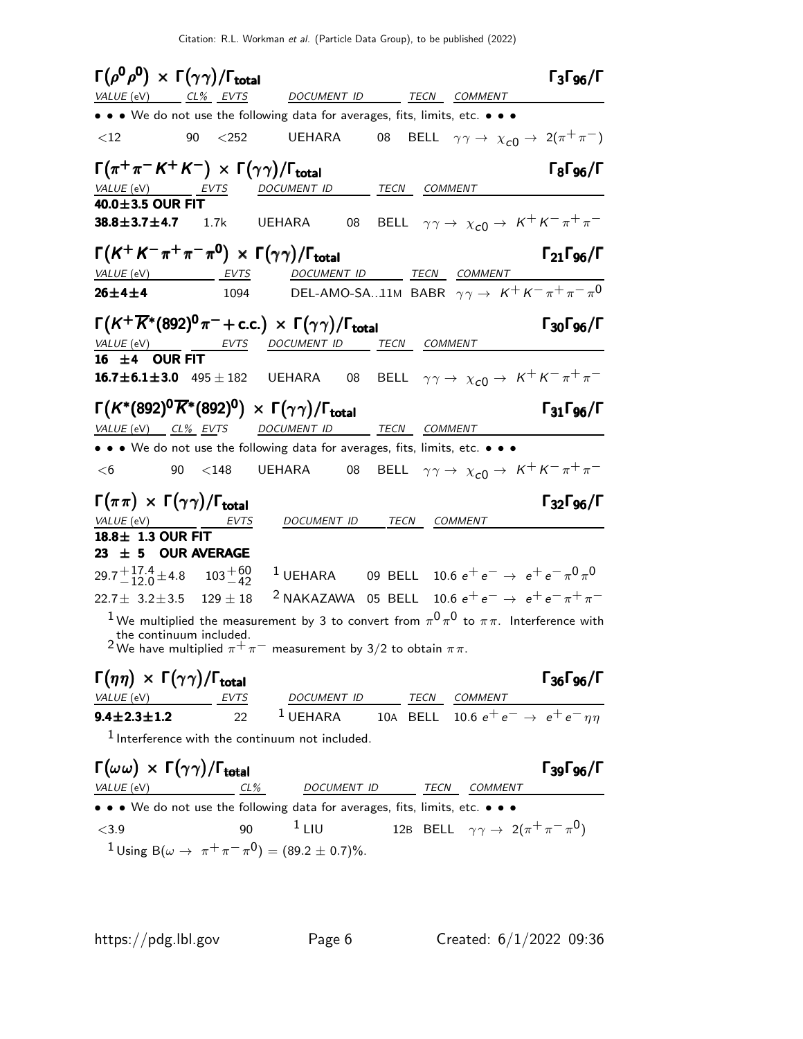Citation: R.L. Workman et al. (Particle Data Group), to be published (2022)

| $\Gamma(\rho^0\rho^0) \times \Gamma(\gamma\gamma)/\Gamma_{\rm total}$       |                               |                                                                                                                                                                                                                 |              |                                                                               | $\Gamma_3\Gamma_{96}/\Gamma$    |
|-----------------------------------------------------------------------------|-------------------------------|-----------------------------------------------------------------------------------------------------------------------------------------------------------------------------------------------------------------|--------------|-------------------------------------------------------------------------------|---------------------------------|
| VALUE (eV) CL% EVTS                                                         |                               | DOCUMENT ID                                                                                                                                                                                                     |              | TECN COMMENT                                                                  |                                 |
|                                                                             |                               | • • • We do not use the following data for averages, fits, limits, etc. • • •                                                                                                                                   |              |                                                                               |                                 |
| $<$ 12                                                                      | 90<br>$<$ 252                 | UEHARA                                                                                                                                                                                                          | 08           | BELL $\gamma \gamma \rightarrow \chi_{c0} \rightarrow 2(\pi^+\pi^-)$          |                                 |
| $\Gamma(\pi^+\pi^- K^+ K^-) \times \Gamma(\gamma\gamma)/\Gamma_{\rm total}$ |                               |                                                                                                                                                                                                                 |              |                                                                               | $\Gamma_8\Gamma_{96}/\Gamma$    |
| VALUE (eV) EVTS                                                             |                               | DOCUMENT ID TECN COMMENT                                                                                                                                                                                        |              |                                                                               |                                 |
| 40.0±3.5 OUR FIT                                                            |                               |                                                                                                                                                                                                                 |              |                                                                               |                                 |
| $38.8 \pm 3.7 \pm 4.7$                                                      | 1.7k                          | <b>UEHARA</b><br>08                                                                                                                                                                                             |              | BELL $\gamma \gamma \rightarrow \chi_{c0} \rightarrow K^+ K^- \pi^+ \pi^-$    |                                 |
|                                                                             |                               | $\Gamma(K^+K^-\pi^+\pi^-\pi^0) \times \Gamma(\gamma\gamma)/\Gamma_{\rm total}$                                                                                                                                  |              |                                                                               | $\Gamma_{21}\Gamma_{96}/\Gamma$ |
| VALUE (eV) EVTS                                                             |                               | DOCUMENT ID TECN COMMENT                                                                                                                                                                                        |              |                                                                               |                                 |
| $26 \pm 4 \pm 4$                                                            | 1094                          | DEL-AMO-SA11M BABR $\gamma\gamma \rightarrow K^+K^-\pi^+\pi^-\pi^0$                                                                                                                                             |              |                                                                               |                                 |
|                                                                             |                               | $\Gamma(K^+\overline{K}{}^*(892)^0\pi^-+c.c.) \times \Gamma(\gamma\gamma)/\Gamma_{\rm total}$                                                                                                                   |              |                                                                               | $\Gamma_{30}\Gamma_{96}/\Gamma$ |
|                                                                             |                               | VALUE (eV) _______ EVTS DOCUMENT ID _____ TECN COMMENT                                                                                                                                                          |              |                                                                               |                                 |
| 16 $\pm$ 4 OUR FIT                                                          |                               |                                                                                                                                                                                                                 |              |                                                                               |                                 |
|                                                                             |                               | <b>16.7±6.1±3.0</b> 495±182 UEHARA 08 BELL $\gamma \gamma \to \chi_{c0} \to K^+ K^- \pi^+ \pi^-$                                                                                                                |              |                                                                               |                                 |
|                                                                             |                               | $\Gamma(K^*(892)^0\overline{K}^*(892)^0) \times \Gamma(\gamma\gamma)/\Gamma_{\rm total}$                                                                                                                        |              |                                                                               | $\Gamma_{31}\Gamma_{96}/\Gamma$ |
| <u>VALUE (eV) CL% EVTS DOCUMENT ID</u>                                      |                               |                                                                                                                                                                                                                 | TECN COMMENT |                                                                               |                                 |
|                                                                             |                               | • • • We do not use the following data for averages, fits, limits, etc. • • •                                                                                                                                   |              |                                                                               |                                 |
| <6                                                                          |                               |                                                                                                                                                                                                                 |              | 08 BELL $\gamma \gamma \rightarrow \chi_{c0} \rightarrow K^+ K^- \pi^+ \pi^-$ |                                 |
| $\Gamma(\pi\pi) \times \Gamma(\gamma\gamma) / \Gamma_{\text{total}}$        |                               |                                                                                                                                                                                                                 |              |                                                                               | $\Gamma_{32}\Gamma_{96}/\Gamma$ |
| VALUE (eV) ______ EVTS                                                      |                               | DOCUMENT ID                                                                                                                                                                                                     | TECN         | COMMENT                                                                       |                                 |
| 18.8± 1.3 OUR FIT                                                           |                               |                                                                                                                                                                                                                 |              |                                                                               |                                 |
| 23 $\pm$ 5 OUR AVERAGE                                                      |                               |                                                                                                                                                                                                                 |              |                                                                               |                                 |
| $29.7 + {17.4 \atop - 12.0} \pm 4.8$ $103 + {60 \atop - 42}$                |                               | <sup>1</sup> UEHARA 09 BELL 10.6 $e^+e^- \rightarrow e^+e^- \pi^0 \pi^0$                                                                                                                                        |              |                                                                               |                                 |
| $22.7 \pm 3.2 \pm 3.5$ 129 $\pm$ 18                                         |                               | <sup>2</sup> NAKAZAWA 05 BELL 10.6 $e^+e^- \rightarrow e^+e^- \pi^+\pi^-$                                                                                                                                       |              |                                                                               |                                 |
|                                                                             |                               | <sup>1</sup> We multiplied the measurement by 3 to convert from $\pi^0 \pi^0$ to $\pi \pi$ . Interference with                                                                                                  |              |                                                                               |                                 |
|                                                                             | the continuum included.       | <sup>2</sup> We have multiplied $\pi^+\pi^-$ measurement by 3/2 to obtain $\pi\pi$ .                                                                                                                            |              |                                                                               |                                 |
| $\Gamma(\eta\eta) \times \Gamma(\gamma\gamma) / \Gamma_{\text{total}}$      |                               |                                                                                                                                                                                                                 |              |                                                                               | $\Gamma_{36}\Gamma_{96}/\Gamma$ |
| $VALUE$ (eV)                                                                |                               |                                                                                                                                                                                                                 |              |                                                                               |                                 |
| $9.4 \pm 2.3 \pm 1.2$                                                       | <b>EVTS</b><br>$\mathfrak{D}$ | $\begin{array}{ccc}\n\text{DOCUMENT ID} & \text{TECN} & \text{COMMENT} \\ \text{UEHARA} & \text{10A} & \text{BELL} & \text{10.6} & \text{e}^+ & \text{e}^- & \text{e}^+ & \text{e}^- & \text{eta}\n\end{array}$ |              |                                                                               |                                 |
|                                                                             |                               | $1$ Interference with the continuum not included.                                                                                                                                                               |              |                                                                               |                                 |
|                                                                             |                               |                                                                                                                                                                                                                 |              |                                                                               |                                 |
| $\Gamma(\omega\omega) \times \Gamma(\gamma\gamma)/\Gamma_{\rm total}$       |                               |                                                                                                                                                                                                                 |              |                                                                               | $\Gamma_{39}\Gamma_{96}/\Gamma$ |
| VALUE (eV)                                                                  | $CL\%$                        |                                                                                                                                                                                                                 |              | DOCUMENT ID TECN COMMENT                                                      |                                 |
|                                                                             |                               | • • • We do not use the following data for averages, fits, limits, etc. • • •                                                                                                                                   |              |                                                                               |                                 |
| $<$ 3.9                                                                     | 90                            | $1$ LIU                                                                                                                                                                                                         |              | 12B BELL $\gamma \gamma \rightarrow 2(\pi^+ \pi^- \pi^0)$                     |                                 |

 $1$  Using B( $\omega \to \pi^+ \pi^- \pi^0$ ) = (89.2 ± 0.7)%.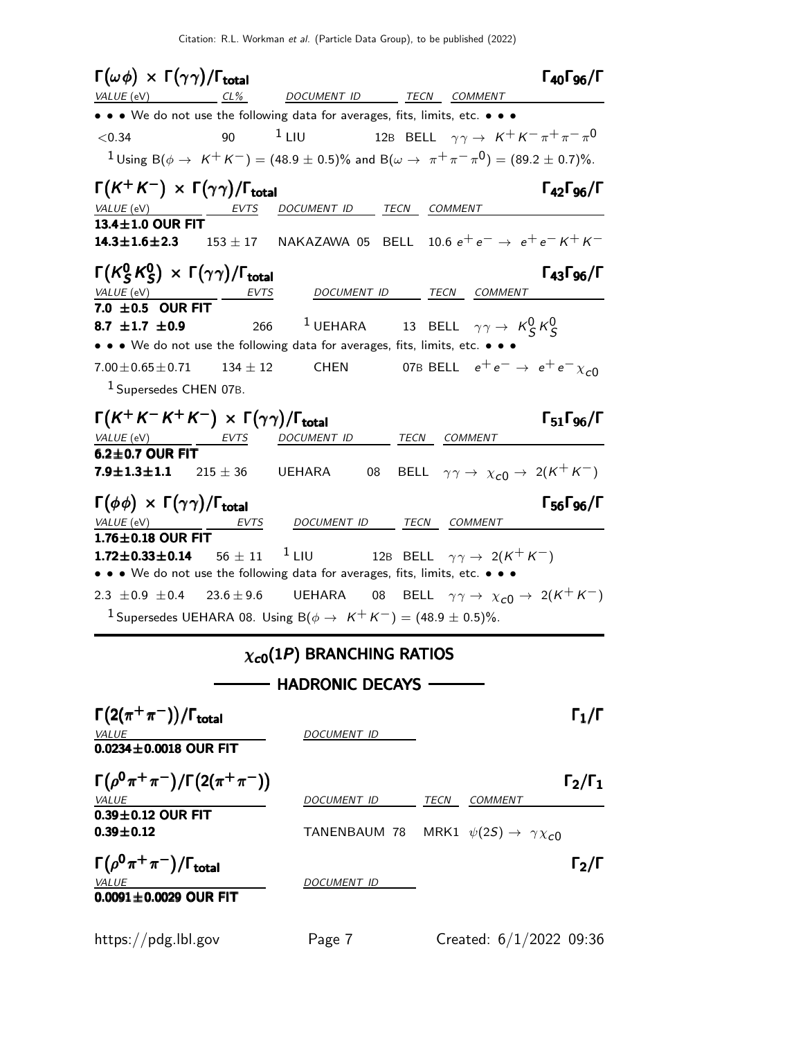| $\Gamma(\omega \phi) \times \Gamma(\gamma \gamma) / \Gamma_{\text{total}}$ |              |                                                                                                                                       |    |                                                                             | $\Gamma_{40}\Gamma_{96}/\Gamma$ |
|----------------------------------------------------------------------------|--------------|---------------------------------------------------------------------------------------------------------------------------------------|----|-----------------------------------------------------------------------------|---------------------------------|
|                                                                            |              | $VALUE (eV)$ $CL\%$ DOCUMENT ID TECN COMMENT                                                                                          |    |                                                                             |                                 |
|                                                                            |              | • • • We do not use the following data for averages, fits, limits, etc. • • •                                                         |    |                                                                             |                                 |
| < 0.34                                                                     | 90           | $1$ LIU                                                                                                                               |    | 12B BELL $\gamma\gamma\rightarrow\ K^{+}\,K^{-}\,\pi^{+}\,\pi^{-}\,\pi^{0}$ |                                 |
|                                                                            |              | $1_{\text{Using B}(\phi \to K^+ K^-)} = (48.9 \pm 0.5)\%$ and $B(\omega \to \pi^+ \pi^- \pi^0) = (89.2 \pm 0.7)\%$ .                  |    |                                                                             |                                 |
| $\Gamma(K^+K^-) \times \Gamma(\gamma\gamma)/\Gamma_{\rm total}$            |              |                                                                                                                                       |    |                                                                             | $\Gamma_{42}\Gamma_{96}/\Gamma$ |
| <i>VALUE</i> (eV)<br>13.4±1.0 OUR FIT                                      | EVTS         | DOCUMENT ID TECN COMMENT                                                                                                              |    |                                                                             |                                 |
|                                                                            |              | <b>14.3±1.6±2.3</b> 153±17 NAKAZAWA 05 BELL 10.6 $e^+e^- \rightarrow e^+e^- K^+ K^-$                                                  |    |                                                                             |                                 |
| $\Gamma(K_S^0 K_S^0) \times \Gamma(\gamma \gamma) / \Gamma_{\rm total}$    |              |                                                                                                                                       |    |                                                                             | $\Gamma_{43}\Gamma_{96}/\Gamma$ |
| $\frac{VALUE(eV)}{7.0 \pm 0.5}$ OUR FIT                                    | EVTS         | DOCUMENT ID TECN COMMENT                                                                                                              |    |                                                                             |                                 |
| 8.7 $\pm 1.7$ $\pm 0.9$                                                    |              | 266 $^1$ UEHARA $^{13}$ BELL $\gamma\gamma\rightarrow\ K_S^0\,K_S^0$                                                                  |    |                                                                             |                                 |
|                                                                            |              | • • • We do not use the following data for averages, fits, limits, etc. •                                                             |    |                                                                             |                                 |
| $7.00 \pm 0.65 \pm 0.71$<br><sup>1</sup> Supersedes CHEN 07B.              | $134 \pm 12$ | <b>CHEN</b>                                                                                                                           |    | 07B BELL $e^+e^- \rightarrow e^+e^- \chi_{c0}$                              |                                 |
|                                                                            |              |                                                                                                                                       |    |                                                                             |                                 |
| $\Gamma(K^+K^-K^+K^-) \times \Gamma(\gamma\gamma)/\Gamma_{\rm total}$      |              |                                                                                                                                       |    |                                                                             | $\Gamma_{51}\Gamma_{96}/\Gamma$ |
| $VALUE$ (eV) $EVTS$                                                        |              | DOCUMENT ID TECN COMMENT                                                                                                              |    |                                                                             |                                 |
| $6.2 \pm 0.7$ OUR FIT<br>$7.9 \pm 1.3 \pm 1.1$ 215 $\pm$ 36 UEHARA         |              |                                                                                                                                       | 08 | BELL $\gamma\gamma \to \chi_{c0} \to 2(K^+K^-)$                             |                                 |
| $\Gamma(\phi \phi) \times \Gamma(\gamma \gamma) / \Gamma_{\text{total}}$   |              |                                                                                                                                       |    |                                                                             | $\Gamma_{56}\Gamma_{96}/\Gamma$ |
| <i>VALUE</i> (eV)                                                          |              | EVTS DOCUMENT ID TECN COMMENT                                                                                                         |    |                                                                             |                                 |
| $1.76 \pm 0.18$ OUR FIT                                                    |              |                                                                                                                                       |    |                                                                             |                                 |
| $1.72 \pm 0.33 \pm 0.14$                                                   | $56 \pm 11$  | <sup>1</sup> LIU 12B BELL $\gamma\gamma \to 2(K^+K^-)$<br>• • • We do not use the following data for averages, fits, limits, etc. • • |    |                                                                             |                                 |
|                                                                            |              | 2.3 ± 0.9 ± 0.4 23.6 ± 9.6 UEHARA 08 BELL $\gamma \gamma \to \chi_{c0} \to 2(K^+ K^-)$                                                |    |                                                                             |                                 |
|                                                                            |              | <sup>1</sup> Supersedes UEHARA 08. Using B( $\phi \rightarrow K^+K^-$ ) = (48.9 $\pm$ 0.5)%.                                          |    |                                                                             |                                 |
|                                                                            |              | $\chi_{c0}(1P)$ BRANCHING RATIOS                                                                                                      |    |                                                                             |                                 |
|                                                                            |              |                                                                                                                                       |    |                                                                             |                                 |
|                                                                            |              | — HADRONIC DECAYS -                                                                                                                   |    |                                                                             |                                 |

| $\Gamma(2(\pi^+\pi^-))/\Gamma_{\text{total}}$<br>VALUE<br>$0.0234 \pm 0.0018$ OUR FIT | DOCUMENT ID        | $\Gamma_1/\Gamma$                             |
|---------------------------------------------------------------------------------------|--------------------|-----------------------------------------------|
| $\Gamma(\rho^0 \pi^+ \pi^-)/\Gamma(2(\pi^+ \pi^-))$<br><b>VALUE</b>                   | DOCUMENT ID        | $\Gamma_2/\Gamma_1$<br>TECN<br><b>COMMENT</b> |
| $0.39\pm0.12$ OUR FIT<br>$0.39 \pm 0.12$                                              | TANENBAUM 78       | MRK1 $\psi(2S) \rightarrow \gamma \chi_{c0}$  |
| $\Gamma(\rho^0\pi^+\pi^-)/\Gamma_{\rm total}$<br>VALUE<br>$0.0091 \pm 0.0029$ OUR FIT | <b>DOCUMENT ID</b> | $\mathsf{\Gamma}_2/\mathsf{\Gamma}$           |
| https://pdg.lbl.gov                                                                   | Page 7             | Created: $6/1/2022$ 09:36                     |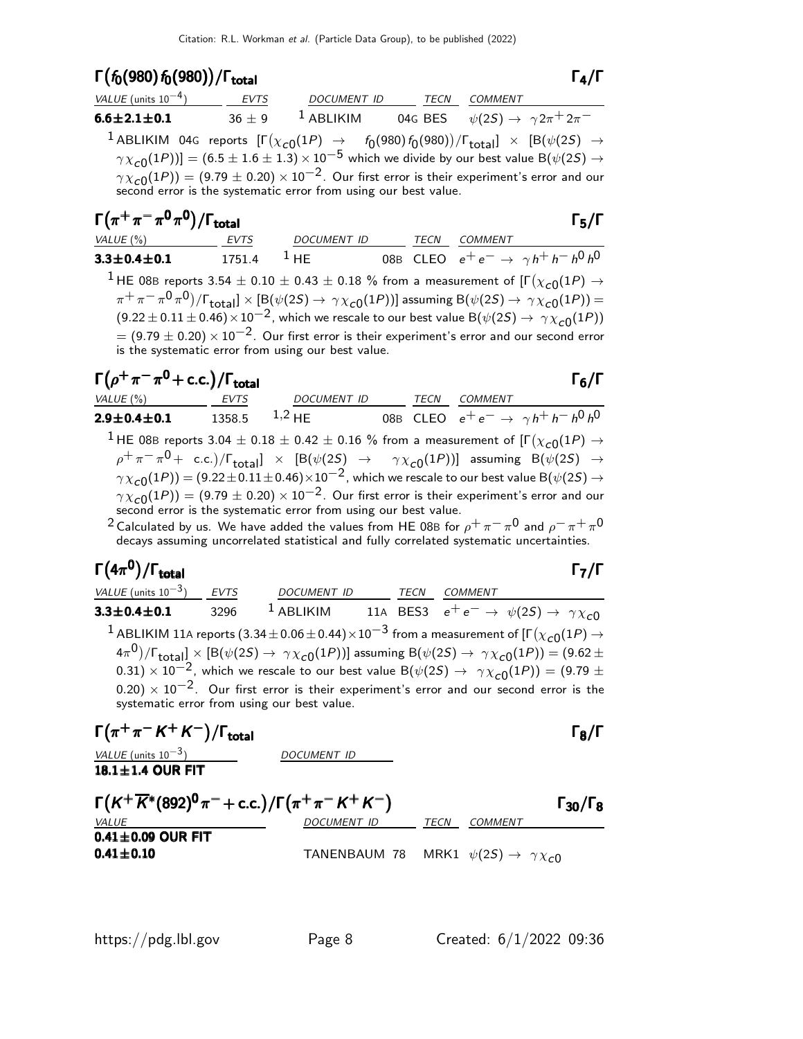### Γ $(f_0(980) f_0(980)) / \Gamma_{\text{total}}$

| VALUE (units $10^{-4}$ )                                                                                                                                                                   | EVTS | DOCUMENT ID                                                                         | <b>TECN</b> | COMMENT |                     |
|--------------------------------------------------------------------------------------------------------------------------------------------------------------------------------------------|------|-------------------------------------------------------------------------------------|-------------|---------|---------------------|
| $6.6 \pm 2.1 \pm 0.1$                                                                                                                                                                      |      | $36 \pm 9$ <sup>1</sup> ABLIKIM 04G BES $\psi(2S) \rightarrow \gamma 2\pi^+ 2\pi^-$ |             |         |                     |
| <sup>1</sup> ABLIKIM 04G reports $[\Gamma(\chi_{c0}(1P) \rightarrow f_0(980) f_0(980))/\Gamma_{total}] \times [B(\psi(2S) \rightarrow$                                                     |      |                                                                                     |             |         |                     |
| $\gamma \chi_{c0}(1P)$ ] = (6.5 ± 1.6 ± 1.3) × 10 <sup>-5</sup> which we divide by our best value B( $\psi(2S) \rightarrow$                                                                |      |                                                                                     |             |         |                     |
| $\gamma \chi_{c0}(1P)$ = (9.79 $\pm$ 0.20) $\times$ 10 <sup>-2</sup> . Our first error is their experiment's error and our second error is the systematic error from using our best value. |      |                                                                                     |             |         |                     |
| $\Gamma(\pi^+\pi^-\pi^0\pi^0)/\Gamma_{\rm total}$                                                                                                                                          |      |                                                                                     |             |         | $\Gamma_{5}/\Gamma$ |

| $3.3 \!\pm\! 0.4 \!\pm\! 0.1$                                                                                                                                                  | $1751.4$ $1$ HF |  |  |  | 08B CLEO $e^+e^- \to \gamma h^+h^-h^0h^0$ |
|--------------------------------------------------------------------------------------------------------------------------------------------------------------------------------|-----------------|--|--|--|-------------------------------------------|
| <sup>1</sup> HE 08B reports 3.54 $\pm$ 0.10 $\pm$ 0.43 $\pm$ 0.18 % from a measurement of [ $\Gamma(\chi_{c0}(1P) \rightarrow$                                                 |                 |  |  |  |                                           |
| $\pi^+\pi^-\pi^0\pi^0$ / $\Gamma_{\text{total}}$ $\times$ [B( $\psi$ (2S) $\rightarrow \gamma \chi_{c0}(1P)$ )] assuming B( $\psi$ (2S) $\rightarrow \gamma \chi_{c0}(1P)$ ) = |                 |  |  |  |                                           |
| $(9.22 \pm 0.11 \pm 0.46) \times 10^{-2}$ , which we rescale to our best value B( $\psi(2S) \rightarrow \gamma \chi_{c0}(1P)$ )                                                |                 |  |  |  |                                           |
| $= (9.79 \pm 0.20) \times 10^{-2}$ . Our first error is their experiment's error and our second error                                                                          |                 |  |  |  |                                           |
| is the systematic error from using our best value.                                                                                                                             |                 |  |  |  |                                           |
|                                                                                                                                                                                |                 |  |  |  |                                           |

VALUE (%) **EVTS** DOCUMENT ID TECN COMMENT

| $\Gamma(\rho^+\pi^-\pi^0$ + c.c.)/ $\Gamma_{\rm total}$                                                                                                 |             |                    |      |                | $\Gamma_6/\Gamma$                         |
|---------------------------------------------------------------------------------------------------------------------------------------------------------|-------------|--------------------|------|----------------|-------------------------------------------|
| VALUE $(\%)$                                                                                                                                            | <b>EVTS</b> | <b>DOCUMENT ID</b> | TECN | <b>COMMENT</b> |                                           |
| $2.9 \pm 0.4 \pm 0.1$                                                                                                                                   | 1358.5      | $1,2$ HF           |      |                | 08B CLEO $e^+e^- \to \gamma h^+h^-h^0h^0$ |
| <sup>1</sup> HE 08B reports 3.04 $\pm$ 0.18 $\pm$ 0.42 $\pm$ 0.16 % from a measurement of [F( $\chi_{c0}(1P) \rightarrow$                               |             |                    |      |                |                                           |
| $\rho^+\pi^-\pi^0$ + c.c.)/ $\Gamma_{\text{total}}$ $\times$ [B( $\psi(2S)$ $\rightarrow$ $\gamma\chi_{c0}(1P)$ )] assuming B( $\psi(2S)$ $\rightarrow$ |             |                    |      |                |                                           |
| $\gamma \chi_{c0}(1P)$ = (9.22 ± 0.11 ± 0.46) $\times 10^{-2}$ , which we rescale to our best value B( $\psi(2S) \rightarrow$                           |             |                    |      |                |                                           |
| $\gamma \chi_{c0}(1P)$ = (9.79 $\pm$ 0.20) $\times$ 10 <sup>-2</sup> . Our first error is their experiment's error and our                              |             |                    |      |                |                                           |
| second error is the systematic error from using our best value.                                                                                         |             |                    |      |                |                                           |

 $^2$ Calculated by us. We have added the values from HE 08B for  $\rho^+\,\pi^-\,\pi^0$  and  $\rho^-\,\pi^+\,\pi^0$ decays assuming uncorrelated statistical and fully correlated systematic uncertainties.

### Γ $(4\pi^0)/\Gamma_{\text{total}}$  Γ $_7/\Gamma$

 $VALU E$  (units 10<sup>-3</sup>) EVTS DOCUMENT ID TECN COMMENT **3.3±0.4±0.1** 3296 <sup>1</sup> ABLIKIM 11A BES3  $e^+e^- \rightarrow \psi(25) \rightarrow \gamma \chi_{c0}$  $^1$  ABLIKIM 11A reports  $(3.34\pm0.06\pm0.44)\times10^{-3}$  from a measurement of [Г $(\chi_{c0}(1P) \rightarrow$  $(4\pi^0)/\Gamma_{\rm total}]\times[{\rm B}(\psi(2S)\to~\gamma\chi_{\rm C0}(1P))]$  assuming  ${\rm B}(\psi(2S)\to~\gamma\chi_{\rm C0}(1P))=(9.62\pm0.02)$  $(0.31) \times 10^{-2}$ , which we rescale to our best value B( $\psi(2S) \rightarrow \gamma \chi_{c0}(1P)$ ) = (9.79 ±  $0.20$ ) × 10<sup>-2</sup>. Our first error is their experiment's error and our second error is the systematic error from using our best value.

 $\Gamma(\pi^+\pi^- K^+ K^-)/\Gamma_{\text{total}}$  Γ<sub>8</sub>/Γ

total and the set of the set of the set of the set of the set of the set of the set of the set of the set of t VALUE (units  $10^{-3}$ ) DOCUMENT ID  $18.1 \pm 1.4$  OUR FIT

 $\Gamma(K^+\overline{K}^*(892)^0\pi^-+$  c.c.)/ $\Gamma(\pi^+\pi^-K^+K^-)$  Γ30/Γ $_8$  $\Gamma_{30}/\Gamma_8$ DOCUMENT ID TECN COMMENT  $0.41 \pm 0.09$  OUR FIT **0.41** $\pm$ **0.10** TANENBAUM 78 MRK1  $\psi(2S) \rightarrow \gamma \chi_{c0}$ 

 $\Gamma_7/\Gamma$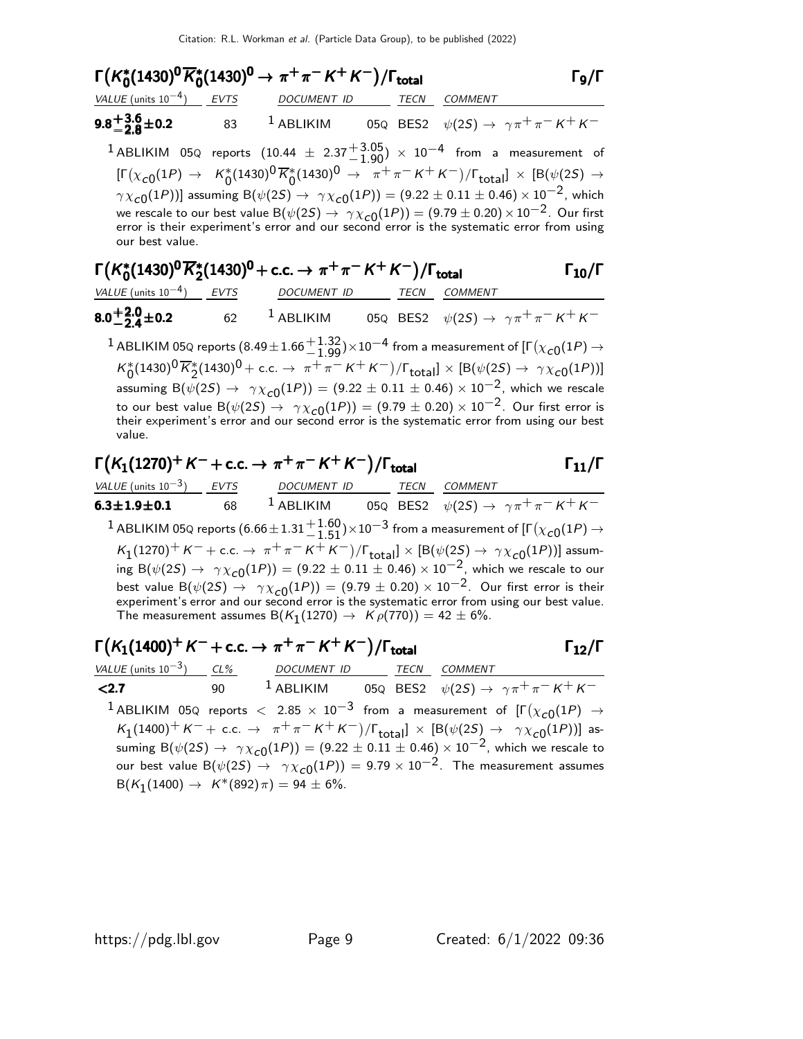| $\Gamma(K_0^*(1430)^0\overline{K}_0^*(1430)^0 \to \pi^+\pi^-K^+K^-)/\Gamma_{\rm total}$                                                          |                                                                              |  | $\Gamma_{9}/\Gamma$                                                                                                                                                                                                                                                                                                                                                                                                                                                                                           |
|--------------------------------------------------------------------------------------------------------------------------------------------------|------------------------------------------------------------------------------|--|---------------------------------------------------------------------------------------------------------------------------------------------------------------------------------------------------------------------------------------------------------------------------------------------------------------------------------------------------------------------------------------------------------------------------------------------------------------------------------------------------------------|
| $VALUE$ (units $10^{-4}$ ) EVTS DOCUMENT ID TECN COMMENT                                                                                         |                                                                              |  |                                                                                                                                                                                                                                                                                                                                                                                                                                                                                                               |
| <b>9.8<sup>+</sup>3.6</b> + 0.2 				83 <sup>1</sup> ABLIKIM 			05Q BES2 $\psi(2S) \to \gamma \pi^+ \pi^- K^+ K^-$                                |                                                                              |  |                                                                                                                                                                                                                                                                                                                                                                                                                                                                                                               |
| $^1$ ABLIKIM 05Q reports $(10.44 \pm 2.37 {+3.05 \atop -1.90}) \times 10^{-4}$ from a measurement of<br>our best value.                          |                                                                              |  | $[\Gamma(\chi_{c0}(1P) \to K_0^*(1430)^0 \overline{K}_0^*(1430)^0 \to \pi^+\pi^- K^+ K^-)/\Gamma_{\text{total}}] \times [B(\psi(2S) \to$<br>$\gamma \chi_{c0}(1P))$ ] assuming B( $\psi(2S) \to \gamma \chi_{c0}(1P)$ ) = (9.22 ± 0.11 ± 0.46) × 10 <sup>-2</sup> , which<br>we rescale to our best value B $(\psi(2S) \rightarrow \gamma \chi_{c0}(1P)) = (9.79 \pm 0.20) \times 10^{-2}$ . Our first<br>error is their experiment's error and our second error is the systematic error from using           |
| $\Gamma(K_0^*(1430)^0\overline{K}_2^*(1430)^0$ + c.c. $\rightarrow \pi^+\pi^-K^+K^-)/\Gamma_{\rm total}$                                         |                                                                              |  | $\Gamma_{10}/\Gamma$                                                                                                                                                                                                                                                                                                                                                                                                                                                                                          |
| <u>VALUE</u> (units $10^{-4}$ ) EVTS                                                                                                             | DOCUMENT ID TECN COMMENT                                                     |  |                                                                                                                                                                                                                                                                                                                                                                                                                                                                                                               |
| 8.0 $^{+2.0}_{-2.4}$ ±0.2                                                                                                                        |                                                                              |  | 62 <sup>1</sup> ABLIKIM 05Q BES2 $\psi(2S) \rightarrow \gamma \pi^+ \pi^- K^+ K^-$                                                                                                                                                                                                                                                                                                                                                                                                                            |
| $^1$ ABLIKIM 05Q reports $(8.49\pm1.66 {+ 1.32\atop - 1.99}){\times}10^{-4}$ from a measurement of [F $(\chi_{\bf C0}(1P) \rightarrow$<br>value. |                                                                              |  | $K_0^*(1430)^0 \overline{K}_2^*(1430)^0$ + c.c. $\rightarrow \pi^+ \pi^- K^+ K^-)/\Gamma_{\text{total}}$ $\times$ [B( $\psi(2S) \rightarrow \gamma \chi_{c0}(1P))$ ]<br>assuming B $(\psi(2S) \to \gamma \chi_{c0}(1P)) = (9.22 \pm 0.11 \pm 0.46) \times 10^{-2}$ , which we rescale<br>to our best value B $(\psi(2S) \rightarrow \gamma \chi_{c0}(1P)) = (9.79 \pm 0.20) \times 10^{-2}$ . Our first error is<br>their experiment's error and our second error is the systematic error from using our best |
| $\Gamma(K_1(1270)^+ K^- + \text{c.c.} \to \pi^+ \pi^- K^+ K^-)/\Gamma_{\text{total}}$                                                            |                                                                              |  | $\Gamma_{11}/\Gamma$                                                                                                                                                                                                                                                                                                                                                                                                                                                                                          |
| $VALUE (units 10-3)$ <i>EVTS DOCUMENT ID TECN COMMENT</i>                                                                                        |                                                                              |  |                                                                                                                                                                                                                                                                                                                                                                                                                                                                                                               |
| <b>6.3±1.9±0.1</b> 68 <sup>1</sup> ABLIKIM 05Q BES2 $\psi(2S) \to \gamma \pi^+ \pi^- K^+ K^-$                                                    |                                                                              |  |                                                                                                                                                                                                                                                                                                                                                                                                                                                                                                               |
| $^1$ ABLIKIM 05Q reports (6.66 $\pm$ 1.31 $^{+1.60}_{-1.51})$ $\times$ 10 $^{-3}$ from a measurement of [F $(\chi_{c0}(1P)$ $\rightarrow$        |                                                                              |  |                                                                                                                                                                                                                                                                                                                                                                                                                                                                                                               |
|                                                                                                                                                  | The measurement assumes $B(K_1(1270) \rightarrow K \rho(770)) = 42 \pm 6\%.$ |  | $K_1(1270)^+ K^- +$ c.c. $\rightarrow \pi^+ \pi^- K^+ K^-)/\Gamma_{\text{total}}] \times [B(\psi(2S) \rightarrow \gamma \chi_{c0}(1P))]$ assum-<br>ing B $(\psi(2S) \to \gamma \chi_{c0}(1P)) = (9.22 \pm 0.11 \pm 0.46) \times 10^{-2}$ , which we rescale to our<br>best value B $(\psi(2S) \rightarrow \gamma \chi_{c0}(1P)) = (9.79 \pm 0.20) \times 10^{-2}$ . Our first error is their<br>experiment's error and our second error is the systematic error from using our best value.                    |

## $\Gamma(K_1(1400)^+ K^- + \text{c.c.} \rightarrow \pi^+ \pi^- K^+ K^-)/\Gamma_{\text{total}}$  Γ<sub>12</sub>/Γ

VALUE (units 10<sup>-3</sup>) CL% DOCUMENT ID TECN COMMENT **<2.7** 90 <sup>1</sup> ABLIKIM 05Q BES2  $\psi(2S) \rightarrow \gamma \pi^+ \pi^- K^+ K^ ^1$ ABLIKIM 05Q reports  $<$  2.85  $\times$   $10^{-3}$  from a measurement of  $[\Gamma(\chi_{c0}(1P)$   $\rightarrow$  $K_1(1400)^+ K^-+$  c.c.  $\rightarrow \pi^+ \pi^- K^+ K^-)/\Gamma_{\text{total}}$ ]  $\times$  [B( $\psi(2S) \rightarrow \gamma \chi_{c0}(1P)$ )] assuming  $B(\psi(2S) \to \gamma \chi_{c0}(1P)) = (9.22 \pm 0.11 \pm 0.46) \times 10^{-2}$ , which we rescale to our best value B $(\psi(2S) \rightarrow \gamma \chi_{c0}(1P)) = 9.79 \times 10^{-2}$ . The measurement assumes  $B(K_1(1400) \to K^*(892) \pi) = 94 \pm 6\%.$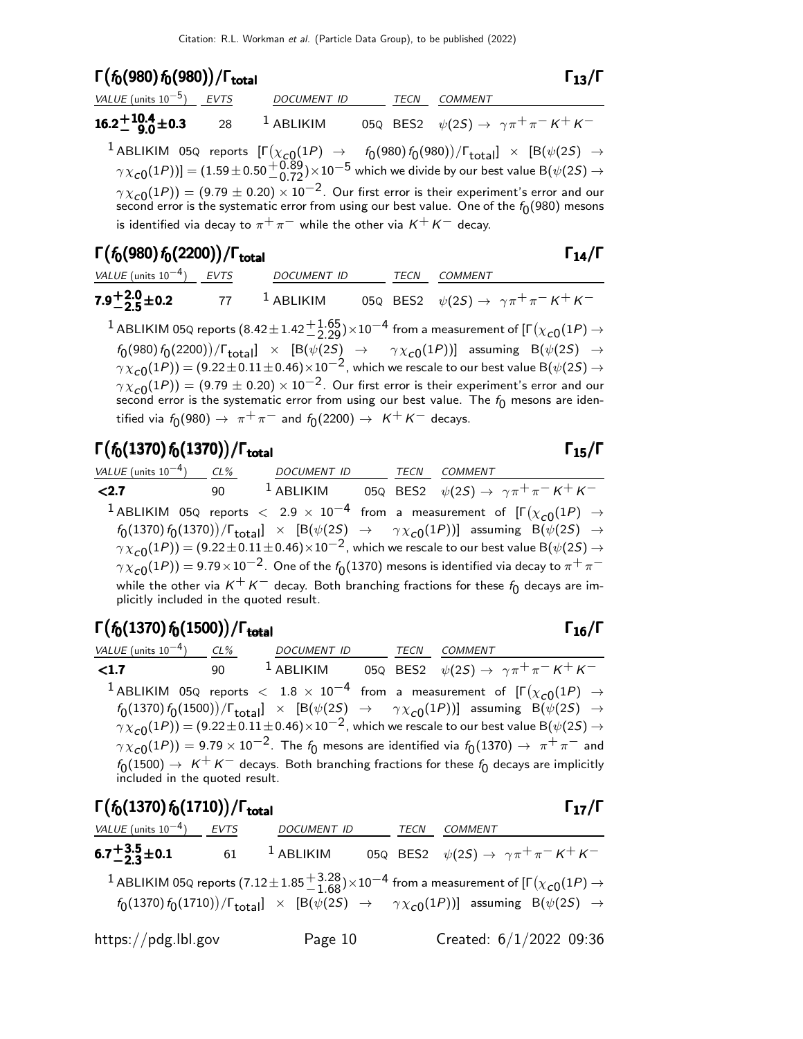#### Γ( $f_0(980) f_0(980)$ )/Γ<sub>total</sub> Γ<sub>13</sub>/Γ Γ

| VALUE (units $10^{-5}$ ) EVTS                       | DOCUMENT ID | TECN | <i>COMMENT</i>                                                                                                                    |
|-----------------------------------------------------|-------------|------|-----------------------------------------------------------------------------------------------------------------------------------|
| 16.2 <sup>+10.4</sup> + 0.3 28 <sup>1</sup> ABLIKIM |             |      | 05Q BES2 $\psi(2S) \to \gamma \pi^+ \pi^- K^+ K^-$                                                                                |
|                                                     |             |      | $^{-1}$ ABLIKIM 05Q reports $[\Gamma(\chi_{cQ}(1P) \rightarrow f_0(980) f_0(980))/\Gamma_{total}] \times [B(\psi(2S) \rightarrow$ |

 $\gamma\chi_{\bf C0}(1P))]=(1.59\pm0.50{+0.89\atop -0.72})\times10^{-5}$  which we divide by our best value B $(\psi(2S)\to0.50)$  $\gamma \chi_{\rm C0}(1P))=(9.79\pm0.20)\times 10^{-2}.$  Our first error is their experiment's error and our second error is the systematic error from using our best value. One of the  $f_{\rm 0}(980)$  mesons is identified via decay to  $\pi^+ \pi^-$  while the other via  $K^+ K^-$  decay.

#### Γ $(f_0(980) f_0(2200))/\Gamma_{\text{total}}$  Γ $_{14}/\Gamma$

| VALUE (units $10^{-4}$ ) EVTS | <i>DOCUMENT ID</i>      |  | <i>TECN COMMENT</i>                                        |
|-------------------------------|-------------------------|--|------------------------------------------------------------|
| $7.9^{+2.0}_{-2.5}$ ± 0.2     | 77 <sup>1</sup> ABLIKIM |  | 05Q BES2 $\psi(2S) \rightarrow \gamma \pi^+ \pi^- K^+ K^-$ |

 $^1$  ABLIKIM 05Q reports  $(8.42\pm1.42\frac{+1.65}{-2.29})\times10^{-4}$  from a measurement of [Г $(\chi_{\bf C0}(1P)\rightarrow$  $f_0(980) f_0(2200))/\Gamma_{\textsf{total}}] \times [\mathsf{B}(\psi(2S) \rightarrow \gamma \chi_{\textsf{c}0}(1P))]$  assuming  $\mathsf{B}(\psi(2S) \rightarrow \mathsf{C}(\chi_{\textsf{c}0}(1P))$  $\gamma \chi_{\rm C0}(1P)) = (9.22 \pm 0.11 \pm 0.46) \times 10^{-2}$ , which we rescale to our best value B $(\psi(2S) \rightarrow \psi_0)$  $\gamma \chi_{\rm C0}(1P)) = (9.79 \pm 0.20) \times 10^{-2}$ . Our first error is their experiment's error and our second error is the systematic error from using our best value. The  $f_0$  mesons are identified via  $f_0(980)\rightarrow~\pi^+\pi^-$  and  $f_0(2200)\rightarrow~\kappa^+\kappa^-$  decays.

### Γ $(f_0(1370) f_0(1370))/\Gamma_{\text{total}}$  Γ<sub>15</sub>/Γ

| VALUE (units $10^{-4}$ )                | CL% | DOCUMENT ID | TECN | COMMENT                                                                                                                             |
|-----------------------------------------|-----|-------------|------|-------------------------------------------------------------------------------------------------------------------------------------|
| < 2.7                                   | 90  | $1$ ABLIKIM |      | 05Q BES2 $\psi(2S) \to \gamma \pi^+ \pi^- K^+ K^-$                                                                                  |
|                                         |     |             |      | <sup>1</sup> ABLIKIM 05Q reports $<$ 2.9 $\times$ 10 <sup>-4</sup> from a measurement of $[\Gamma(\chi_{c0}(1P) \rightarrow$        |
|                                         |     |             |      | $f_0(1370) f_0(1370)/\Gamma_{\text{total}}$ × [B( $\psi(2S) \rightarrow \gamma \chi_{c0}(1P)$ )] assuming B( $\psi(2S) \rightarrow$ |
|                                         |     |             |      | $\gamma \chi_{c0}(1P)$ = (9.22 ± 0.11 ± 0.46) $\times 10^{-2}$ , which we rescale to our best value B( $\psi(2S) \rightarrow$       |
|                                         |     |             |      | $\gamma \chi_{c0}(1P)$ ) = 9.79 $\times 10^{-2}$ . One of the $f_0(1370)$ mesons is identified via decay to $\pi^+\pi^-$            |
| plicitly included in the quoted result. |     |             |      | while the other via $K^+K^-$ decay. Both branching fractions for these $f_0$ decays are im-                                         |

### Γ $(f_0(1370) f_0(1500))/\Gamma_{\text{total}}$ Γ

| VALUE (units $10^{-4}$ )       | $CL\%$ | DOCUMENT ID | <b>TECN</b> | COMMENT                                                                                                                             |
|--------------------------------|--------|-------------|-------------|-------------------------------------------------------------------------------------------------------------------------------------|
| $\langle 1.7$                  | 90     | $1$ ABLIKIM |             | 05Q BES2 $\psi(2S) \rightarrow \gamma \pi^+ \pi^- K^+ K^-$                                                                          |
|                                |        |             |             | <sup>1</sup> ABLIKIM 05Q reports $<$ 1.8 $\times$ 10 <sup>-4</sup> from a measurement of $[\Gamma(\chi_{c0}(1P) \rightarrow$        |
|                                |        |             |             | $f_0(1370) f_0(1500)/\Gamma_{\text{total}}$ × [B( $\psi(2S) \rightarrow \gamma \chi_{c0}(1P)$ )] assuming B( $\psi(2S) \rightarrow$ |
|                                |        |             |             | $\gamma \chi_{c0}(1P)$ = (9.22 ± 0.11 ± 0.46) $\times 10^{-2}$ , which we rescale to our best value B( $\psi(2S) \rightarrow$       |
|                                |        |             |             | $\gamma \chi_{c0}(1P)$ = 9.79 × 10 <sup>-2</sup> . The $f_0$ mesons are identified via $f_0(1370) \to \pi^+\pi^-$ and               |
|                                |        |             |             | $f_0(1500) \rightarrow K^+K^-$ decays. Both branching fractions for these $f_0$ decays are implicitly                               |
| included in the quoted result. |        |             |             |                                                                                                                                     |

| $\Gamma(f_0(1370) f_0(1710))/\Gamma_{\text{total}}$                                                                 |                                                                                                                                                                                                                                                                                                           |      |         | $\Gamma_{17}/\Gamma$ |
|---------------------------------------------------------------------------------------------------------------------|-----------------------------------------------------------------------------------------------------------------------------------------------------------------------------------------------------------------------------------------------------------------------------------------------------------|------|---------|----------------------|
| VALUE (units $10^{-4}$ ) EVTS DOCUMENT ID                                                                           |                                                                                                                                                                                                                                                                                                           | TECN | COMMENT |                      |
| <b>6.7<sup>+</sup>3.5<sup>+</sup>0.1</b> 61 <sup>1</sup> ABLIKIM 05Q BES2 $\psi(2S) \to \gamma \pi^+ \pi^- K^+ K^-$ |                                                                                                                                                                                                                                                                                                           |      |         |                      |
|                                                                                                                     | <sup>1</sup> ABLIKIM 05Q reports (7.12 $\pm$ 1.85 $^{+3.28}_{-1.68}$ ) $\times$ 10 <sup>-4</sup> from a measurement of [ $\Gamma(\chi_{c0}(1P) \rightarrow$<br>$f_0(1370) f_0(1710)/\Gamma_{\text{total}}$ $\times$ [B( $\psi(2S) \rightarrow \gamma \chi_{c0}(1P)$ )] assuming B( $\psi(2S) \rightarrow$ |      |         |                      |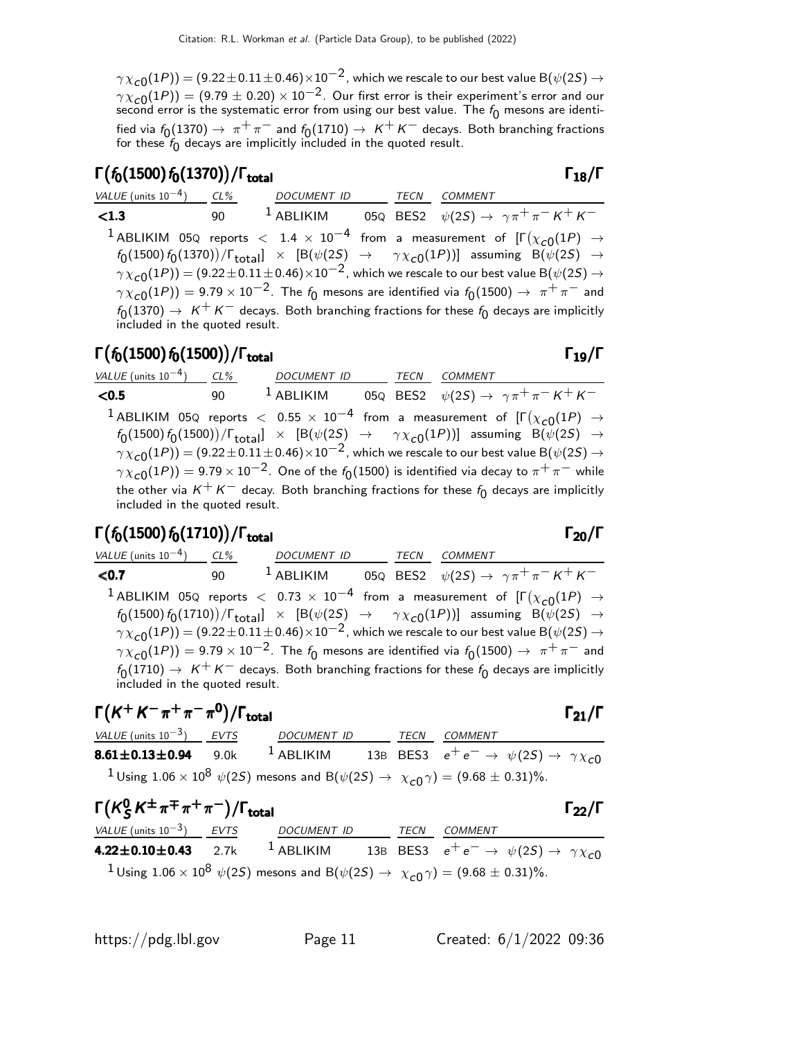$\gamma \chi_{\bf C 0}(1P))=(9.22\pm 0.11\pm 0.46)\times 10^{-2}$  , which we rescale to our best value B $(\psi(2S) \rightarrow 0.11)$  $\gamma \chi_{\rm C0}(1P)) = (9.79 \pm 0.20) \times 10^{-2}$ . Our first error is their experiment's error and our second error is the systematic error from using our best value. The  $f_{\mathbf{0}}$  mesons are identified via  $f_0(1370)\rightarrow\ \pi^+\pi^-$  and  $f_0(1710)\rightarrow\ K^+\ K^-$  decays. Both branching fractions for these  $f_{\mathbf{0}}$  decays are implicitly included in the quoted result.

#### Γ $(f_0(1500) f_0(1370))/\Gamma_{\text{total}}$ Γ

| VALUE (units $10^{-4}$ ) CL%   |    | DOCUMENT ID TECN COMMENT |                                                                                                                                                                                                                                                                                                                                                                                                                                                                                                                                                                                                                                                          |
|--------------------------------|----|--------------------------|----------------------------------------------------------------------------------------------------------------------------------------------------------------------------------------------------------------------------------------------------------------------------------------------------------------------------------------------------------------------------------------------------------------------------------------------------------------------------------------------------------------------------------------------------------------------------------------------------------------------------------------------------------|
| < 1.3                          | 90 | $1$ ABLIKIM              | 05Q BES2 $\psi(2S) \rightarrow \gamma \pi^+ \pi^- K^+ K^-$                                                                                                                                                                                                                                                                                                                                                                                                                                                                                                                                                                                               |
| included in the quoted result. |    |                          | <sup>1</sup> ABLIKIM 05Q reports $<$ 1.4 $\times$ 10 <sup>-4</sup> from a measurement of $\Gamma(\chi_{c0}(1P) \rightarrow$<br>$f_0(1500) f_0(1370)/\Gamma_{\text{total}}$ × [B( $\psi(2S) \rightarrow \gamma \chi_{c0}(1P)$ )] assuming B( $\psi(2S) \rightarrow$<br>$\gamma \chi_{c0}(1P)$ = (9.22 ± 0.11 ± 0.46) × 10 <sup>-2</sup> , which we rescale to our best value B( $\psi(2S) \rightarrow$<br>$\gamma \chi_{c0}(1P)$ ) = 9.79 $\times$ 10 <sup>-2</sup> . The $f_0$ mesons are identified via $f_0(1500) \rightarrow \pi^+\pi^-$ and<br>$f_0(1370) \rightarrow K^+K^-$ decays. Both branching fractions for these $f_0$ decays are implicitly |

#### Γ $(f_0(1500)\,f_0(1500))/\Gamma_{\rm total}$ Γ

VALUE (units  $10^{-4}$ ) ) CL% DOCUMENT ID TECN COMMENT **<0.5** 90 <sup>1</sup> ABLIKIM 05Q BES2  $\psi(2S) \rightarrow \gamma \pi^+ \pi^- K^+ K^ ^1$ ABLIKIM 05Q reports  $<$  0.55  $\times$   $10^{-4}$  from a measurement of [Γ $(\chi_{\cal{C}0}(1P)$   $\rightarrow$  $f_0(1500) f_0(1500))/\Gamma_{\text{total}}] \times [\mathsf{B}(\psi(2S) \rightarrow \gamma \chi_{\text{c}0}(1P))]$  assuming  $\mathsf{B}(\psi(2S) \rightarrow \mathsf{C}(\chi_{\text{c}0}(1P))]$  $\gamma \chi_{\rm C0}(1P)) = (9.22 \pm 0.11 \pm 0.46) \times 10^{-2}$ , which we rescale to our best value B $(\psi(2S) \rightarrow \psi_0)$  $\gamma \chi_{\bf C 0}(1P))=$  9.79  $\times$   $10^{-2}.$  One of the  $f_{\bf 0}(1500)$  is identified via decay to  $\pi^+\pi^-$  while the other via  $K^+ K^-$  decay. Both branching fractions for these  $f_0$  decays are implicitly included in the quoted result.

#### Γ $(f_0(1500) f_0(1710))/\Gamma_{\text{total}}$ Γ

VALUE (units 10<sup>-4</sup>) CL% DOCUMENT ID TECN COMMENT **<0.7** 90 <sup>1</sup> ABLIKIM 05Q BES2  $\psi(2S) \rightarrow \gamma \pi^+ \pi^- K^+ K^ ^1$  ABLIKIM 05Q reports  $<$  0.73  $\times$   $10^{-4}$  from a measurement of [F $(\chi_{\bf C 0}(1P)$   $\rightarrow$  $f_0(1500) f_0(1710))/\Gamma_{\text{total}}] \times [\mathsf{B}(\psi(2S) \rightarrow \gamma \chi_{\text{c}0}(1P))]$  assuming  $\mathsf{B}(\psi(2S) \rightarrow \mathsf{C}(\chi_{\text{c}0}(1P))]$  $\gamma \chi_{\rm C0}(1P)) = (9.22 \pm 0.11 \pm 0.46) \times 10^{-2}$ , which we rescale to our best value B $(\psi(2S) \rightarrow \psi_0)$  $\gamma \chi_{\rm C0}(1P)) = 9.79 \times 10^{-2}$ . The  $f_0$  mesons are identified via  $f_0(1500) \to \pi^+ \pi^-$  and  $f_0(1710) \rightarrow K^+ K^-$  decays. Both branching fractions for these  $f_0$  decays are implicitly included in the quoted result.

$$
\Gamma(K^+K^-\pi^+\pi^-\pi^0)/\Gamma_{\text{total}}
$$

 $\Gamma$ <sub>total</sub> Γ<sub>21</sub>/Γ

## VALUE (units 10<sup>-3</sup>) EVTS DOCUMENT ID TECN COMMENT **8.61** $\pm$ **0.13** $\pm$ **0.94** 9.0k <sup>1</sup> ABLIKIM 13B BES3  $e^+e^- \rightarrow \psi(2S) \rightarrow \gamma \chi_{c0}$

 $1$ Using  $1.06 \times 10^8$   $\psi(2S)$  mesons and  $\text{B}(\psi(2S) \rightarrow X_{c0} \gamma) = (9.68 \pm 0.31)\%.$ 

| $\Gamma(K^0_S K^{\pm} \pi^{\mp} \pi^+ \pi^-)/\Gamma_{\text{total}}$                                          |                                                                                                                                                                 |      |         | $\Gamma_{22}/\Gamma$ |
|--------------------------------------------------------------------------------------------------------------|-----------------------------------------------------------------------------------------------------------------------------------------------------------------|------|---------|----------------------|
| VALUE (units $10^{-3}$ ) EVTS DOCUMENT ID                                                                    |                                                                                                                                                                 | TECN | COMMENT |                      |
| 4.22±0.10±0.43 2.7k <sup>1</sup> ABLIKIM 13B BES3 $e^+e^- \rightarrow \psi(2S) \rightarrow \gamma \chi_{c0}$ |                                                                                                                                                                 |      |         |                      |
|                                                                                                              | <sup>1</sup> Using 1.06 $\times$ 10 <sup>8</sup> $\psi$ (2 <i>S</i> ) mesons and B( $\psi$ (2 <i>S</i> ) $\rightarrow \chi_{c0} \gamma$ ) = (9.68 $\pm$ 0.31)%. |      |         |                      |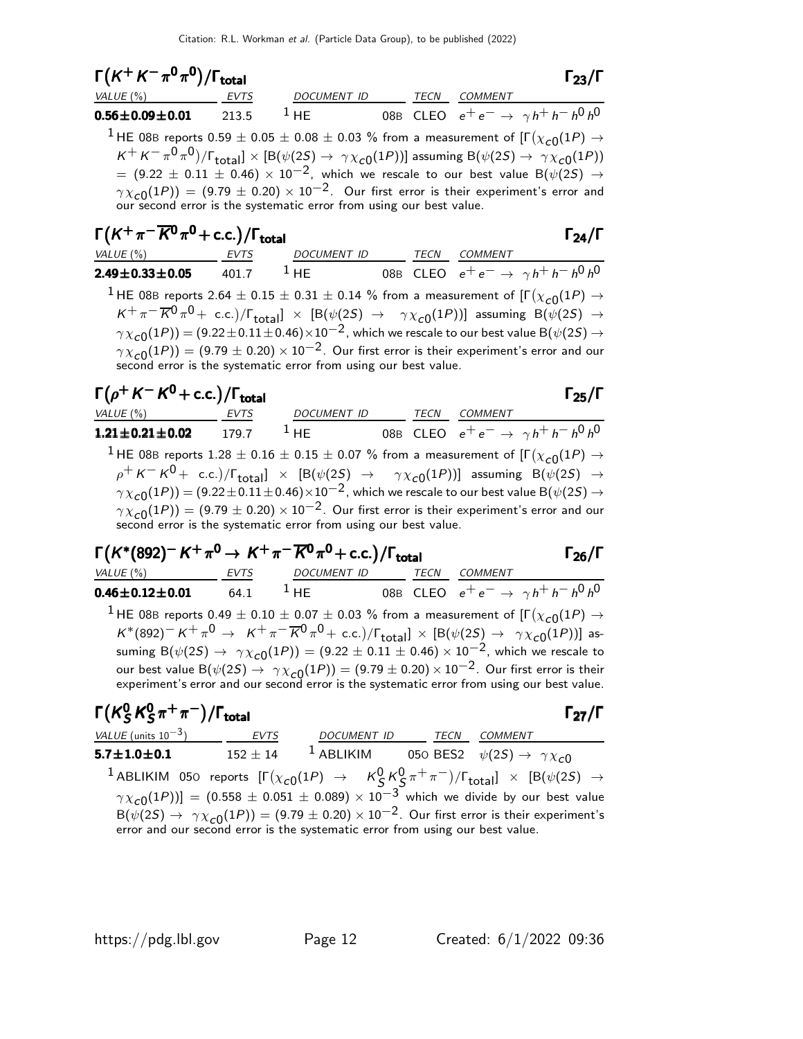| $\Gamma(K^+K^-\pi^0\pi^0)/\Gamma_{\rm total}$                                                                                            |                                                                                                                                                                                                                                                                                                                                                                                                                                                                                            |  | $\Gamma_{23}/\Gamma$ |
|------------------------------------------------------------------------------------------------------------------------------------------|--------------------------------------------------------------------------------------------------------------------------------------------------------------------------------------------------------------------------------------------------------------------------------------------------------------------------------------------------------------------------------------------------------------------------------------------------------------------------------------------|--|----------------------|
| $VALUE(%)$ EVTS                                                                                                                          | DOCUMENT ID TECN COMMENT                                                                                                                                                                                                                                                                                                                                                                                                                                                                   |  |                      |
| <b>0.56±0.09±0.01</b> 213.5 <sup>1</sup> HE 08B CLEO $e^+e^- \rightarrow \gamma h^+h^-h^0h^0$                                            |                                                                                                                                                                                                                                                                                                                                                                                                                                                                                            |  |                      |
| $^1$ HE 08B reports 0.59 $\pm$ 0.05 $\pm$ 0.08 $\pm$ 0.03 % from a measurement of [F $(\chi_{c0}(1P)$ $\rightarrow$                      | $K^+ K^- \pi^0 \pi^0)/\Gamma_{\text{total}}] \times [B(\psi(2S) \to \gamma \chi_{c0}(1P))]$ assuming $B(\psi(2S) \to \gamma \chi_{c0}(1P))$<br>$\mu = (9.22 \pm 0.11 \pm 0.46) \times 10^{-2}$ , which we rescale to our best value B( $\psi(2S) \rightarrow$<br>$\gamma \chi_{c0}(1P)) = (9.79 \pm 0.20) \times 10^{-2}$ . Our first error is their experiment's error and<br>our second error is the systematic error from using our best value.                                         |  |                      |
| $\Gamma(K^+\pi^-\overline{K^0}\pi^0$ + c.c.)/ $\Gamma_{\rm total}$                                                                       |                                                                                                                                                                                                                                                                                                                                                                                                                                                                                            |  | $\Gamma_{24}/\Gamma$ |
| VALUE (%) EVTS DOCUMENT ID TECN COMMENT<br><b>2.49±0.33±0.05</b> 401.7 <sup>1</sup> HE 08B CLEO $e^+e^- \rightarrow \gamma h^+h^-h^0h^0$ |                                                                                                                                                                                                                                                                                                                                                                                                                                                                                            |  |                      |
| $^{\text{1}}$ HE 08B reports 2.64 $\pm$ 0.15 $\pm$ 0.31 $\pm$ 0.14 % from a measurement of [F $(\chi_{\text{c}0}(1P)$ $\rightarrow$      | $K^+\pi^-\overline{K}{}^0\pi^0$ + c.c.)/ $\Gamma_{\text{total}}$ $\times$ [B( $\psi(2S)$ $\rightarrow$ $\gamma\chi_{c0}(1P)$ )] assuming B( $\psi(2S)$ $\rightarrow$<br>$\gamma \chi_{c\cap}(1P))=(9.22\pm 0.11\pm 0.46)\times 10^{-2}$ , which we rescale to our best value B $(\psi(2S)\rightarrow$<br>$\gamma \chi_{c0}(1P)) = (9.79 \pm 0.20) \times 10^{-2}$ . Our first error is their experiment's error and our<br>second error is the systematic error from using our best value. |  |                      |
| $\Gamma(\rho^+ K^- K^0 + \text{c.c.})/\Gamma_{\text{total}}$<br>VALUE (%) <b>EVTS</b> DOCUMENT ID TECN COMMENT                           |                                                                                                                                                                                                                                                                                                                                                                                                                                                                                            |  | $\Gamma_{25}/\Gamma$ |
| <b>1.21±0.21±0.02</b> 179.7 <sup>1</sup> HE 08B CLEO $e^+e^- \rightarrow \gamma h^+h^-h^0h^0$                                            |                                                                                                                                                                                                                                                                                                                                                                                                                                                                                            |  |                      |
| $^1$ HE 08B reports $1.28\pm0.16\pm0.15\pm0.07$ % from a measurement of [F $(\chi_{\bf C0}(1P)\rightarrow0.15\pm0.15\pm0.07)$            | $\rho^+ K^- K^0$ + c.c.)/ $\Gamma_{\text{total}}$ $\times$ [B( $\psi(2S)$ $\rightarrow$ $\gamma \chi_{c0}(1P)$ )] assuming B( $\psi(2S)$ $\rightarrow$<br>$\gamma \chi_{c0}(1P))$ = (9.22 $\pm$ 0.11 $\pm$ 0.46) $\times$ 10 $^{-2}$ , which we rescale to our best value B( $\psi(2S)$ $\rightarrow$<br>$\gamma \chi_{c0}(1P)) = (9.79 \pm 0.20) \times 10^{-2}$ . Our first error is their experiment's error and our                                                                    |  |                      |

## $\Gamma(K^*(892)^− K+π^0 → K+π−\overline{K}^0π^0 + c.c.) /Γ_{total}$  Γ<sub>26</sub>/Γ

second error is the systematic error from using our best value.

| VALUE $(\%)$             | <b>EVTS</b> | <b>DOCUMENT ID</b> | <b>TFCN</b> | COMMENT                                                                                                                                                                                                      |
|--------------------------|-------------|--------------------|-------------|--------------------------------------------------------------------------------------------------------------------------------------------------------------------------------------------------------------|
| $0.46 \pm 0.12 \pm 0.01$ | 64.1        | $1$ HF             |             | 08B CLEO $e^+e^- \rightarrow \gamma h^+h^-h^0h^0$                                                                                                                                                            |
|                          |             |                    |             | <sup>1</sup> HE 08B reports 0.49 $\pm$ 0.10 $\pm$ 0.07 $\pm$ 0.03 % from a measurement of $\Gamma(\chi_{c0}(1P) \rightarrow$                                                                                 |
|                          |             |                    |             | $K^*(892)^- K^+\pi^0 \to K^+\pi^-\overline{K}{}^0\pi^0$ + c.c.)/ $\Gamma_{\text{total}}$ × [B( $\psi(2S) \to \gamma \chi_{c0}(1P)$ )] as-                                                                    |
|                          |             |                    |             | suming B( $\psi(25) \to \gamma \chi_{c0}(1P)$ ) = (9.22 ± 0.11 ± 0.46) × 10 <sup>-2</sup> , which we rescale to                                                                                              |
|                          |             |                    |             | our best value $B(\psi(2S) \to \gamma \chi_{c0}(1P)) = (9.79 \pm 0.20) \times 10^{-2}$ . Our first error is their experiment's error and our second error is the systematic error from using our best value. |

#### Γ $(\mathcal{K}^{0}_{S}% ,\mathcal{C}^{0}_{S},\mathcal{C}^{0}_{S})$ Γ $(\mathcal{K}^{0}_{S}% ,\mathcal{C}^{0}_{S},\mathcal{C}^{0}_{S})$ Γ $(\mathcal{K}^{0}_{S}% ,\mathcal{C}^{0}_{S})$ Γ $(\mathcal{K}^{0}_{S}% ,\mathcal{C}^{0}_{S})$  $^{\mathsf{0}}_{\mathsf{S}}\kappa^{\mathsf{0}}_{\mathsf{S}}$  $\Gamma(K^0_S K^0_S \pi^+ \pi^-)/\Gamma_{\text{total}}$  Γ<sub>27</sub>/Γ

| $\Gamma(K^0_S K^0_S \pi^+\pi^-)/\Gamma_{\rm total}$ |                                                                                |             |                                                                                                                                                                                               | $\Gamma_{27}/\Gamma$ |
|-----------------------------------------------------|--------------------------------------------------------------------------------|-------------|-----------------------------------------------------------------------------------------------------------------------------------------------------------------------------------------------|----------------------|
| VALUE (units $10^{-3}$ ) EVTS                       | <b>DOCUMENT ID</b>                                                             | <b>TECN</b> | COMMENT                                                                                                                                                                                       |                      |
| $5.7\!\pm\!1.0\!\pm\!0.1$                           | 152 ± 14 <sup>1</sup> ABLIKIM 050 BES2 $\psi(2S) \rightarrow \gamma \chi_{c0}$ |             |                                                                                                                                                                                               |                      |
|                                                     |                                                                                |             | <sup>1</sup> ABLIKIM 050 reports $[\Gamma(\chi_{c0}(1P) \rightarrow K^0_S K^0_S \pi^+\pi^-)/\Gamma_{\text{total}}] \times [B(\psi(2S) \rightarrow$                                            |                      |
|                                                     |                                                                                |             | $\gamma \chi_{c0}(1P))$ ] = (0.558 ± 0.051 ± 0.089) × 10 <sup>-3</sup> which we divide by our best value                                                                                      |                      |
|                                                     |                                                                                |             | $B(\psi(2S) \to \gamma \chi_{c0}(1P)) = (9.79 \pm 0.20) \times 10^{-2}$ . Our first error is their experiment's error and our second error is the systematic error from using our best value. |                      |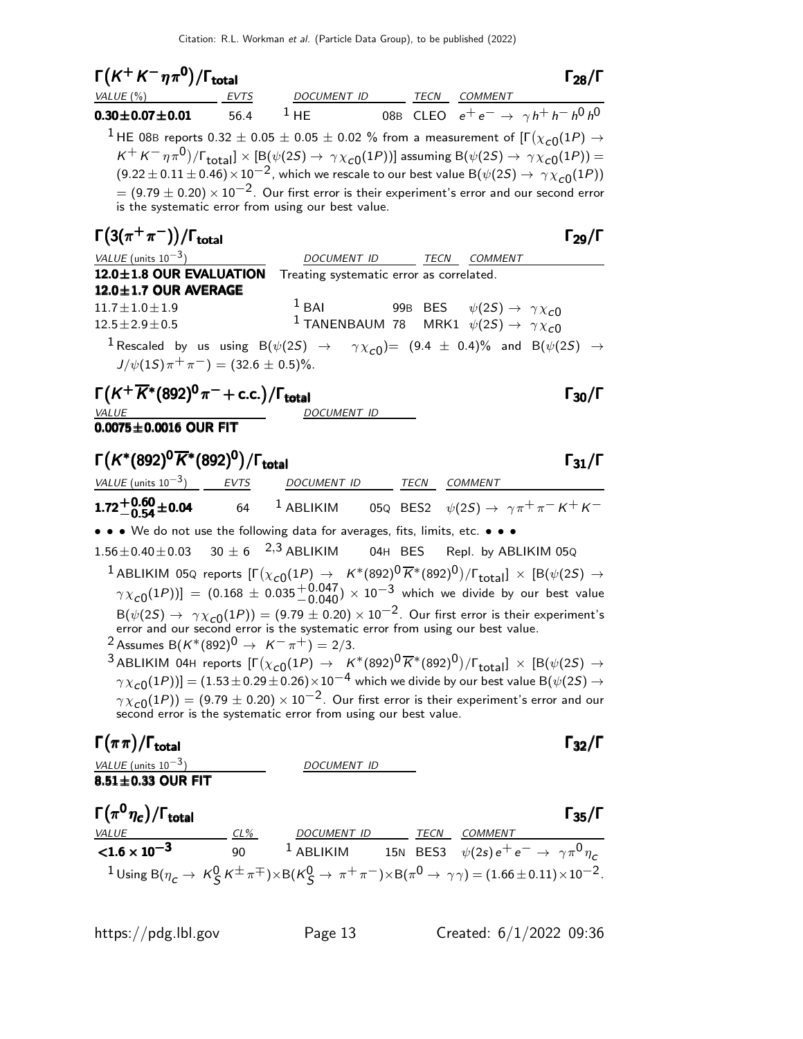| $\Gamma(K^+K^-\eta\pi^0)/\Gamma_{\rm total}$                                                                                                          |      |                                                                                                                                                                                                                                                                                                                                                                                                                                                                                                                                                                                          |  |                                                 | $\Gamma_{28}/\Gamma$                              |
|-------------------------------------------------------------------------------------------------------------------------------------------------------|------|------------------------------------------------------------------------------------------------------------------------------------------------------------------------------------------------------------------------------------------------------------------------------------------------------------------------------------------------------------------------------------------------------------------------------------------------------------------------------------------------------------------------------------------------------------------------------------------|--|-------------------------------------------------|---------------------------------------------------|
| VALUE $(\%)$                                                                                                                                          | EVTS | DOCUMENT ID TECN COMMENT                                                                                                                                                                                                                                                                                                                                                                                                                                                                                                                                                                 |  |                                                 |                                                   |
| $0.30 \pm 0.07 \pm 0.01$                                                                                                                              | 56.4 | $1$ HE                                                                                                                                                                                                                                                                                                                                                                                                                                                                                                                                                                                   |  |                                                 | 08B CLEO $e^+e^- \rightarrow \gamma h^+h^-h^0h^0$ |
|                                                                                                                                                       |      | $^1$ HE 08B reports 0.32 $\pm$ 0.05 $\pm$ 0.05 $\pm$ 0.02 % from a measurement of [F $(\chi_{\bm{c}0}(1P)$ $\rightarrow$<br>$K^+K^-\eta\pi^0)/\Gamma_{\rm total}$ ] $\times$ [B( $\psi(2S)\rightarrow\,\gamma\chi_{c0}(1P))$ ] assuming B( $\psi(2S)\rightarrow\,\gamma\chi_{c0}(1P))=$<br>$(9.22 \pm 0.11 \pm 0.46) \times 10^{-2}$ , which we rescale to our best value B $(\psi(2S) \rightarrow \gamma \chi_{c0}(1P))$<br>$= (9.79 \pm 0.20) \times 10^{-2}$ . Our first error is their experiment's error and our second error<br>is the systematic error from using our best value. |  |                                                 |                                                   |
| $\Gamma(3(\pi^+\pi^-))/\Gamma_{\rm total}$                                                                                                            |      |                                                                                                                                                                                                                                                                                                                                                                                                                                                                                                                                                                                          |  |                                                 | $\Gamma_{29}/\Gamma$                              |
| VALUE (units $10^{-3}$ )                                                                                                                              |      |                                                                                                                                                                                                                                                                                                                                                                                                                                                                                                                                                                                          |  | DOCUMENT ID TECN COMMENT                        |                                                   |
| 12.0±1.8 OUR EVALUATION                                                                                                                               |      | Treating systematic error as correlated.                                                                                                                                                                                                                                                                                                                                                                                                                                                                                                                                                 |  |                                                 |                                                   |
| $12.0 \pm 1.7$ OUR AVERAGE                                                                                                                            |      | $1$ BAI                                                                                                                                                                                                                                                                                                                                                                                                                                                                                                                                                                                  |  |                                                 |                                                   |
| $11.7 \pm 1.0 \pm 1.9$<br>$12.5 \pm 2.9 \pm 0.5$                                                                                                      |      | $^1$ TANENBAUM 78 MRK1 $\psi(2S) \rightarrow \ \gamma \chi_{\small{\mathcal{CO}}}$                                                                                                                                                                                                                                                                                                                                                                                                                                                                                                       |  | 99B BES $\psi(2S) \rightarrow \gamma \chi_{c0}$ |                                                   |
|                                                                                                                                                       |      | $^1$ Rescaled by us using B $(\psi(2S)$ $\rightarrow$ $\gamma\chi_{c0})$ = $(9.4~\pm~0.4)\%$ and B $(\psi(2S)$ $\rightarrow$                                                                                                                                                                                                                                                                                                                                                                                                                                                             |  |                                                 |                                                   |
| $J/\psi(1S)\pi^{+}\pi^{-}$ ) = (32.6 ± 0.5)%.                                                                                                         |      |                                                                                                                                                                                                                                                                                                                                                                                                                                                                                                                                                                                          |  |                                                 |                                                   |
| $\Gamma(K^+\overline{K}{}^*(892)^0\pi^-+$ c.c.)/ $\Gamma_{\rm total}$                                                                                 |      |                                                                                                                                                                                                                                                                                                                                                                                                                                                                                                                                                                                          |  |                                                 | $\Gamma_{30}/\Gamma$                              |
| <u>VALUE</u>                                                                                                                                          |      | DOCUMENT ID                                                                                                                                                                                                                                                                                                                                                                                                                                                                                                                                                                              |  |                                                 |                                                   |
| $0.0075 \pm 0.0016$ OUR FIT                                                                                                                           |      |                                                                                                                                                                                                                                                                                                                                                                                                                                                                                                                                                                                          |  |                                                 |                                                   |
| $\Gamma(K^*(892)^0\overline{K}^*(892)^0)/\Gamma_{\rm total}$                                                                                          |      |                                                                                                                                                                                                                                                                                                                                                                                                                                                                                                                                                                                          |  |                                                 | $\Gamma_{31}/\Gamma$                              |
| <u>VALUE</u> (units $10^{-3}$ ) EVTS                                                                                                                  |      | DOCUMENT ID TECN COMMENT                                                                                                                                                                                                                                                                                                                                                                                                                                                                                                                                                                 |  |                                                 |                                                   |
| $1.72^{+0.60}_{-0.54}$ ± 0.04                                                                                                                         |      | 64 $^{-1}$ ABLIKIM 05Q BES2 $\psi(2S) \rightarrow \gamma \pi^+ \pi^- K^+ K^-$                                                                                                                                                                                                                                                                                                                                                                                                                                                                                                            |  |                                                 |                                                   |
| • • • We do not use the following data for averages, fits, limits, etc. • • •                                                                         |      |                                                                                                                                                                                                                                                                                                                                                                                                                                                                                                                                                                                          |  |                                                 |                                                   |
| $1.56 \pm 0.40 \pm 0.03$ 30 $\pm$ 6 $^{2,3}$ ABLIKIM                                                                                                  |      |                                                                                                                                                                                                                                                                                                                                                                                                                                                                                                                                                                                          |  | 04H BES Repl. by ABLIKIM 05Q                    |                                                   |
|                                                                                                                                                       |      | $^1$ ABLIKIM 05Q reports $[\Gamma(\chi_{\cal C 0}(1P) \to~K^*(892)^{\rm 0}\overline{K}{}^*(892)^{\rm 0})/\Gamma_{\rm total}]\,\times\,[{\rm B}(\psi(2S) \to$                                                                                                                                                                                                                                                                                                                                                                                                                             |  |                                                 |                                                   |
|                                                                                                                                                       |      | $\gamma \chi_{c0}(1P))$ ] = (0.168 ± 0.035 $^{+0.047}_{-0.040}$ ) × 10 <sup>-3</sup> which we divide by our best value                                                                                                                                                                                                                                                                                                                                                                                                                                                                   |  |                                                 |                                                   |
|                                                                                                                                                       |      | $B(\psi(2S) \rightarrow \gamma \chi_{c0}(1P)) = (9.79 \pm 0.20) \times 10^{-2}$ . Our first error is their experiment's error and our second error is the systematic error from using our best value.                                                                                                                                                                                                                                                                                                                                                                                    |  |                                                 |                                                   |
| <sup>2</sup> Assumes B( $K^*(892)^0 \to K^-\pi^+$ ) = 2/3.                                                                                            |      |                                                                                                                                                                                                                                                                                                                                                                                                                                                                                                                                                                                          |  |                                                 |                                                   |
|                                                                                                                                                       |      | 3 ABLIKIM 04H reports $[\Gamma(\chi_{c0}(1P) \to K^*(892)^0 \overline{K}^*(892)^0)/\Gamma_{\text{total}}] \times [B(\psi(2S) \to$                                                                                                                                                                                                                                                                                                                                                                                                                                                        |  |                                                 |                                                   |
|                                                                                                                                                       |      | $\gamma \chi_{c0}(1P))]=(1.53\pm 0.29\pm 0.26)\times 10^{-4}$ which we divide by our best value B $(\psi(2S) \rightarrow$                                                                                                                                                                                                                                                                                                                                                                                                                                                                |  |                                                 |                                                   |
|                                                                                                                                                       |      | $\gamma \chi_{c0}(1P)$ = (9.79 ± 0.20) × 10 <sup>-2</sup> . Our first error is their experiment's error and our second error is the systematic error from using our best value.                                                                                                                                                                                                                                                                                                                                                                                                          |  |                                                 |                                                   |
| $\Gamma(\pi\pi)/\Gamma_{\rm total}$                                                                                                                   |      |                                                                                                                                                                                                                                                                                                                                                                                                                                                                                                                                                                                          |  |                                                 | $\Gamma_{32}/\Gamma$                              |
|                                                                                                                                                       |      | DOCUMENT ID                                                                                                                                                                                                                                                                                                                                                                                                                                                                                                                                                                              |  |                                                 |                                                   |
| <u>VALUE (units <math>10^{-3}</math>)</u><br>8.51±0.33 OUR FIT                                                                                        |      |                                                                                                                                                                                                                                                                                                                                                                                                                                                                                                                                                                                          |  |                                                 |                                                   |
| $\Gamma(\pi^0\eta_c)/\Gamma_{\rm total}$                                                                                                              |      |                                                                                                                                                                                                                                                                                                                                                                                                                                                                                                                                                                                          |  |                                                 | $\Gamma_{35}/\Gamma$                              |
| VALUE CIS CLS DOCUMENT ID TECN COMMENT<br><1.6 x 10 <sup>-3</sup> 90 <sup>1</sup> ABLIKIM 15N BES3 $\psi(2s) e^+ e^- \rightarrow \gamma \pi^0 \eta_c$ |      |                                                                                                                                                                                                                                                                                                                                                                                                                                                                                                                                                                                          |  |                                                 |                                                   |
|                                                                                                                                                       |      |                                                                                                                                                                                                                                                                                                                                                                                                                                                                                                                                                                                          |  |                                                 |                                                   |
|                                                                                                                                                       |      | <sup>1</sup> Using B( $\eta_c \to K^0_S K^{\pm} \pi^{\mp}$ )×B( $K^0_S \to \pi^+ \pi^-$ )×B( $\pi^0 \to \gamma \gamma$ ) = (1.66±0.11)×10 <sup>-2</sup> .                                                                                                                                                                                                                                                                                                                                                                                                                                |  |                                                 |                                                   |
|                                                                                                                                                       |      |                                                                                                                                                                                                                                                                                                                                                                                                                                                                                                                                                                                          |  |                                                 |                                                   |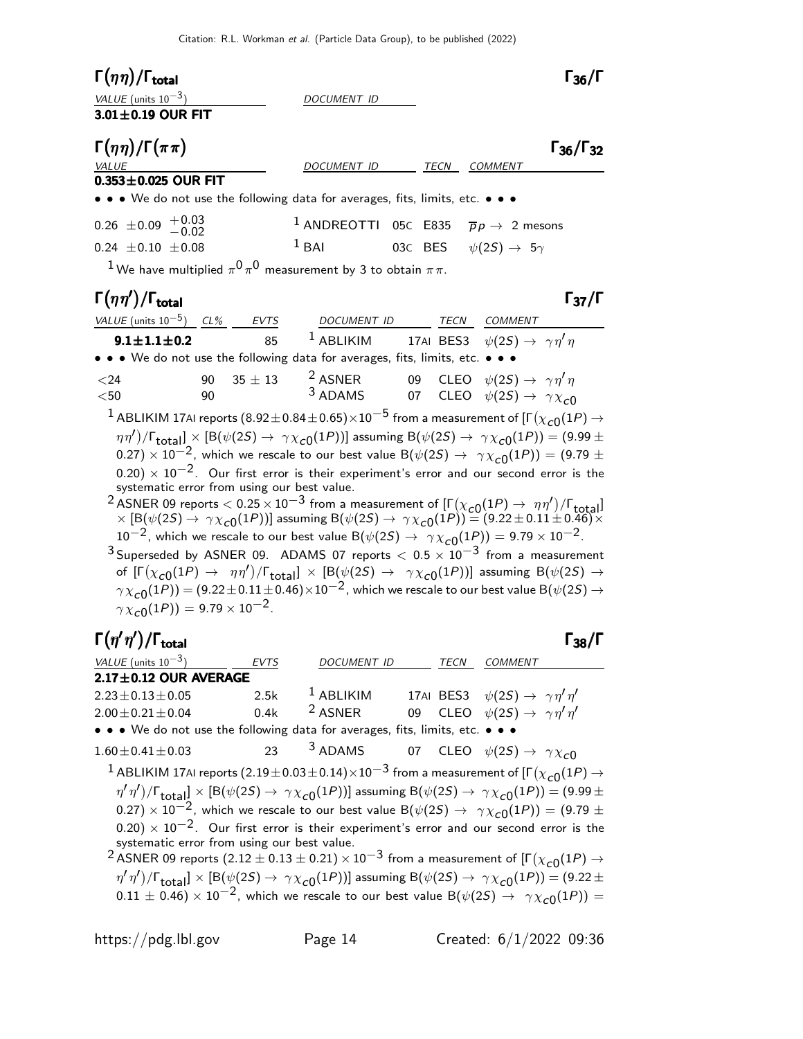| $\Gamma(\eta\eta)/\Gamma_{\rm total}$<br>VALUE (units $10^{-3}$ )<br>$3.01 \pm 0.19$ OUR FIT |                                             | DOCUMENT ID                                                                                                                                                                                |                                        | $\Gamma_{36}/\Gamma$                                                                                                                                                                                                                                                                                                                                                                                                                                                                                                                                                                                                                                                                                                                                                                                                                                                                                                                                                                                                                                                                                                                                                                   |
|----------------------------------------------------------------------------------------------|---------------------------------------------|--------------------------------------------------------------------------------------------------------------------------------------------------------------------------------------------|----------------------------------------|----------------------------------------------------------------------------------------------------------------------------------------------------------------------------------------------------------------------------------------------------------------------------------------------------------------------------------------------------------------------------------------------------------------------------------------------------------------------------------------------------------------------------------------------------------------------------------------------------------------------------------------------------------------------------------------------------------------------------------------------------------------------------------------------------------------------------------------------------------------------------------------------------------------------------------------------------------------------------------------------------------------------------------------------------------------------------------------------------------------------------------------------------------------------------------------|
| $\Gamma(\eta\eta)/\Gamma(\pi\pi)$<br><b>VALUE</b>                                            |                                             | DOCUMENT ID                                                                                                                                                                                | TECN COMMENT                           | $\Gamma_{36}/\Gamma_{32}$                                                                                                                                                                                                                                                                                                                                                                                                                                                                                                                                                                                                                                                                                                                                                                                                                                                                                                                                                                                                                                                                                                                                                              |
| $0.353\pm0.025$ OUR FIT                                                                      |                                             |                                                                                                                                                                                            |                                        |                                                                                                                                                                                                                                                                                                                                                                                                                                                                                                                                                                                                                                                                                                                                                                                                                                                                                                                                                                                                                                                                                                                                                                                        |
|                                                                                              |                                             | • • • We do not use the following data for averages, fits, limits, etc. • • •                                                                                                              |                                        |                                                                                                                                                                                                                                                                                                                                                                                                                                                                                                                                                                                                                                                                                                                                                                                                                                                                                                                                                                                                                                                                                                                                                                                        |
| $0.26 \pm 0.09 + 0.03$<br>-0.02                                                              |                                             | <sup>1</sup> ANDREOTTI 05C E835 $\bar{p}p \rightarrow 2$ mesons                                                                                                                            |                                        |                                                                                                                                                                                                                                                                                                                                                                                                                                                                                                                                                                                                                                                                                                                                                                                                                                                                                                                                                                                                                                                                                                                                                                                        |
| $0.24 \pm 0.10 \pm 0.08$                                                                     |                                             | $1$ BAI                                                                                                                                                                                    | 03C BES $\psi(2S) \rightarrow 5\gamma$ |                                                                                                                                                                                                                                                                                                                                                                                                                                                                                                                                                                                                                                                                                                                                                                                                                                                                                                                                                                                                                                                                                                                                                                                        |
|                                                                                              |                                             | <sup>1</sup> We have multiplied $\pi^0 \pi^0$ measurement by 3 to obtain $\pi \pi$ .                                                                                                       |                                        |                                                                                                                                                                                                                                                                                                                                                                                                                                                                                                                                                                                                                                                                                                                                                                                                                                                                                                                                                                                                                                                                                                                                                                                        |
| $\Gamma(\eta\eta')/\Gamma_{\rm total}$                                                       |                                             |                                                                                                                                                                                            |                                        | $\Gamma_{37}/\Gamma$                                                                                                                                                                                                                                                                                                                                                                                                                                                                                                                                                                                                                                                                                                                                                                                                                                                                                                                                                                                                                                                                                                                                                                   |
|                                                                                              |                                             |                                                                                                                                                                                            |                                        |                                                                                                                                                                                                                                                                                                                                                                                                                                                                                                                                                                                                                                                                                                                                                                                                                                                                                                                                                                                                                                                                                                                                                                                        |
|                                                                                              |                                             | $\frac{VALUE \text{ (units 10}^{-5})}{9.1 \pm 1.1 \pm 0.2}$ $\frac{CL\%}{85}$ $\frac{EVTS}{1}$ $\frac{DOCUMENT}{ABLIIM}$ $\frac{TECN}{17}$ $\frac{CDMMENT}{BES3}$ $\psi(2S)$ $\rightarrow$ |                                        | <sup>1</sup> ABLIKIM 17AI BES3 $\psi(2S) \rightarrow \gamma \eta' \eta$                                                                                                                                                                                                                                                                                                                                                                                                                                                                                                                                                                                                                                                                                                                                                                                                                                                                                                                                                                                                                                                                                                                |
|                                                                                              |                                             | • • • We do not use the following data for averages, fits, limits, etc. • • •                                                                                                              |                                        |                                                                                                                                                                                                                                                                                                                                                                                                                                                                                                                                                                                                                                                                                                                                                                                                                                                                                                                                                                                                                                                                                                                                                                                        |
| $24$<br>$50$                                                                                 | $35 \pm 13$<br>90<br>90                     |                                                                                                                                                                                            |                                        | 2 ASNER 09 CLEO $\psi(2S) \rightarrow \gamma \eta' \eta$<br>3 ADAMS 07 CLEO $\psi(2S) \rightarrow \gamma \chi_{c0}$                                                                                                                                                                                                                                                                                                                                                                                                                                                                                                                                                                                                                                                                                                                                                                                                                                                                                                                                                                                                                                                                    |
| $\gamma \chi_{c0}(1P) = 9.79 \times 10^{-2}$ .                                               | systematic error from using our best value. | $10^{-2}$ , which we rescale to our best value B $(\psi(2S) \rightarrow \gamma \chi_{c0}(1P)) = 9.79 \times 10^{-2}$ .                                                                     |                                        | $^1$ ABLIKIM 17AI reports (8.92 $\pm$ 0.84 $\pm$ 0.65) $\times$ 10 $^{-5}$ from a measurement of [F $(\chi_{c0}(1P) \rightarrow$<br>$(\eta\eta')/\Gamma_{\rm total}$ ] × [B( $\psi(2S) \to \gamma \chi_{c0}(1P)$ )] assuming B( $\psi(2S) \to \gamma \chi_{c0}(1P)$ ) = (9.99 ±<br>0.27) $\times$ 10 $^{-2}$ , which we rescale to our best value B( $\psi(2S) \rightarrow \gamma \chi_{c0}(1P)) = (9.79 \pm 0.02)$<br>$(0.20) \times 10^{-2}$ . Our first error is their experiment's error and our second error is the<br><sup>2</sup> ASNER 09 reports $< 0.25 \times 10^{-3}$ from a measurement of $[\Gamma(\chi_{c0}(1P) \to \eta \eta') / \Gamma_{\text{total}}] \times [B(\psi(2S) \to \gamma \chi_{c0}(1P))]$ assuming $B(\psi(2S) \to \gamma \chi_{c0}(1P)) = (9.22 \pm 0.11 \pm 0.46) \times$<br>$3$ Superseded by ASNER 09. ADAMS 07 reports $< 0.5 \times 10^{-3}$ from a measurement<br>of $[\Gamma(\chi_{c0}(1P) \to \eta\eta')/\Gamma_{\text{total}}] \times [B(\psi(2S) \to \gamma\chi_{c0}(1P))]$ assuming $B(\psi(2S) \to$<br>$\gamma \chi_{c\rm{O}}(1P)) = (9.22 \pm 0.11 \pm 0.46) \times 10^{-2}$ , which we rescale to our best value B( $\psi(2S) \rightarrow$ |
| $\Gamma(\eta'\eta')/\Gamma_{\rm total}$                                                      |                                             |                                                                                                                                                                                            |                                        | $\Gamma_{38}/\Gamma$                                                                                                                                                                                                                                                                                                                                                                                                                                                                                                                                                                                                                                                                                                                                                                                                                                                                                                                                                                                                                                                                                                                                                                   |
| VALUE (units $10^{-3}$ )<br>$2.17 \pm 0.12$ OUR AVERAGE                                      | EVTS                                        | DOCUMENT ID                                                                                                                                                                                | TECN                                   | <b>COMMENT</b>                                                                                                                                                                                                                                                                                                                                                                                                                                                                                                                                                                                                                                                                                                                                                                                                                                                                                                                                                                                                                                                                                                                                                                         |
| $2.23 \pm 0.13 \pm 0.05$                                                                     | 2.5k                                        | <sup>1</sup> ABLIKIM                                                                                                                                                                       | 17AI BES3                              | $\psi(2S) \rightarrow \gamma \eta' \eta'$                                                                                                                                                                                                                                                                                                                                                                                                                                                                                                                                                                                                                                                                                                                                                                                                                                                                                                                                                                                                                                                                                                                                              |
| $2.00 \pm 0.21 \pm 0.04$                                                                     | 0.4k                                        | <sup>2</sup> ASNER                                                                                                                                                                         | 09                                     | CLEO $\psi(2S) \rightarrow \gamma \eta' \eta'$                                                                                                                                                                                                                                                                                                                                                                                                                                                                                                                                                                                                                                                                                                                                                                                                                                                                                                                                                                                                                                                                                                                                         |
|                                                                                              |                                             | • • • We do not use the following data for averages, fits, limits, etc. • • •                                                                                                              |                                        |                                                                                                                                                                                                                                                                                                                                                                                                                                                                                                                                                                                                                                                                                                                                                                                                                                                                                                                                                                                                                                                                                                                                                                                        |
| $1.60 \pm 0.41 \pm 0.03$                                                                     | 23                                          | 3 ADAMS                                                                                                                                                                                    | <b>CLEO</b><br>07                      | $\psi(2S) \rightarrow \gamma \chi_{c0}$                                                                                                                                                                                                                                                                                                                                                                                                                                                                                                                                                                                                                                                                                                                                                                                                                                                                                                                                                                                                                                                                                                                                                |

 $^1$  ABLIKIM 17AI reports  $(2.19\pm0.03\pm0.14)\times10^{-3}$  from a measurement of [Г $(\chi_{\bf C0}(1P) \rightarrow$  $\gamma'\eta')/\Gamma_{\rm total} \propto [{\rm B}(\psi(2S) \to \ \gamma \chi_{\rm C}^{\rm 0}(1P))]$  assuming  ${\rm B}(\psi(2S) \to \ \gamma \chi_{\rm C}^{\rm 0}(1P))=$   $(9.99 \pm 1)$ 0.27)  $\times$  10<sup>-2</sup>, which we rescale to our best value B( $\psi(2S) \rightarrow \gamma \chi_{c0}(1P)$ ) = (9.79 ±  $(0.20) \times 10^{-2}$ . Our first error is their experiment's error and our second error is the systematic error from using our best value.

 $^2$  ASNER 09 reports  $(2.12\pm0.13\pm0.21)\times10^{-3}$  from a measurement of [Г $(\chi_{\bf C0}(1P)\rightarrow0.13\pm0.21)\times10^{-3}$  $\gamma'\eta')/\Gamma_{\rm total}]\times [B(\psi(2S)\to\,\gamma\chi_{\rm C0}(1P))]$  assuming  ${\rm B}(\psi(2S)\to\,\gamma\chi_{\rm C0}(1P))=(9.22\pm 1)$  $0.11 \pm 0.46$ )  $\times$   $10^{-2}$ , which we rescale to our best value B( $\psi(2S) \rightarrow \gamma \chi_{c0}(1P)$ ) =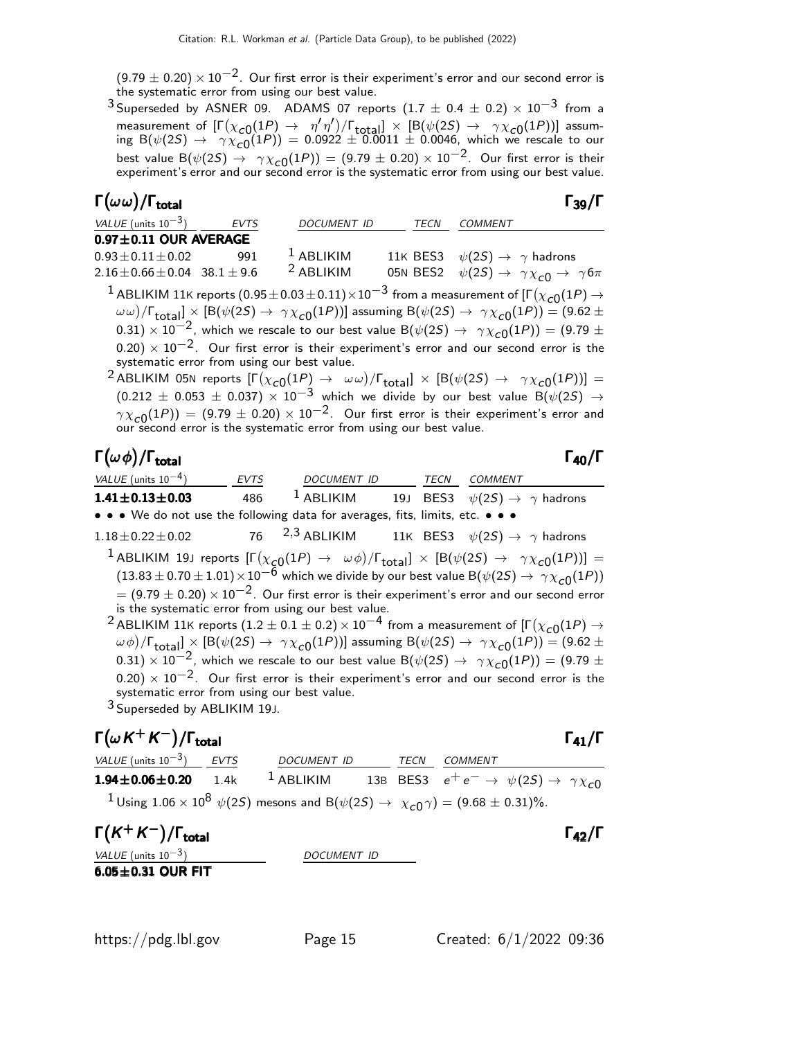$(9.79 \pm 0.20) \times 10^{-2}$ . Our first error is their experiment's error and our second error is the systematic error from using our best value.

<sup>3</sup> Superseded by ASNER 09. ADAMS 07 reports  $(1.7 \pm 0.4 \pm 0.2) \times 10^{-3}$  from a measurement of  $[\Gamma(\chi_{c0}(1P) \to \eta' \eta')] / [\text{total}] \times [B(\psi(2S) \to \gamma \chi_{c0}(1P))]$  assuming B $(\psi(2S) \rightarrow \gamma \chi_{\rm c0}(1P)) = 0.0922 \pm 0.0011 \pm 0.0046$ , which we rescale to our best value  $\mathsf{B}(\psi(2S) \to \gamma \chi_{\mathsf{C}}(1P)) = (9.79 \pm 0.20) \times 10^{-2}$ . Our first error is their experiment's error and our second error is the systematic error from using our best value.

#### Γ $(\omega \, \omega)/\Gamma_{\rm total}$

| ×<br>۰.<br>۰.<br>M. |  |
|---------------------|--|
|---------------------|--|

| VALUE (units $10^{-3}$ )                    | <b>EVTS</b> | DOCUMENT ID          | TECN | <i>COMMENT</i>                                                                                                                                                                                                                                                                                                                                                                                                                                                                                                                                                                                                                                                                                                                                                                                                                                                                                                                                                                    |
|---------------------------------------------|-------------|----------------------|------|-----------------------------------------------------------------------------------------------------------------------------------------------------------------------------------------------------------------------------------------------------------------------------------------------------------------------------------------------------------------------------------------------------------------------------------------------------------------------------------------------------------------------------------------------------------------------------------------------------------------------------------------------------------------------------------------------------------------------------------------------------------------------------------------------------------------------------------------------------------------------------------------------------------------------------------------------------------------------------------|
| $0.97 \pm 0.11$ OUR AVERAGE                 |             |                      |      |                                                                                                                                                                                                                                                                                                                                                                                                                                                                                                                                                                                                                                                                                                                                                                                                                                                                                                                                                                                   |
| $0.93 \pm 0.11 \pm 0.02$                    | 991         | $1$ ABLIKIM          |      | 11K BES3 $\psi(2S) \rightarrow \gamma$ hadrons                                                                                                                                                                                                                                                                                                                                                                                                                                                                                                                                                                                                                                                                                                                                                                                                                                                                                                                                    |
| $2.16 \pm 0.66 \pm 0.04$ 38.1 $\pm$ 9.6     |             | <sup>2</sup> ABLIKIM |      | 05N BES2 $\psi(2S) \rightarrow \gamma \chi_{c0} \rightarrow \gamma 6\pi$                                                                                                                                                                                                                                                                                                                                                                                                                                                                                                                                                                                                                                                                                                                                                                                                                                                                                                          |
| systematic error from using our best value. |             |                      |      | <sup>1</sup> ABLIKIM 11K reports $(0.95\pm0.03\pm0.11)\times10^{-3}$ from a measurement of [F $(\chi_{c0}(1P) \rightarrow$<br>$(\omega \omega)/\Gamma_{\text{total}}] \times [B(\psi(2S) \to \gamma \chi_{c0}(1P))]$ assuming $B(\psi(2S) \to \gamma \chi_{c0}(1P)) = (9.62 \pm 1)$<br>0.31) $\times$ 10 <sup>-2</sup> , which we rescale to our best value B( $\psi$ (2S) $\rightarrow \gamma \chi_{c0}(1P)$ ) = (9.79 ±<br>$(0.20) \times 10^{-2}$ . Our first error is their experiment's error and our second error is the<br><sup>2</sup> ABLIKIM 05N reports $[\Gamma(\chi_{c0}(1P) \to \omega\omega)/\Gamma_{\text{total}}] \times [B(\psi(2S) \to \gamma\chi_{c0}(1P))] =$<br>$(0.212 \pm 0.053 \pm 0.037) \times 10^{-3}$ which we divide by our best value B( $\psi(2S) \rightarrow$<br>$\gamma \chi_{c0}(1P)$ = (9.79 ± 0.20) × 10 <sup>-2</sup> . Our first error is their experiment's error and our second error is the systematic error from using our best value. |

#### Γ $(\omega \phi)/\Gamma_{\text{total}}$  Γ $_{40}/\Gamma$

total $\overline{40/1}$ 

| VALUE (units $10^{-4}$ )                                                                                                                                            | EVTS | DOCUMENT ID TECN |  |  | COMMENT                                                                                                                                         |  |
|---------------------------------------------------------------------------------------------------------------------------------------------------------------------|------|------------------|--|--|-------------------------------------------------------------------------------------------------------------------------------------------------|--|
| $1.41 \pm 0.13 \pm 0.03$                                                                                                                                            | 486  | $1$ ABLIKIM      |  |  | 19J BES3 $\psi(2S) \rightarrow \gamma$ hadrons                                                                                                  |  |
| • • • We do not use the following data for averages, fits, limits, etc. • • •                                                                                       |      |                  |  |  |                                                                                                                                                 |  |
| $1.18 \pm 0.22 \pm 0.02$                                                                                                                                            |      |                  |  |  | 76 $2,3$ ABLIKIM $11$ K BES3 $\psi(2S) \rightarrow \gamma$ hadrons                                                                              |  |
|                                                                                                                                                                     |      |                  |  |  | <sup>1</sup> ABLIKIM 19J reports $[\Gamma(\chi_{c0}(1P) \to \omega \phi)/\Gamma_{total}] \times [B(\psi(2S) \to \gamma \chi_{c0}(1P))] =$       |  |
|                                                                                                                                                                     |      |                  |  |  | $(13.83 \pm 0.70 \pm 1.01) \times 10^{-6}$ which we divide by our best value B( $\psi(2S) \rightarrow \gamma \chi_{c0}(1P)$ )                   |  |
|                                                                                                                                                                     |      |                  |  |  | $=$ (9.79 $\pm$ 0.20) $\times$ 10 <sup>-2</sup> . Our first error is their experiment's error and our second error                              |  |
| is the systematic error from using our best value.                                                                                                                  |      |                  |  |  |                                                                                                                                                 |  |
|                                                                                                                                                                     |      |                  |  |  | <sup>2</sup> ABLIKIM 11K reports (1.2 $\pm$ 0.1 $\pm$ 0.2) $\times$ 10 <sup>-4</sup> from a measurement of [ $\Gamma(\chi_{c0}(1P) \rightarrow$ |  |
| $(\omega \phi)/\Gamma_{\text{total}}$ × [B( $\psi$ (2S) $\rightarrow \gamma \chi_{c0}(1P)$ ] assuming B( $\psi$ (2S) $\rightarrow \gamma \chi_{c0}(1P)$ ) = (9.62 ± |      |                  |  |  |                                                                                                                                                 |  |
|                                                                                                                                                                     |      |                  |  |  | 0.31) $\times$ 10 <sup>-2</sup> , which we rescale to our best value B( $\psi(2S) \rightarrow \gamma \chi_{c0}(1P)$ ) = (9.79 ±                 |  |
| systematic error from using our best value.                                                                                                                         |      |                  |  |  | $(0.20) \times 10^{-2}$ . Our first error is their experiment's error and our second error is the                                               |  |

3 Superseded by ABLIKIM 19J.

### $\Gamma(\omega K^+ K^-)/\Gamma_{\rm total}$  Γ<sub>41</sub>/Γ

/Γ<sub>total</sub> Γ<sub>41</sub>/Γ VALUE (units 10<sup>-3</sup>) EVTS DOCUMENT ID TECN COMMENT **1.94±0.06±0.20** 1.4k <sup>1</sup> ABLIKIM 13B BES3  $e^+e^- \rightarrow \psi(2S) \rightarrow \gamma \chi_{c0}$  $1$ Using  $1.06 \times 10^8$   $\psi(2S)$  mesons and  $\text{B}(\psi(2S) \rightarrow X_{c0} \gamma) = (9.68 \pm 0.31)\%.$ 

 $\Gamma(K^+K^-)/\Gamma_{\text{total}}$  Γ<sub>42</sub>/Γ total and the contract of the contract of the contract of the contract of the contract of the contract of the c

VALUE (units  $10^{-3}$ ) DOCUMENT ID  $6.05 \pm 0.31$  OUR FIT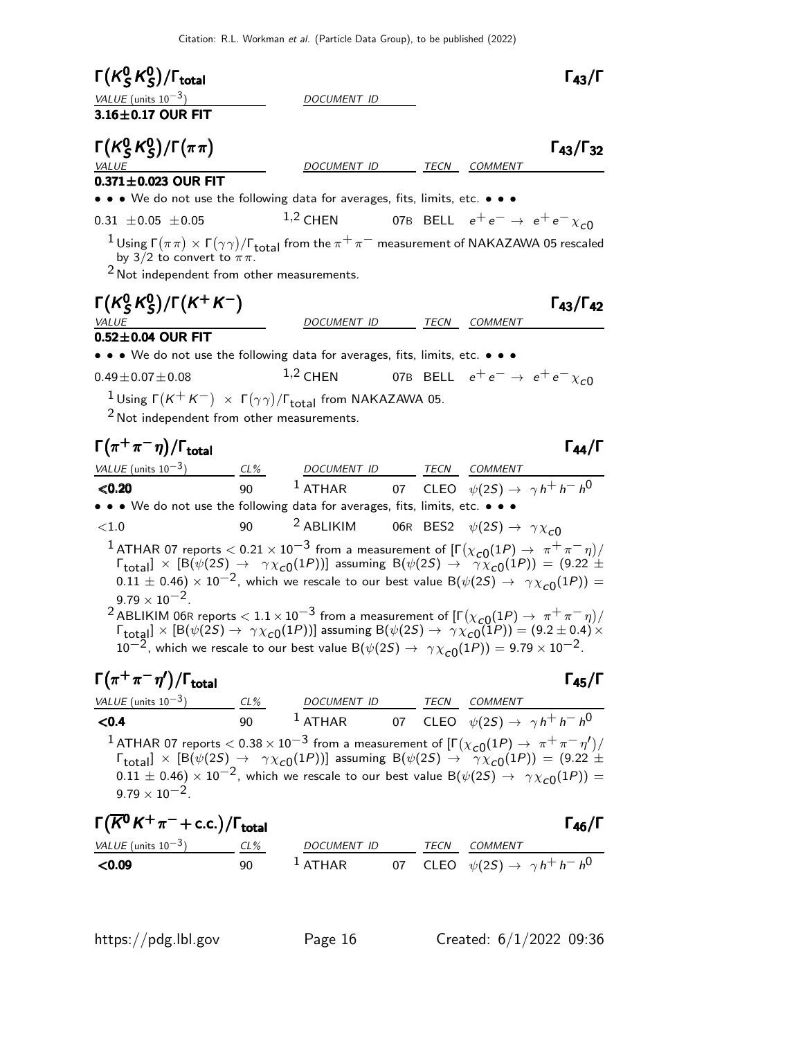| $\Gamma(K_S^0 K_S^0)/\Gamma_{\rm total}$                                                                                                                                                                                                                                                                                                                                                                                                                                                                                                                        |        |                                                                 |  |                                                  | $\Gamma_{43}/\Gamma$      |
|-----------------------------------------------------------------------------------------------------------------------------------------------------------------------------------------------------------------------------------------------------------------------------------------------------------------------------------------------------------------------------------------------------------------------------------------------------------------------------------------------------------------------------------------------------------------|--------|-----------------------------------------------------------------|--|--------------------------------------------------|---------------------------|
| VALUE (units $10^{-3}$ )<br>3.16±0.17 OUR FIT                                                                                                                                                                                                                                                                                                                                                                                                                                                                                                                   |        | DOCUMENT ID                                                     |  |                                                  |                           |
| $\Gamma(K_S^0 K_S^0)/\Gamma(\pi\pi)$<br><i>VALUE</i><br>$0.371 \pm 0.023$ OUR FIT<br>• • • We do not use the following data for averages, fits, limits, etc. • • •                                                                                                                                                                                                                                                                                                                                                                                              |        | DOCUMENT ID                                                     |  | TECN COMMENT                                     | $\Gamma_{43}/\Gamma_{32}$ |
| $0.31 \pm 0.05 \pm 0.05$                                                                                                                                                                                                                                                                                                                                                                                                                                                                                                                                        |        | $1,2$ CHEN                                                      |  | 07B BELL $e^+e^- \rightarrow e^+e^- \chi_{c0}$   |                           |
| <sup>1</sup> Using $\Gamma(\pi\pi) \times \Gamma(\gamma\gamma)/\Gamma_{\text{total}}$ from the $\pi^+\pi^-$ measurement of NAKAZAWA 05 rescaled<br>by 3/2 to convert to $\pi\pi$ .<br>$2$ Not independent from other measurements.                                                                                                                                                                                                                                                                                                                              |        |                                                                 |  |                                                  |                           |
| $\Gamma(K_S^0 K_S^0)/\Gamma(K^+ K^-)$                                                                                                                                                                                                                                                                                                                                                                                                                                                                                                                           |        |                                                                 |  |                                                  | $\Gamma_{43}/\Gamma_{42}$ |
| VALUE                                                                                                                                                                                                                                                                                                                                                                                                                                                                                                                                                           |        | DOCUMENT ID TECN COMMENT                                        |  |                                                  |                           |
| $0.52\pm0.04$ OUR FIT<br>• • • We do not use the following data for averages, fits, limits, etc. • • •                                                                                                                                                                                                                                                                                                                                                                                                                                                          |        |                                                                 |  |                                                  |                           |
| $0.49 \pm 0.07 \pm 0.08$                                                                                                                                                                                                                                                                                                                                                                                                                                                                                                                                        |        | $1,2$ CHEN                                                      |  | 07B BELL $e^+e^- \rightarrow e^+e^- \chi_{c0}$   |                           |
| <sup>1</sup> Using $\Gamma(K^+K^-) \times \Gamma(\gamma\gamma)/\Gamma_{\text{total}}$ from NAKAZAWA 05.<br>$2$ Not independent from other measurements.                                                                                                                                                                                                                                                                                                                                                                                                         |        |                                                                 |  |                                                  |                           |
| $\Gamma(\pi^+\pi^-\eta)/\Gamma_{\rm total}$                                                                                                                                                                                                                                                                                                                                                                                                                                                                                                                     |        |                                                                 |  |                                                  | $\Gamma_{44}/\Gamma$      |
| VALUE (units $10^{-3}$ ) CL% DOCUMENT ID TECN COMMENT                                                                                                                                                                                                                                                                                                                                                                                                                                                                                                           |        |                                                                 |  |                                                  |                           |
| < 0.20                                                                                                                                                                                                                                                                                                                                                                                                                                                                                                                                                          | 90     | $^{-1}$ ATHAR 07 CLEO $\psi(2S) \rightarrow \gamma h^+ h^- h^0$ |  |                                                  |                           |
| • • • We do not use the following data for averages, fits, limits, etc. • • •                                                                                                                                                                                                                                                                                                                                                                                                                                                                                   |        |                                                                 |  |                                                  |                           |
| ${<}1.0$                                                                                                                                                                                                                                                                                                                                                                                                                                                                                                                                                        | 90     | <sup>2</sup> ABLIKIM                                            |  | 06R BES2 $\psi(2S) \rightarrow \gamma \chi_{c0}$ |                           |
| $^1$ ATHAR 07 reports $<$ 0.21 $\times$ 10 $^{-3}$ from a measurement of [Г $(\chi_{c0}(1P) \rightarrow~\pi^+\pi^-\eta)/$<br>$\Gamma_{\text{total}}$ $\times$ [B( $\psi(2S) \rightarrow \gamma \chi_{c0}(1P)$ )] assuming B( $\psi(2S) \rightarrow \gamma \chi_{c0}(1P)$ ) = (9.22 ±<br>$(0.11 \pm 0.46) \times 10^{-2}$ , which we rescale to our best value B $(\psi(2S) \rightarrow \gamma \chi_{c0}(1P)) =$<br>$9.79 \times 10^{-2}$ .<br>$^2$ ABLIKIM 06R reports $< 1.1 \times 10^{-3}$ from a measurement of [F $(\chi_{c0}(1P) \to \pi^+ \pi^- \eta)/1$ |        |                                                                 |  |                                                  |                           |
| $\Gamma_{\text{total}}$ ] $\times$ [B( $\psi(2S) \rightarrow \gamma \chi_{c0}(1P)$ )] assuming B( $\psi(2S) \rightarrow \gamma \chi_{c0}(1P)$ ) = (9.2 ± 0.4) $\times$<br>$10^{-2}$ , which we rescale to our best value B $(\psi(2S) \rightarrow \gamma \chi_{c0}(1P)) = 9.79 \times 10^{-2}$ .                                                                                                                                                                                                                                                                |        |                                                                 |  |                                                  |                           |
| $\Gamma(\pi^+\pi^-\eta')/\Gamma_{\rm total}$                                                                                                                                                                                                                                                                                                                                                                                                                                                                                                                    |        |                                                                 |  |                                                  | $\Gamma_{45}/\Gamma$      |
| VALUE (units 10 <sup>-3</sup> ) CL% DOCUMENT ID TECN COMMENT<br><b>CO.4</b> 90 1 ATHAR 07 CLEO $\psi(2S) \rightarrow \gamma h^+ h^- h^0$                                                                                                                                                                                                                                                                                                                                                                                                                        |        |                                                                 |  |                                                  |                           |
|                                                                                                                                                                                                                                                                                                                                                                                                                                                                                                                                                                 |        |                                                                 |  |                                                  |                           |
| <sup>1</sup> ATHAR 07 reports $< 0.38 \times 10^{-3}$ from a measurement of $[\Gamma(\chi_{c0}(1P) \to \pi^+ \pi^- \eta')]$<br>$\Gamma_{\text{total}}] \times [\mathsf{B}(\psi(2S) \to \gamma \chi_{c0}(1P))]$ assuming $\mathsf{B}(\psi(2S) \to \gamma \chi_{c0}(1P)) = (9.22 \pm 1)$<br>$0.11 \pm 0.46$ ) $\times 10^{-2}$ , which we rescale to our best value B( $\psi(2S) \rightarrow \gamma \chi_{c0}(1P)$ ) =<br>$9.79 \times 10^{-2}$ .                                                                                                                 |        |                                                                 |  |                                                  |                           |
| $\Gamma(\overline{K}^0 K^+\pi^-+c.c.)/\Gamma_{\rm total}$                                                                                                                                                                                                                                                                                                                                                                                                                                                                                                       |        |                                                                 |  |                                                  | $\Gamma_{46}/\Gamma$      |
| $VALUE$ (units $10^{-3}$ )                                                                                                                                                                                                                                                                                                                                                                                                                                                                                                                                      | $CL\%$ |                                                                 |  |                                                  |                           |
| < 0.09                                                                                                                                                                                                                                                                                                                                                                                                                                                                                                                                                          | 90     | 1 ATHAR 07 CLEO $\psi(2S) \rightarrow \gamma h^+ h^- h^0$       |  |                                                  |                           |

**<0.09** 90  $^1$  ATHAR 07 CLEO  $\psi(2S) \rightarrow \gamma h^+ h^- h^0$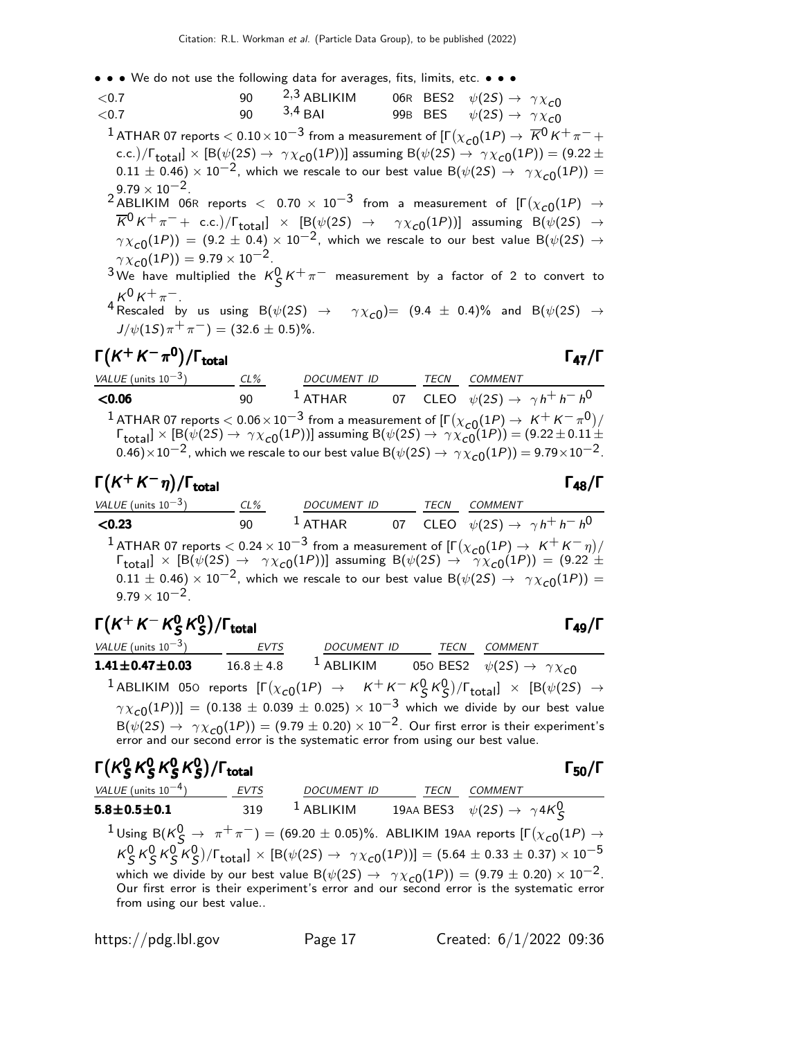- • We do not use the following data for averages, fits, limits, etc. • •
- $<$ 0.7 90  $<sup>2,3</sup>$  ABLIKIM 06R BES2  $\psi(2S) \rightarrow \gamma \chi_{c0}$ <br> $<$ 0.7 90  $<sup>3,4</sup>$  BAI 99B BES  $\psi(2S) \rightarrow \gamma \chi_{c0}$ </sup></sup>  $\psi(2S) \rightarrow \gamma \chi_{c0}$  $^1$  ATHAR 07 reports  $<$  0.10  $\times$  10 $^{-3}$  from a measurement of [Г $(\chi_{\bm{c} 0}(1P) \rightarrow \ \overline{K}{}^0\,K^+\,\pi^- +$ c.c.)/ $\Gamma_{\rm total}$ ]  $\times$  [B( $\psi(2S)\to~\gamma\chi_{\rm C0}(1P))$ ] assuming B( $\psi(2S)\to~\gamma\chi_{\rm C0}(1P))=(9.22\pm$  $(0.11 \pm 0.46) \times 10^{-2}$ , which we rescale to our best value B $(\psi(2S) \rightarrow \gamma \chi_{c0}(1P)) =$  $9.79 \times 10^{-2}$ .  $^2$  ABLIKIM 06R reports  $<$  0.70  $\times$   $10^{-3}$  from a measurement of  $[\Gamma(\chi_{c0}(1P)$   $\rightarrow$ K0 K+ π− + c.c. /Γtotal] × [B(ψ(2S) → γ χc0 (1P))] assuming B(ψ(2S) →  $\gamma \chi_{c0}(1P)$ ) = (9.2 ± 0.4) × 10<sup>-2</sup>, which we rescale to our best value B( $\psi(2S) \rightarrow$  $\gamma \chi_{c0}(1P)$ ) = 9.79 × 10<sup>-2</sup>. <sup>3</sup> We have multiplied the  $K_S^0 K^+ \pi^-$  measurement by a factor of 2 to convert to  $K^0 K^+ \pi^-$ .  $^4$  Rescaled by us using  $B(\psi(2S) \rightarrow \gamma \chi_{c0}) = (9.4 \pm 0.4)\%$  and  $B(\psi(2S) \rightarrow \pi \chi_{c0})$  $J/\psi(1S)\pi^{+}\pi^{-}) = (32.6 \pm 0.5)\%$ .

## $\Gamma(K^+ K^- \pi^0)/\Gamma_{\text{total}}$  Γ<sub>47</sub>/Γ

| VALUE (units $10^{-3}$ ) | $CL\%$ | <b>DOCUMENT ID</b> | TECN | COMMENT                                                                                                                                                                                                                                                                                                                                                                                                                             |
|--------------------------|--------|--------------------|------|-------------------------------------------------------------------------------------------------------------------------------------------------------------------------------------------------------------------------------------------------------------------------------------------------------------------------------------------------------------------------------------------------------------------------------------|
| < 0.06                   | 90     | $^1$ ATHAR         |      | 07 CLEO $\psi(2S) \rightarrow \gamma h^+ h^- h^0$                                                                                                                                                                                                                                                                                                                                                                                   |
|                          |        |                    |      | <sup>1</sup> ATHAR 07 reports $< 0.06 \times 10^{-3}$ from a measurement of $[\Gamma(\chi_{c0}(1P) \to K^+ K^- \pi^0)/\Gamma_{\rm total}] \times [B(\psi(2S) \to \gamma \chi_{c0}(1P))]$ assuming $B(\psi(2S) \to \gamma \chi_{c0}(1P)) = (9.22 \pm 0.11 \pm 0.005)$<br>0.46) $\times$ 10 <sup>-2</sup> , which we rescale to our best value B( $\psi$ (2S) $\rightarrow \gamma \chi_{c0}(1P)$ ) = 9.79 $\times$ 10 <sup>-2</sup> . |

## $\Gamma(K^+ K^- \eta)/\Gamma_{\text{total}}$  Γ<sub>48</sub>/Γ

| VALUE (units $10^{-3}$ ) | $CL\%$ | DOCUMENT ID |  | <b>TECN COMMENT</b>                               |
|--------------------------|--------|-------------|--|---------------------------------------------------|
| < 0.23                   | ۹N     | $1$ ATHAR   |  | 07 CLEO $\psi(2S) \rightarrow \gamma h^+ h^- h^0$ |

1 ATHAR 07 reports  $< 0.24 \times 10^{-3}$  from a measurement of  $[\Gamma(\chi_{c0}(1P) \to K^+ K^- \eta)]$  $\Gamma_{\rm total}$ ]  $\times$  [B( $\psi(2S) \rightarrow \gamma \chi_{c0}(1P)$ )] assuming B( $\psi(2S) \rightarrow \gamma \chi_{c0}(1P)$ ) = (9.22  $\pm$  $0.11 \pm 0.46$   $\times$   $10^{-2}$ , which we rescale to our best value B( $\psi(25) \rightarrow \gamma \chi_{c0}(1P)$ ) =  $9.79 \times 10^{-2}$ .

#### Γ $(\kappa^+ \kappa^- \kappa_S^0$  $^0_S\,$ K $^0_S$  $\Gamma(K^+ K^- K^0_S K^0_S)/\Gamma_{\text{total}}$  Γ<sub>49</sub>/Γ

| VALUE (units $10^{-3}$ )                                                      | <b>EVTS</b>    | DOCUMENT ID  | TECN | COMMENT                                                                                                                                       |
|-------------------------------------------------------------------------------|----------------|--------------|------|-----------------------------------------------------------------------------------------------------------------------------------------------|
| $1.41 \pm 0.47 \pm 0.03$                                                      | $16.8 \pm 4.8$ | $^1$ ABLIKIM |      | 050 BES2 $\psi(2S) \rightarrow \gamma \chi_{c0}$                                                                                              |
|                                                                               |                |              |      | <sup>1</sup> ABLIKIM 050 reports $[\Gamma(\chi_{c0}(1P) \rightarrow K^+K^-K^0_S K^0_S)/\Gamma_{\text{total}}] \times [B(\psi(2S) \rightarrow$ |
|                                                                               |                |              |      | $\gamma \chi_{c0}(1P)$ ] = (0.138 ± 0.039 ± 0.025) × 10 <sup>-3</sup> which we divide by our best value                                       |
|                                                                               |                |              |      | $B(\psi(2S) \rightarrow \gamma \chi_{c0}(1P)) = (9.79 \pm 0.20) \times 10^{-2}$ . Our first error is their experiment's                       |
| error and our second error is the systematic error from using our best value. |                |              |      |                                                                                                                                               |

| $\Gamma(K_S^0 K_S^0 K_S^0 K_S^0)/\Gamma_{\rm total}$ |  |  | $\Gamma_{50}/\Gamma$ |
|------------------------------------------------------|--|--|----------------------|
|                                                      |  |  |                      |

| VALUE (units $10^{-4}$ )  | <b>EVTS</b> | <b>DOCUMENT ID</b> | TECN | COMMENT                                                                                                                                                                                                         |  |
|---------------------------|-------------|--------------------|------|-----------------------------------------------------------------------------------------------------------------------------------------------------------------------------------------------------------------|--|
| $5.8 \pm 0.5 \pm 0.1$     | 319         | $^1$ ABLIKIM       |      | 19AA BES3 $\psi(2S) \rightarrow \gamma 4K_S^0$                                                                                                                                                                  |  |
|                           |             |                    |      | <sup>1</sup> Using B( $K^0_S \rightarrow \pi^+\pi^-$ ) = (69.20 ± 0.05)%. ABLIKIM 19AA reports [ $\Gamma(\chi_{c0}(1P) \rightarrow$                                                                             |  |
|                           |             |                    |      | $K_S^0 K_S^0 K_S^0 K_S^0$ / $\Gamma_{\text{total}}$ ] $\times$ [B( $\psi(2S) \rightarrow \gamma \chi_{c0}(1P)$ )] = (5.64 $\pm$ 0.33 $\pm$ 0.37) $\times$ 10 <sup>-5</sup>                                      |  |
|                           |             |                    |      | which we divide by our best value $B(\psi(2S) \rightarrow \gamma \chi_{c0}(1P)) = (9.79 \pm 0.20) \times 10^{-2}$ .<br>Our first error is their experiment's error and our second error is the systematic error |  |
|                           |             |                    |      |                                                                                                                                                                                                                 |  |
| from using our best value |             |                    |      |                                                                                                                                                                                                                 |  |
|                           |             |                    |      |                                                                                                                                                                                                                 |  |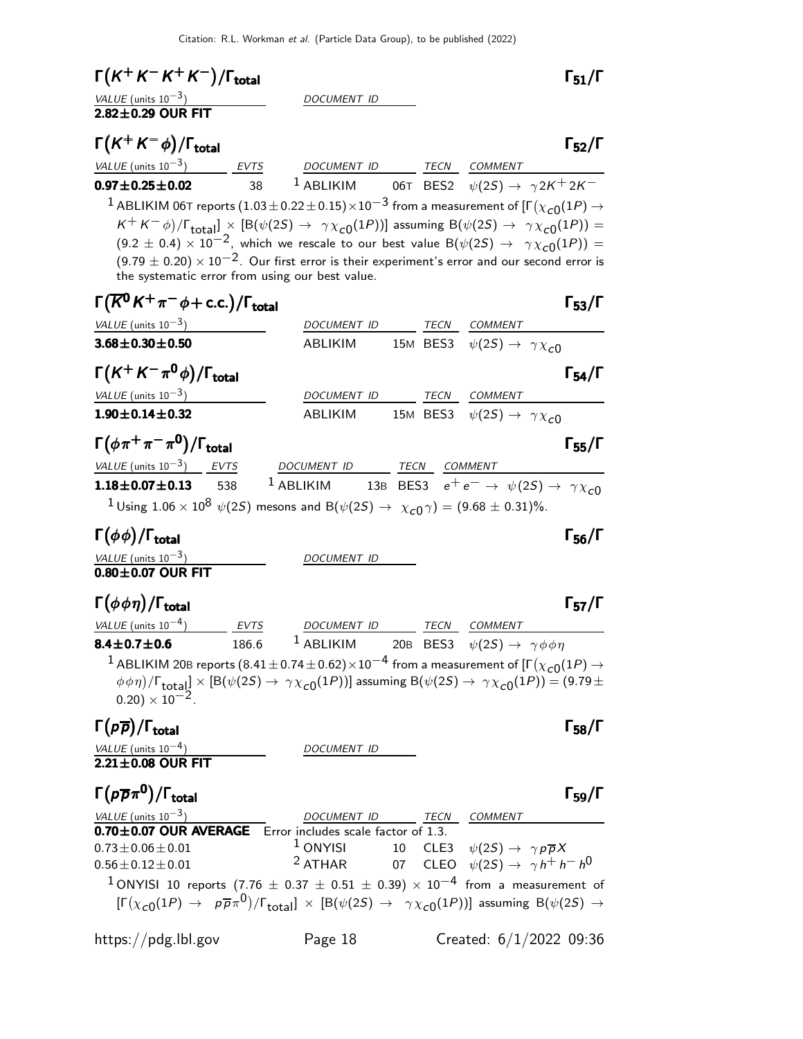| $\Gamma(K^+K^-K^+K^-)/\Gamma_{\rm total}$                                                                                                                                               |                          |             | $\Gamma_{51}/\Gamma$                                                                                        |
|-----------------------------------------------------------------------------------------------------------------------------------------------------------------------------------------|--------------------------|-------------|-------------------------------------------------------------------------------------------------------------|
| <u>VALUE (units 10<sup>-3</sup>)</u><br>2.82±0.29 OUR FIT                                                                                                                               | DOCUMENT ID              |             |                                                                                                             |
|                                                                                                                                                                                         |                          |             |                                                                                                             |
| $\Gamma(K^+K^-\phi)/\Gamma_{\text{total}}$                                                                                                                                              |                          |             | $\Gamma_{52}/\Gamma$                                                                                        |
| $VALUE (units 10-3)$ EVTS DOCUMENT ID TECN COMMENT                                                                                                                                      |                          |             |                                                                                                             |
| $0.97 \pm 0.25 \pm 0.02$<br>38                                                                                                                                                          |                          |             | <sup>1</sup> ABLIKIM 06T BES2 $\psi(2S) \rightarrow \gamma 2K^+ 2K^-$                                       |
| $^1$ ABLIKIM 06T reports $(1.03\pm0.22\pm0.15)\times10^{-3}$ from a measurement of [F $(\chi_{c0}(1P)\rightarrow0.15)$                                                                  |                          |             |                                                                                                             |
| $K^+ K^- \phi$ )/ $\Gamma_{\text{total}}$ ] × [B( $\psi(2S) \rightarrow \gamma \chi_{c0}(1P)$ )] assuming B( $\psi(2S) \rightarrow \gamma \chi_{c0}(1P)$ ) =                            |                          |             |                                                                                                             |
| $(9.2\,\pm\,0.4)\times 10^{-2}$ , which we rescale to our best value B $(\psi(2S)\,\rightarrow\,\,\,\gamma\chi_{\rm C}^{\vphantom{\dagger}}(1P))\,=\,$                                  |                          |             |                                                                                                             |
| $(9.79 \pm 0.20) \times 10^{-2}$ . Our first error is their experiment's error and our second error is<br>the systematic error from using our best value.                               |                          |             |                                                                                                             |
|                                                                                                                                                                                         |                          |             |                                                                                                             |
| $\Gamma(\overline{K}^0 K^+\pi^-\phi + \text{c.c.})/\Gamma_{\text{total}}$                                                                                                               |                          |             | $\Gamma_{53}/\Gamma$                                                                                        |
| VALUE (units $10^{-3}$ )                                                                                                                                                                |                          |             | DOCUMENT ID________ TECN COMMENT                                                                            |
| $3.68 \pm 0.30 \pm 0.50$                                                                                                                                                                | ABLIKIM                  |             | 15M BES3 $\psi(2S) \rightarrow \gamma \chi_{c0}$                                                            |
| $\Gamma(K^+K^-\pi^0\phi)/\Gamma_{\rm total}$                                                                                                                                            |                          |             | $\Gamma_{54}/\Gamma$                                                                                        |
| $VALUE$ (units $10^{-3}$ )                                                                                                                                                              |                          |             | DOCUMENT ID TECN COMMENT                                                                                    |
| $1.90 \pm 0.14 \pm 0.32$                                                                                                                                                                |                          |             | ABLIKIM 15M BES3 $\psi(2S) \rightarrow \gamma \chi_{c0}$                                                    |
| $\Gamma(\phi \pi^+ \pi^- \pi^0)/\Gamma_{\rm total}$                                                                                                                                     |                          |             |                                                                                                             |
|                                                                                                                                                                                         |                          |             | $\Gamma_{55}/\Gamma$                                                                                        |
| <u>VALUE (units <math>10^{-3}</math>) EVTS</u><br>$1.18 \pm 0.07 \pm 0.13$ 538                                                                                                          | DOCUMENT ID TECN COMMENT |             | <sup>1</sup> ABLIKIM 13B BES3 $e^+e^- \rightarrow \psi(2S) \rightarrow \gamma \chi_{c0}$                    |
|                                                                                                                                                                                         |                          |             |                                                                                                             |
| <sup>1</sup> Using 1.06 $\times$ 10 <sup>8</sup> $\psi$ (2 <i>S</i> ) mesons and B( $\psi$ (2 <i>S</i> ) $\rightarrow$ $\chi$ <sub><i>C</i></sub> 0 $\gamma$ ) = (9.68 $\pm$ 0.31)%.    |                          |             |                                                                                                             |
| $\Gamma(\phi\phi)/\Gamma_{\rm total}$                                                                                                                                                   |                          |             | $\Gamma_{56}/\Gamma$                                                                                        |
| $\frac{VALUE}{0.80 \pm 0.07} \frac{10^{-3}}{100}$                                                                                                                                       | DOCUMENT ID              |             |                                                                                                             |
|                                                                                                                                                                                         |                          |             |                                                                                                             |
| $\Gamma(\phi\phi\eta)/\Gamma_{\rm total}$                                                                                                                                               |                          |             | $\Gamma_{57}/\Gamma$                                                                                        |
| VALUE (units $10^{-4}$ )<br>EVTS                                                                                                                                                        | DOCUMENT ID              |             | TECN COMMENT                                                                                                |
| $8.4 \pm 0.7 \pm 0.6$<br>186.6                                                                                                                                                          | <sup>1</sup> ABLIKIM     |             | 20B BES3 $\psi(2S) \rightarrow \gamma \phi \phi \eta$                                                       |
| ABLIKIM 20B reports $(8.41 \pm 0.74 \pm 0.62) \times 10^{-4}$ from a measurement of $[\Gamma(\chi_{c0}(1P) \rightarrow$                                                                 |                          |             |                                                                                                             |
| $\phi \phi \eta$ )/ $\Gamma_{\text{total}}$ ] $\times$ [B( $\psi$ (2S) $\rightarrow \gamma \chi_{c0}(1P)$ )] assuming B( $\psi$ (2S) $\rightarrow \gamma \chi_{c0}(1P)$ ) = (9.79 $\pm$ |                          |             |                                                                                                             |
| $(0.20) \times 10^{-2}$ .                                                                                                                                                               |                          |             |                                                                                                             |
| $\Gamma(p\overline{p})/\Gamma_{\rm total}$                                                                                                                                              |                          |             | $\Gamma_{58}/\Gamma$                                                                                        |
|                                                                                                                                                                                         | DOCUMENT ID              |             |                                                                                                             |
| $\frac{VALUE (units 10^{-4})}{2.21 \pm 0.08 \text{ OUR FIT}}$                                                                                                                           |                          |             |                                                                                                             |
| $\Gamma(p\overline{p}\pi^0)/\Gamma_{\rm total}$                                                                                                                                         |                          |             | $\Gamma_{59}/\Gamma$                                                                                        |
|                                                                                                                                                                                         |                          | <b>TECN</b> | COMMENT                                                                                                     |
| $\underbrace{NALUE}$ (units 10 <sup>-3</sup> )<br><b>0.70±0.07 OUR AVERAGE</b> Error includes scale factor of 1.3.                                                                      |                          |             |                                                                                                             |
| $0.73 \pm 0.06 \pm 0.01$                                                                                                                                                                | $1$ ONYISI               |             | 10 CLE3 $\psi(2S) \rightarrow \gamma p \overline{p} X$<br>07 CLEO $\psi(2S) \rightarrow \gamma h^+ h^- h^0$ |
| $0.56 \pm 0.12 \pm 0.01$                                                                                                                                                                | $2$ ATHAR                |             |                                                                                                             |
| <sup>1</sup> ONYISI 10 reports (7.76 $\pm$ 0.37 $\pm$ 0.51 $\pm$ 0.39) $\times$ 10 <sup>-4</sup> from a measurement of                                                                  |                          |             |                                                                                                             |
| $[\Gamma(\chi_{c0}(1P) \to p\overline{p}\pi^0)/\Gamma_{\text{total}}] \times [B(\psi(2S) \to \gamma\chi_{c0}(1P))]$ assuming $B(\psi(2S) \to$                                           |                          |             |                                                                                                             |
|                                                                                                                                                                                         |                          |             |                                                                                                             |

https://pdg.lbl.gov Page 18 Created: 6/1/2022 09:36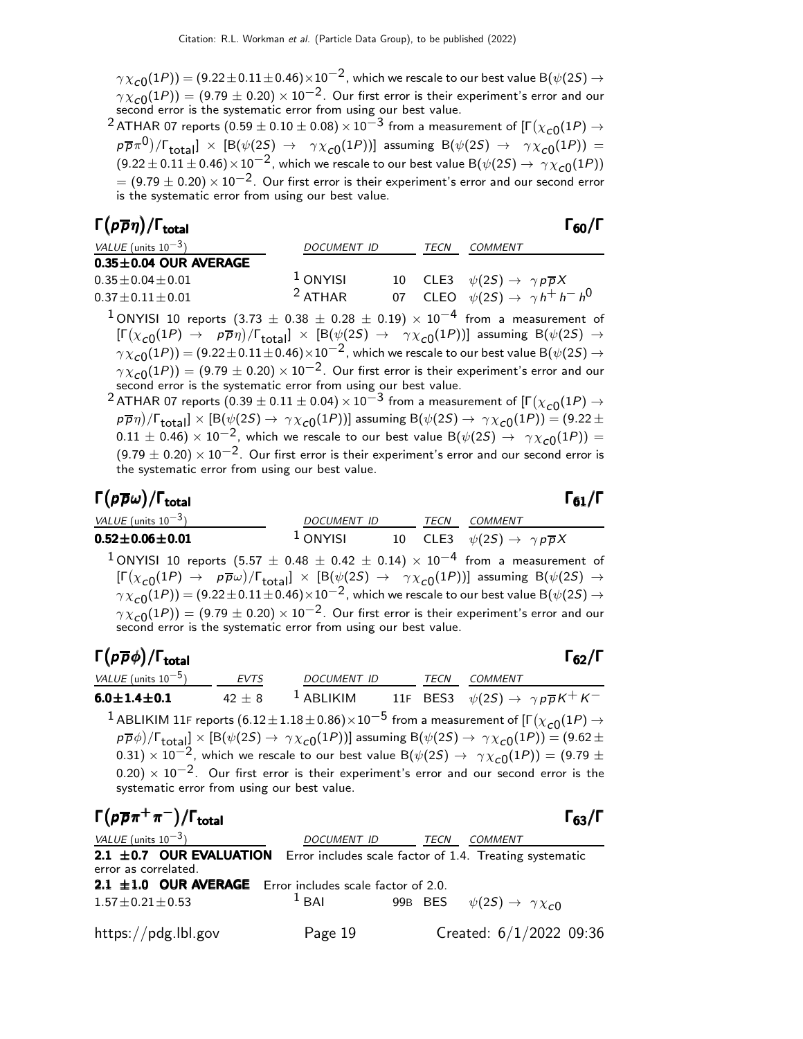$\gamma\chi_{\bf C0}(1P))=(9.22\pm 0.11\pm 0.46)\times 10^{-2}$  , which we rescale to our best value B $(\psi(2S)\to 0.11\pm 0.46)$  $\gamma \chi_{\rm C0}(1P))=(9.79\pm0.20)\times 10^{-2}.$  Our first error is their experiment's error and our second error is the systematic error from using our best value.

 $^2$  ATHAR 07 reports  $(0.59\pm0.10\pm0.08)\times10^{-3}$  from a measurement of [Г $(\chi_{\bf C0}(1P)\rightarrow0.10\pm0.08)\times10^{-3}$  $p\overline{p}\pi^0)/\Gamma_{\rm total} \, \times \, \left[{\rm B}(\psi(2S) \, \to \, \ \ \gamma\chi_{c0}(1P)) \right] \, \, {\rm assuming} \, \, {\rm B}(\psi(2S) \, \to \, \ \ \gamma\chi_{c0}(1P)) \, = \,$  $(9.22 \pm 0.11 \pm 0.46) \times 10^{-2}$ , which we rescale to our best value B( $\psi(2S) \rightarrow \gamma \chi_{c0}(1P)$ )  $=$  (9.79  $\pm$  0.20)  $\times$  10 $^{-2}$ . Our first error is their experiment's error and our second error is the systematic error from using our best value.

#### Γ $(p\overline{p}\eta)/\Gamma_{\text{total}}$  Γ<sub>60</sub>/Γ /Γ $_{\rm total}$ Γ<sub>60</sub>/Γ

| <i>VALUE</i> (units $10^{-3}$ ) | <b>DOCUMENT ID</b> | TECN | COMMENT                                                |
|---------------------------------|--------------------|------|--------------------------------------------------------|
| $0.35 \pm 0.04$ OUR AVERAGE     |                    |      |                                                        |
| $0.35 \pm 0.04 \pm 0.01$        | $1$ ONYISI         |      | 10 CLE3 $\psi(2S) \rightarrow \gamma p \overline{p} X$ |
| $0.37 \pm 0.11 \pm 0.01$        | $2$ ATHAR          |      | 07 CLEO $\psi(2S) \rightarrow \gamma h^+ h^- h^0$      |

<sup>1</sup> ONYISI 10 reports (3.73  $\pm$  0.38  $\pm$  0.28  $\pm$  0.19)  $\times$  10<sup>-4</sup> from a measurement of  $[\Gamma(\chi_{c0}(1P) \to p\overline{p}\eta)/\Gamma_{\rm total}]\times[{\cal B}(\psi(2S) \to \gamma\chi_{c0}(1P))]$  assuming  ${\cal B}(\psi(2S) \to p\overline{p}\eta)$  $\gamma \chi_{\bf C0}(1P))=(9.22\pm 0.11\pm 0.46)\times 10^{-2}$  , which we rescale to our best value B $(\psi(2S) \to 0.11\pm 0.46)$  $\gamma \chi_{\rm C0}(1P))=(9.79\pm0.20)\times 10^{-2}.$  Our first error is their experiment's error and our second error is the systematic error from using our best value.

 $^2$  ATHAR 07 reports  $(0.39\pm0.11\pm0.04)\times10^{-3}$  from a measurement of [Г $(\chi_{\bf C0}(1P)\rightarrow0.11\pm0.04)\times10^{-3}$  $p\overline{p}\eta)/\Gamma_{\rm total}]\times [ {\rm B}(\psi(2S)\to\,\gamma\chi_{\rm C0}(1P))]$  assuming  ${\rm B}(\psi(2S)\to\,\gamma\chi_{\rm C0}(1P))=(9.22\pm 1)$  $(0.11 \pm 0.46) \times 10^{-2}$ , which we rescale to our best value B( $\psi(2S) \rightarrow \gamma \chi_{c0}(1P)$ ) =  $(9.79 \pm 0.20) \times 10^{-2}$ . Our first error is their experiment's error and our second error is the systematic error from using our best value.

Γ $(p\overline{p}\omega)/\Gamma_{\rm total}$  Γ )/Γ<sub>total</sub>Γ $_6$ 1/Γ

| <i>VALUE</i> (units $10^{-3}$ )                                                                                                                | DOCUMENT ID |  | TECN COMMENT                                           |
|------------------------------------------------------------------------------------------------------------------------------------------------|-------------|--|--------------------------------------------------------|
| $0.52 \pm 0.06 \pm 0.01$                                                                                                                       | $^1$ ONYISI |  | 10 CLE3 $\psi(2S) \rightarrow \gamma p \overline{p} X$ |
| <sup>1</sup> ONYISI 10 reports (5.57 $\pm$ 0.48 $\pm$ 0.42 $\pm$ 0.14) $\times$ 10 <sup>-4</sup> from a measurement of                         |             |  |                                                        |
| $[\Gamma(\chi_{c0}(1P) \to p\overline{p}\omega)/\Gamma_{\text{total}}] \times [B(\psi(2S) \to \gamma\chi_{c0}(1P))]$ assuming $B(\psi(2S) \to$ |             |  |                                                        |
| $\gamma \chi_{c0}(1P)$ = (9.22 ± 0.11 ± 0.46) $\times 10^{-2}$ , which we rescale to our best value B( $\psi(2S) \rightarrow$                  |             |  |                                                        |

 $\gamma \chi_{\rm C0}(1P)) = (9.79 \pm 0.20) \times 10^{-2}$ . Our first error is their experiment's error and our second error is the systematic error from using our best value.

#### Γ $(p\overline{p}\phi)/\Gamma_{\text{total}}$  Γ<sub>62</sub>/Γ /Γ $_{\rm total}$  Γ<sub>62</sub>/Γ

VALUE (units 10<sup>-5</sup>) EVTS DOCUMENT ID TECN COMMENT 6.0 $\pm$ 1.4 $\pm$ 0.1 42  $\pm$  8 <sup>1</sup> ABLIKIM 11F BES3  $\psi(2S) \rightarrow \gamma p \overline{p} K^+ K^ ^1$  ABLIKIM 11F reports  $(6.12\pm 1.18\pm 0.86)\times 10^{-5}$  from a measurement of [Г $(\chi_{\bf C0}(1P) \rightarrow$  $p\overline{p}\phi)/\Gamma_{\rm total} \propto [{\rm B}(\psi(2S) \to\ \gamma\chi_{\rm C0}(1P))]$  assuming  ${\rm B}(\psi(2S) \to\ \gamma\chi_{\rm C0}(1P))=(9.62\pm3.05)$ 0.31)  $\times$  10<sup>-2</sup>, which we rescale to our best value B( $\psi(2S) \rightarrow \gamma \chi_{c0}(1P)$ ) = (9.79 ±

 $(0.20) \times 10^{-2}$ . Our first error is their experiment's error and our second error is the systematic error from using our best value.

 $\Gamma(p\overline{p}\pi^+\pi^-)/\Gamma_{\rm total}$ VALUE (units  $10^{-3}$ ) DOCUMENT ID TECN COMMENT  $2.1 \pm 0.7$  OUR EVALUATION Error includes scale factor of 1.4. Treating systematic error as correlated. **2.1**  $\pm$ **1.0 OUR AVERAGE** Error includes scale factor of 2.0.<br>1.57 + 0.21 + 0.53  $1B$  BAI 99B BES  $1.57 \pm 0.21 \pm 0.53$  1 BAI 99B BES  $\psi(2S) \rightarrow \gamma \chi_{c0}$ https://pdg.lbl.gov Page 19 Created: 6/1/2022 09:36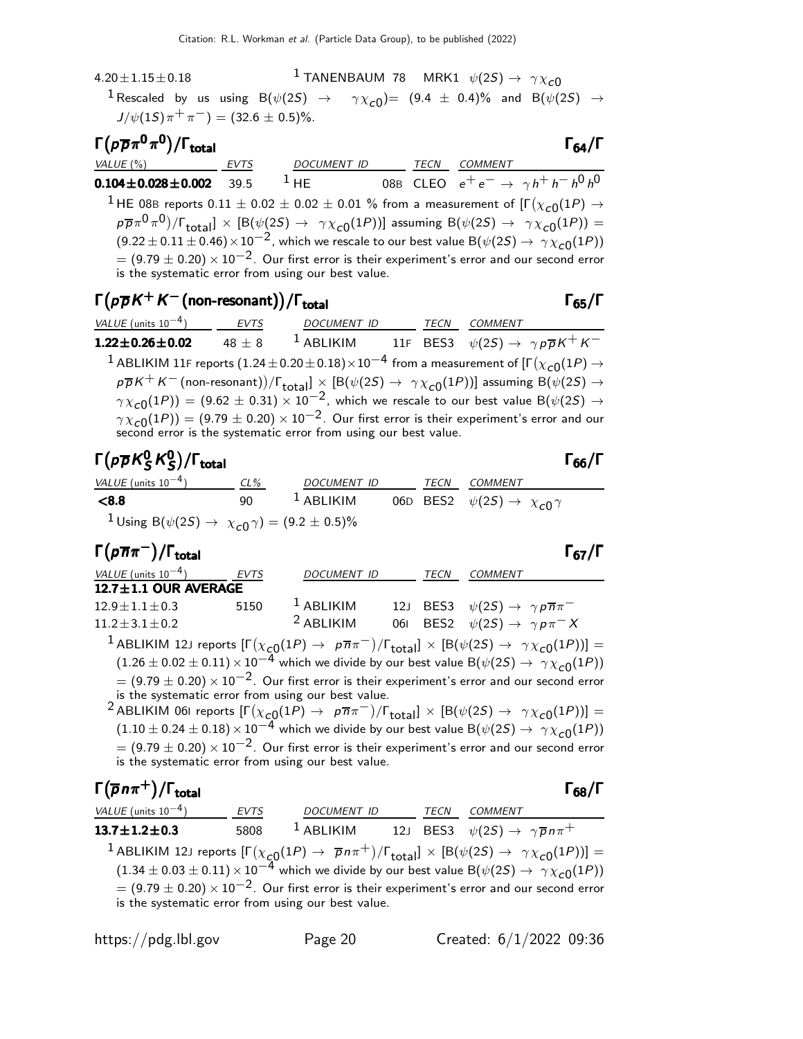4.20 $\pm$ 1.15 $\pm$ 0.18 1 TANENBAUM 78 MRK1  $\psi(2S) \to \gamma \chi_{c0}$  $^{\text{1}}$  Rescaled by us using B $(\psi(2S)$   $\rightarrow$   $\gamma\chi_{\mathcal{C}0})$ =  $(9.4~\pm~0.4)\%$  and B $(\psi(2S)$   $\rightarrow$  $J/\psi(15)\pi^{+}\pi^{-}) = (32.6 \pm 0.5)\%$ .

#### Γ $(p\overline{p}π<sup>0</sup>π<sup>0</sup>)$ /Γ<sub>total</sub> Γ )/Γ<sub>total</sub> Γ<sub>64</sub>/Γ VALUE (%) EVTS DOCUMENT ID TECN COMMENT  ${\bf 0.104 \pm 0.028 \pm 0.002}$  39.5  $^1$  He  $_{0.086}$  Cleo  $e^+ \, e^- \rightarrow \ \gamma \, h^+ \, h^- \, h^0 \, h^0$  $^1$  HE 08B reports  $0.11 \pm 0.02 \pm 0.02 \pm 0.01$  % from a measurement of  $[\Gamma(\chi_{c0}(1P) \to \chi_0(1P)]$  $p\overline{p}\pi^0\pi^0\pi^0$ )/ $\Gamma_{\rm total}] \, \times \, [ {\rm B}(\psi(2S) \to \, \, \gamma \chi_{\rm c0}(1P))]$  assuming  ${\rm B}(\psi(2S) \to \, \, \gamma \chi_{\rm c0}(1P)) =$  $(9.22 \pm 0.11 \pm 0.46) \times 10^{-2}$ , which we rescale to our best value B $(\psi(2S) \rightarrow \gamma \chi_{c0}(1P))$  $= (9.79 \pm 0.20) \times 10^{-2}$ . Our first error is their experiment's error and our second error is the systematic error from using our best value.

### $\Gamma(p\overline{p}K^+K^-$ (non-resonant))/ $\Gamma_{\rm total}$  Γ<sub>65</sub>/Γ

| <i>VALUE</i> (units $10^{-4}$ ) | EVTS       | DOCUMENT ID  | TECN | COMMENT                                                                                                                                                                                    |
|---------------------------------|------------|--------------|------|--------------------------------------------------------------------------------------------------------------------------------------------------------------------------------------------|
| $1.22 \pm 0.26 \pm 0.02$        | $48 \pm 8$ | $^1$ ABLIKIM |      | 11F BES3 $\psi(2S) \rightarrow \gamma p \overline{p} K^+ K^-$                                                                                                                              |
|                                 |            |              |      | <sup>1</sup> ABLIKIM 11F reports (1.24 $\pm$ 0.20 $\pm$ 0.18) $\times$ 10 <sup>-4</sup> from a measurement of [ $\Gamma(\chi_{c0}(1P) \rightarrow$                                         |
|                                 |            |              |      | $p\overline{p}K^+K^-$ (non-resonant))/ $\Gamma_{\text{total}} \times$ [B( $\psi(2S) \rightarrow \gamma \chi_{c0}(1P)$ ] assuming B( $\psi(2S) \rightarrow$                                 |
|                                 |            |              |      | $\gamma \chi_{c0}(1P)$ = (9.62 ± 0.31) × 10 <sup>-2</sup> , which we rescale to our best value B( $\psi(2S) \rightarrow$                                                                   |
|                                 |            |              |      | $\gamma \chi_{c0}(1P)$ = (9.79 $\pm$ 0.20) $\times$ 10 <sup>-2</sup> . Our first error is their experiment's error and our second error is the systematic error from using our best value. |

#### Γ $(\rho \overline{\rho} K_S^0 K_S^0$ p $\overline{\rho}$ K $^0_S$ K $^0_S)$ Γ $(p\overline{\rho}K_S^0K_S^0)/\Gamma_{\text{total}}$  Γ<sub>66</sub>/Γ 0 S 0S

VALUE (units 10<sup>-4</sup>) CL% DOCUMENT ID TECN COMMENT **<8.8** 90  $^1$  ABLIKIM 06D BES2  $\psi(2S) \rightarrow \chi_{c0} \gamma$  $1$  Using B $(\psi(2S) \to \chi_{c0} \gamma) = (9.2 \pm 0.5)\%$ 

| $\Gamma(p\overline{n}\pi^{-})/\Gamma_{\rm total}$ |      |                    |             | $\Gamma_{67}/\Gamma$                                                                                                                                      |
|---------------------------------------------------|------|--------------------|-------------|-----------------------------------------------------------------------------------------------------------------------------------------------------------|
| VALUE (units $10^{-4}$ )                          | EVTS | <b>DOCUMENT ID</b> | <b>TECN</b> | <b>COMMENT</b>                                                                                                                                            |
| $12.7 \pm 1.1$ OUR AVERAGE                        |      |                    |             |                                                                                                                                                           |
| $12.9 \pm 1.1 \pm 0.3$                            | 5150 | $1$ ABLIKIM        |             | 12J BES3 $\psi(2S) \rightarrow \gamma p \overline{n} \pi^-$                                                                                               |
| $11.2 \pm 3.1 \pm 0.2$                            |      | $2$ ABLIKIM        |             | 061 BES2 $\psi(2S) \rightarrow \gamma p \pi^- X$                                                                                                          |
|                                                   |      |                    |             | <sup>1</sup> ABLIKIM 12J reports $[\Gamma(\chi_{c0}(1P) \to p\overline{n}\pi^{-})/\Gamma_{\text{total}}] \times [B(\psi(2S) \to \gamma \chi_{c0}(1P))] =$ |

 $(1.26 \pm 0.02 \pm 0.11) \times 10^{-4}$  which we divide by our best value B( $\psi(2S) \rightarrow \gamma \chi_{c0}(1P)$ )  $= (9.79 \pm 0.20) \times 10^{-2}$ . Our first error is their experiment's error and our second error is the systematic error from using our best value.

 $^2$ ABLIKIM 061 reports  $[\Gamma(\chi_{c0}(1P) \to~\rho \overline{n} \pi^-)/\Gamma_{\rm total}]\times[{\cal B}(\psi(2S) \to~\gamma \chi_{c0}(1P))] =$  $(1.10 \pm 0.24 \pm 0.18) \times 10^{-4}$  which we divide by our best value B( $\psi(2S) \rightarrow \gamma \chi_{c0}(1P)$ )  $= (9.79 \pm 0.20) \times 10^{-2}$ . Our first error is their experiment's error and our second error is the systematic error from using our best value.

Γ $(\overline{p}n\pi^+)$ /Γ<sub>total</sub> Γ<sub>68</sub>  $(\overline{p}n\pi^+)$ /Γ<sub>total</sub> Γ<sub>68</sub>/Γ VALUE (units 10<sup>-4</sup>) EVTS DOCUMENT ID TECN COMMENT  $\textbf{13.7} \pm \textbf{1.2} \pm \textbf{0.3}$  5808  $^1$  ABLIKIM 12J BES3  $\psi(2S) \rightarrow \ \gamma \overline{\rho} \, n \pi^+$  $^1$ ABLIKIM 12J reports  $[\Gamma(\chi_{\bm{\mathcal{C}} 0}(1P) \to \overline{p} n \pi^+)/\Gamma_{\text{total}}] \times [ \mathsf{B}(\psi(2S) \to \gamma \chi_{\bm{\mathcal{C}} 0}(1P))] =$  $(1.34 \pm 0.03 \pm 0.11) \times 10^{-4}$  which we divide by our best value B( $\psi(2S) \rightarrow \gamma \chi_{c0}(1P)$ )  $= (9.79 \pm 0.20) \times 10^{-2}$ . Our first error is their experiment's error and our second error is the systematic error from using our best value.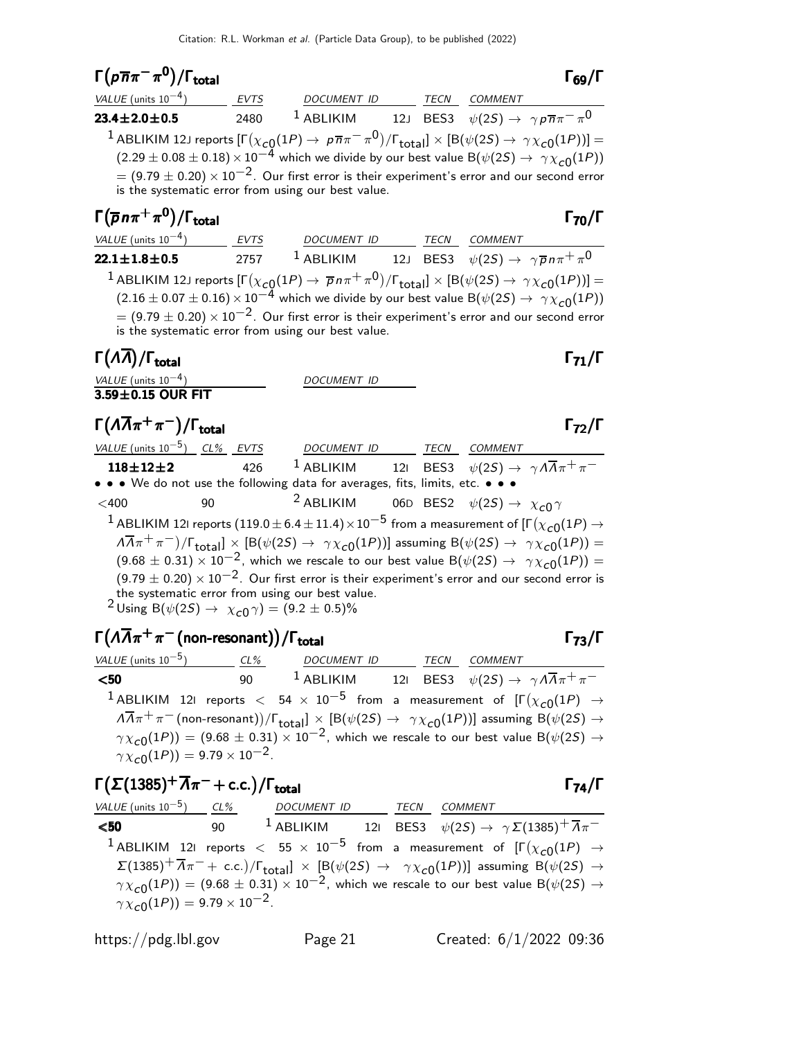| $\Gamma(p\overline{n}\pi^{-}\pi^{0})/\Gamma_{\text{total}}$                                                                                                                                                                                                                                                                                                                                                                                                  |             |                                                                                        |  |      |                | $\frac{1}{69}$ / $\Gamma$ |  |  |
|--------------------------------------------------------------------------------------------------------------------------------------------------------------------------------------------------------------------------------------------------------------------------------------------------------------------------------------------------------------------------------------------------------------------------------------------------------------|-------------|----------------------------------------------------------------------------------------|--|------|----------------|---------------------------|--|--|
| $VALUE$ (units $10^{-4}$ )                                                                                                                                                                                                                                                                                                                                                                                                                                   | <b>EVTS</b> | DOCUMENT ID                                                                            |  | TECN | <i>COMMENT</i> |                           |  |  |
| $23.4 \pm 2.0 \pm 0.5$                                                                                                                                                                                                                                                                                                                                                                                                                                       | 2480        | <sup>1</sup> ABLIKIM 12J BES3 $\psi(2S) \rightarrow \gamma p \overline{n} \pi^- \pi^0$ |  |      |                |                           |  |  |
| <sup>1</sup> ABLIKIM 12J reports $[\Gamma(\chi_{c0}(1P) \to p\overline{n}\pi^-\pi^0)/\Gamma_{\text{total}}] \times [B(\psi(2S) \to \gamma\chi_{c0}(1P))] =$<br>(2.29 ± 0.08 ± 0.18) × 10 <sup>-4</sup> which we divide by our best value B( $\psi(2S) \to \gamma\chi_{c0}(1P)$ )<br>$=$ (9.79 $\pm$ 0.20) $\times$ 10 <sup>-2</sup> . Our first error is their experiment's error and our second error<br>is the systematic error from using our best value. |             |                                                                                        |  |      |                |                           |  |  |
| $\Gamma(\overline{p}n\pi^+\pi^0)/\Gamma_{\rm total}$                                                                                                                                                                                                                                                                                                                                                                                                         |             |                                                                                        |  |      |                | $\Gamma_{70}/\Gamma$      |  |  |
| VALUE (units $10^{-4}$ )                                                                                                                                                                                                                                                                                                                                                                                                                                     | <b>EVTS</b> | <b>DOCUMENT ID</b>                                                                     |  | TECN | COMMENT        |                           |  |  |

| VALUL TUIILS 10                                                                                                                                             | $\cdots$ | <i>D</i> UCUMLIVI <sub>I</sub> |  | ,,,,,, | CONTRACTO                                                                                                                    |  |  |  |
|-------------------------------------------------------------------------------------------------------------------------------------------------------------|----------|--------------------------------|--|--------|------------------------------------------------------------------------------------------------------------------------------|--|--|--|
| $22.1 \pm 1.8 \pm 0.5$                                                                                                                                      | 2757     | $^1$ ABLIKIM                   |  |        | 12J BES3 $\psi(2S) \rightarrow \gamma \overline{p} n \pi^+ \pi^0$                                                            |  |  |  |
| <sup>1</sup> ABLIKIM 12J reports $[\Gamma(\chi_{c0}(1P) \to \overline{p}n\pi^+\pi^0)/\Gamma_{\text{total}}] \times [B(\psi(2S) \to \gamma\chi_{c0}(1P))] =$ |          |                                |  |        |                                                                                                                              |  |  |  |
|                                                                                                                                                             |          |                                |  |        | $(2.16 \pm 0.07 \pm 0.16) \times 10^{-4}$ which we divide by our best value B( $\psi(2S) \rightarrow \gamma \chi_{c0}(1P)$ ) |  |  |  |
| $= (9.79 \pm 0.20) \times 10^{-2}$ . Our first error is their experiment's error and our second error                                                       |          |                                |  |        |                                                                                                                              |  |  |  |
| is the systematic error from using our best value.                                                                                                          |          |                                |  |        |                                                                                                                              |  |  |  |

### Γ $(\Lambda \overline{\Lambda})/\Gamma_{\text{total}}$  Γ $_{71}/\Gamma$

| VALUE (units $10^{-4}$ ) | DOCUMENT ID |
|--------------------------|-------------|
| $3.59 \pm 0.15$ OUR FIT  |             |

### $\Gamma(\Lambda\overline{\Lambda}\pi^+\pi^-)/\Gamma_{\rm total}$

| VALUE (units $10^{-5}$ ) CL% EVTS |    |     | DOCUMENT ID TECN COMMENT                                                                                                          |  |                                                                                                                                                                         |
|-----------------------------------|----|-----|-----------------------------------------------------------------------------------------------------------------------------------|--|-------------------------------------------------------------------------------------------------------------------------------------------------------------------------|
| $118 + 12 + 2$                    |    | 426 |                                                                                                                                   |  | <sup>1</sup> ABLIKIM 121 BES3 $\psi(2S) \rightarrow \gamma A \overline{A} \pi^+ \pi^-$                                                                                  |
|                                   |    |     | • • • We do not use the following data for averages, fits, limits, etc. • • •                                                     |  |                                                                                                                                                                         |
| $<$ 400                           | 90 |     |                                                                                                                                   |  | <sup>2</sup> ABLIKIM 06D BES2 $\psi(2S) \rightarrow \chi_{c0} \gamma$                                                                                                   |
|                                   |    |     |                                                                                                                                   |  | <sup>1</sup> ABLIKIM 121 reports (119.0 $\pm$ 6.4 $\pm$ 11.4) $\times$ 10 <sup>-5</sup> from a measurement of [F( $\chi_{c0}(1P)$ $\rightarrow$                         |
|                                   |    |     |                                                                                                                                   |  | $\sqrt{2} \pi^+\pi^-$ / $\Gamma_{\text{total}}$ $\times$ [B( $\psi(2S) \rightarrow \gamma \chi_{c0}(1P)$ )] assuming B( $\psi(2S) \rightarrow \gamma \chi_{c0}(1P)$ ) = |
|                                   |    |     |                                                                                                                                   |  | $(9.68 \pm 0.31) \times 10^{-2}$ , which we rescale to our best value B( $\psi(2S) \rightarrow \gamma \chi_{c0}(1P)$ ) =                                                |
|                                   |    |     |                                                                                                                                   |  | $(9.79 \pm 0.20) \times 10^{-2}$ . Our first error is their experiment's error and our second error is                                                                  |
|                                   |    |     | the systematic error from using our best value.<br><sup>2</sup> Using B( $\psi(2S) \rightarrow \chi_{c0} \gamma$ ) = (9.2 ± 0.5)% |  |                                                                                                                                                                         |
|                                   |    |     |                                                                                                                                   |  |                                                                                                                                                                         |

### $\Gamma(\Lambda\overline{\Lambda}\pi^+\pi^-$ (non-resonant))/ $\Gamma_{\rm total}$  Γ<sub>73</sub>/Γ

| VALUE (units $10^{-5}$ ) CL%                   |     | DOCUMENT ID TECN |  | <i>COMMENT</i>                                                                                                                                                |
|------------------------------------------------|-----|------------------|--|---------------------------------------------------------------------------------------------------------------------------------------------------------------|
| $50$                                           | 90. |                  |  | <sup>1</sup> ABLIKIM 121 BES3 $\psi(2S) \rightarrow \gamma A \overline{A} \pi^+ \pi^-$                                                                        |
|                                                |     |                  |  | <sup>1</sup> ABLIKIM 121 reports $<$ 54 $\times$ 10 <sup>-5</sup> from a measurement of $[\Gamma(\chi_{c0}(1P) \rightarrow$                                   |
|                                                |     |                  |  | $\sqrt{14\pi^+}\pi^-$ (non-resonant))/ $\Gamma_{\text{total}}$ $\times$ [B( $\psi(2S) \rightarrow \gamma \chi_{c0}(1P)$ )] assuming B( $\psi(2S) \rightarrow$ |
|                                                |     |                  |  | $\gamma \chi_{c0}(1P)$ = (9.68 ± 0.31) × 10 <sup>-2</sup> , which we rescale to our best value B( $\psi(2S) \rightarrow$                                      |
| $\gamma \chi_{c0}(1P) = 9.79 \times 10^{-2}$ . |     |                  |  |                                                                                                                                                               |

| $\Gamma(\Sigma(1385)^+\overline{A}\pi^-+c.c.)/\Gamma_{total}$ |                                                                                                                                                                                 |             |                | $\Gamma_{74}/\Gamma$ |
|---------------------------------------------------------------|---------------------------------------------------------------------------------------------------------------------------------------------------------------------------------|-------------|----------------|----------------------|
|                                                               | VALUE (units $10^{-5}$ ) CL% DOCUMENT ID                                                                                                                                        | <b>TECN</b> | <i>COMMENT</i> |                      |
| $50$                                                          | 90 $1$ ABLIKIM 121 BES3 $\psi(2S) \rightarrow \gamma \Sigma(1385)^+ \overline{\Lambda} \pi^-$                                                                                   |             |                |                      |
|                                                               | <sup>1</sup> ABLIKIM 121 reports $<$ 55 $\times$ 10 <sup>-5</sup> from a measurement of $[\Gamma(\chi_{c0}(1P) \rightarrow$                                                     |             |                |                      |
|                                                               | $\Sigma(1385)^{+}\overline{\Lambda}\pi^{-}+$ c.c.)/ $\Gamma_{\text{total}}$ $\times$ [B( $\psi(25)$ $\rightarrow$ $\gamma\chi_{c0}(1P)$ )] assuming B( $\psi(25)$ $\rightarrow$ |             |                |                      |
|                                                               | $\gamma \chi_{c0}(1P)$ = (9.68 ± 0.31) × 10 <sup>-2</sup> , which we rescale to our best value B( $\psi(2S) \rightarrow$                                                        |             |                |                      |
| $\gamma \chi_{c0}(1P) = 9.79 \times 10^{-2}$ .                |                                                                                                                                                                                 |             |                |                      |

 $\Gamma_{72}/\Gamma$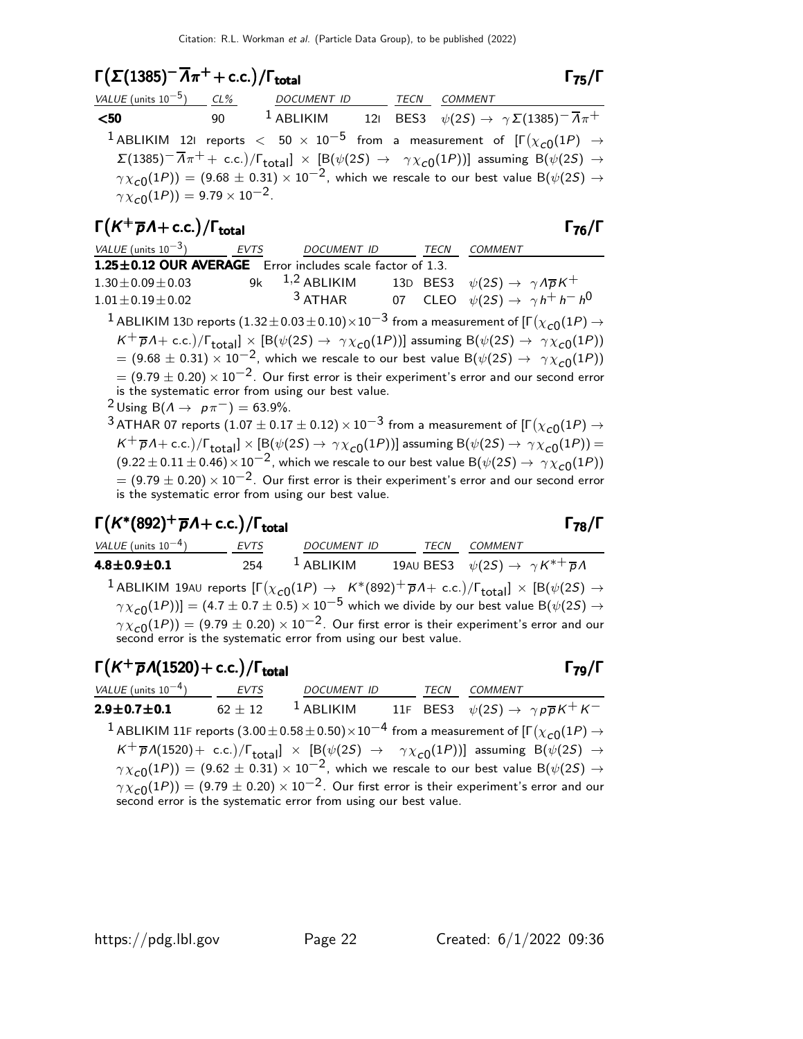### $\Gamma(\Sigma(1385)$ <sup>-</sup>  $\overline{Λ}$ π<sup>+</sup> + c.c.)/Γ<sub>total</sub> Γ<sub>75</sub>/Γ

| VALUE (units $10^{-5}$ ) CL%                        |         | DOCUMENT ID TECN COMMENT |  |                                                                                                                                                                                  |
|-----------------------------------------------------|---------|--------------------------|--|----------------------------------------------------------------------------------------------------------------------------------------------------------------------------------|
| $50$                                                | 90 — 10 |                          |  | <sup>1</sup> ABLIKIM 121 BES3 $\psi(2S) \rightarrow \gamma \Sigma (1385)^{-} \overline{A} \pi^{+}$                                                                               |
|                                                     |         |                          |  | <sup>1</sup> ABLIKIM 121 reports $<$ 50 $\times$ 10 <sup>-5</sup> from a measurement of $[\Gamma(\chi_{c0}(1P) \rightarrow$                                                      |
|                                                     |         |                          |  | $\Sigma(1385)^{-1}\overline{\Lambda}\pi^{+}+$ c.c.)/ $\Gamma_{\text{total}}$ $\times$ [B( $\psi(2S)$ $\rightarrow$ $\gamma\chi_{c0}(1P)$ )] assuming B( $\psi(2S)$ $\rightarrow$ |
|                                                     |         |                          |  | $\gamma \chi_{c0}(1P)$ = (9.68 ± 0.31) × 10 <sup>-2</sup> , which we rescale to our best value B( $\psi(2S) \rightarrow$                                                         |
| $\gamma \chi_{\rm C0}(1P)) = 9.79 \times 10^{-2}$ . |         |                          |  |                                                                                                                                                                                  |

### $\Gamma(K^+\overline{p}A + c.c.)/\Gamma_{\text{total}}$  Γ<sub>76</sub>/Γ

| VALUE (units $10^{-3}$ )                                  | EVTS | DOCUMENT ID      | TECN | COMMENT                                                                                                               |
|-----------------------------------------------------------|------|------------------|------|-----------------------------------------------------------------------------------------------------------------------|
| 1.25±0.12 OUR AVERAGE Error includes scale factor of 1.3. |      |                  |      |                                                                                                                       |
| $1.30 \pm 0.09 \pm 0.03$                                  |      | 9k $1,2$ ABLIKIM |      | 13D BES3 $\psi(2S) \rightarrow \gamma A \overline{p} K^+$                                                             |
| $1.01 + 0.19 + 0.02$                                      |      | $3$ ATHAR        |      | 07 CLEO $\psi(2S) \rightarrow \gamma h^+ h^- h^0$                                                                     |
|                                                           |      |                  |      | <sup>1</sup> ABLIKIM 13D reports $(1.32 + 0.03 + 0.10) \times 10^{-3}$ from a measurement of $\Gamma(\chi_{-2}(1P) -$ |

 $^1$  ABLIKIM 13D reports  $(1.32\pm0.03\pm0.10)\times10^{-3}$  from a measurement of [Г $(\chi_{\bf C0}(1P) \rightarrow$  $K^+\overline{p}A + \text{c.c.})/\Gamma_{\text{total}}] \times [B(\psi(2S) \rightarrow \gamma \chi_{c0}(1P))]$  assuming  $B(\psi(2S) \rightarrow \gamma \chi_{c0}(1P))$  $= (9.68 \pm 0.31) \times 10^{-2}$ , which we rescale to our best value B( $\psi(2S) \rightarrow \gamma \chi_{c0}^{\text{o}}(1P)$ )  $= (9.79 \pm 0.20) \times 10^{-2}$ . Our first error is their experiment's error and our second error is the systematic error from using our best value.

 $^{2}$  Using B( $A \rightarrow p\pi^{-}$ ) = 63.9%.

 $^3$  ATHAR 07 reports  $(1.07\pm0.17\pm0.12)\times10^{-3}$  from a measurement of [Г $(\chi_{\bf C0}(1P)\rightarrow$  $K^+\overline{p}A + \text{c.c.})/\Gamma_{\text{total}}] \times [\mathsf{B}(\psi(2S) \to \gamma \chi_{\text{c}0}(1P))]$  assuming  $\mathsf{B}(\psi(2S) \to \gamma \chi_{\text{c}0}(1P)) =$  $(9.22 \pm 0.11 \pm 0.46) \times 10^{-2}$ , which we rescale to our best value B( $\psi(2S) \rightarrow \gamma \chi_{c0}(1P)$ )  $= (9.79 \pm 0.20) \times 10^{-2}$ . Our first error is their experiment's error and our second error is the systematic error from using our best value.

#### $\Gamma(K^*(892)^+\overline{p}A + \text{c.c.})$  $\Gamma(K^*(892)^+ \overline{p} \Lambda + c.c.) / \Gamma_{\text{total}}$  Γ<sub>78</sub>/Γ

VALUE (units 10<sup>-4</sup>) EVTS DOCUMENT ID TECN COMMENT 4.8 $\pm$ 0.9 $\pm$ 0.1 254  $^1$  Ablikim 19au Bes3  $\psi(2S) \to \ \gamma K^{*+} \overline{\rho} \Lambda$  $^1$  ABLIKIM 19AU reports  $[\Gamma(\chi_{c0}(1P) \to_K^*(892)^+ \overline{\rho} \Lambda + \text{ c.c.})/\Gamma_{\text{total}}] \times [B(\psi(2S) \to$  $\gamma \chi_{\rm C0}(1P))$ ] = (4.7  $\pm$  0.7  $\pm$  0.5)  $\times$  10 $^{-5}$  which we divide by our best value B( $\psi(2S) \rightarrow$  $\gamma \chi_{\rm C0}(1P))=(9.79\pm0.20)\times 10^{-2}$ . Our first error is their experiment's error and our

second error is the systematic error from using our best value.

### $\Gamma(K^+\overline{\rho}\Lambda(1520)+$  c.c.)/ $\Gamma_{\text{total}}$   $\Gamma_{79}/\Gamma$

VALUE (units 10<sup>-4</sup>) EVTS DOCUMENT ID TECN COMMENT **2.9** $\pm$ **0.7** $\pm$ **0.1** 62  $\pm$  12  $^{-1}$  ABLIKIM 11F BES3  $\psi(2S) \rightarrow \ \gamma \rho \overline{\rho} K^{+} K^{-}$  $^1$  ABLIKIM 11F reports  $(3.00\pm0.58\pm0.50)\times10^{-4}$  from a measurement of [Г $(\chi_{\bf C0}(1P) \rightarrow$  $K^+ \overline{p}A(1520)+$  c.c.)/ $\Gamma_{\rm total}$ ]  $\times$  [B( $\psi(2S)$   $\rightarrow$   $\gamma \chi_{c0}(1P)$ )] assuming B( $\psi(2S)$   $\rightarrow$  $\gamma \chi_{\rm C0}(1P)) = (9.62 \pm 0.31) \times 10^{-2}$ , which we rescale to our best value B( $\psi(2S) \rightarrow$  $\gamma \chi_{\rm C0}(1P)) = (9.79 \pm 0.20) \times 10^{-2}$ . Our first error is their experiment's error and our second error is the systematic error from using our best value.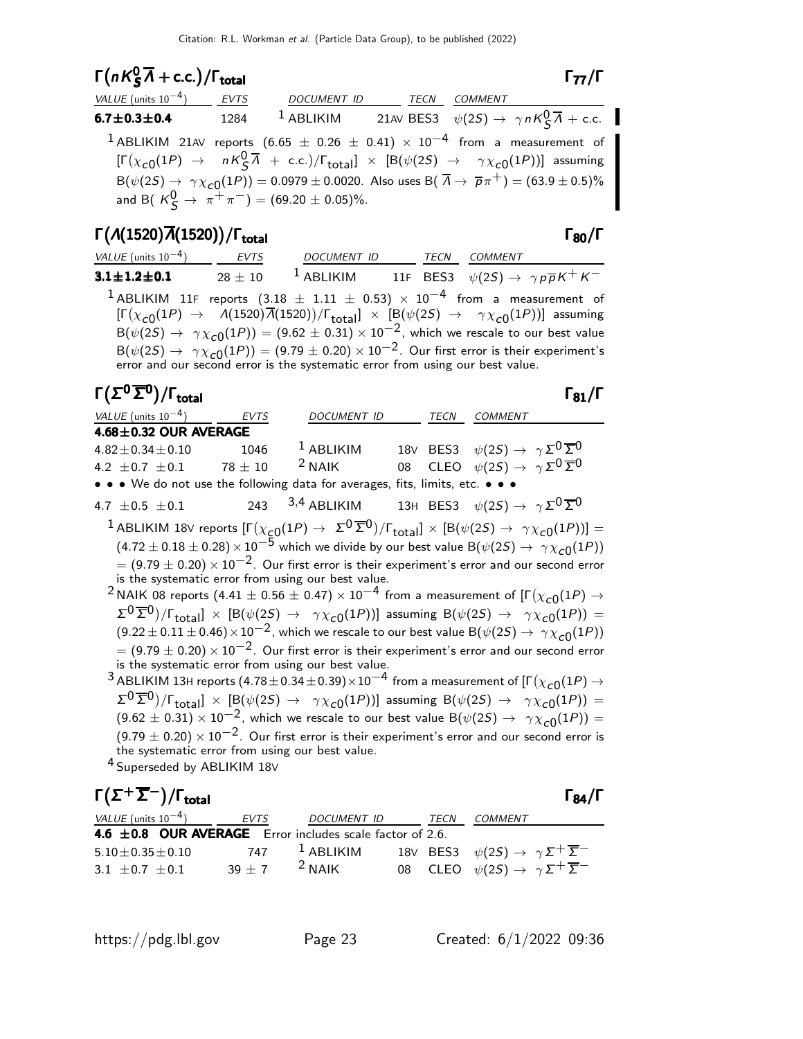## $\Gamma(nK^0_S\overline{\Lambda}+c.c.)/\Gamma_{\text{total}}$  Γ<sub>77</sub>/Γ

 $\zeta^{n}$  + C.C.  $/1$  total total to the set of  $\zeta^{n}$ VALUE (units 10<sup>-4</sup>) EVTS DOCUMENT ID TECN COMMENT **6.7±0.3±0.4** 1284 <sup>1</sup> ABLIKIM 21AV BES3  $\psi(2S) \to \gamma n K_S^0 \overline{A} + \text{c.c.}$ 1 ABLIKIM 21AV reports  $(6.65 \pm 0.26 \pm 0.41) \times 10^{-4}$  from a measurement of  $[\Gamma(\chi_{c0}(1P) \to nK^0_S \overline{\Lambda} + \text{c.c.})/\Gamma_{\text{total}}] \times [B(\psi(2S) \to \gamma \chi_{c0}(1P))]$  assuming  $\mathsf{B}(\psi(2S) \to \gamma \chi_{\mathsf{C}}(1P)) = 0.0979 \pm 0.0020$ . Also uses  $\mathsf{B}(\ \overline{\Lambda} \to \ \overline{\rho}\pi^+) = (63.9 \pm 0.5)\%$ and B(  $K_S^0 \to \pi^+ \pi^-$ ) = (69.20  $\pm$  0.05)%.

### Γ $(A(1520)\overline{A}(1520))$ /Γ<sub>total</sub> Γ<sub>80</sub>/Γ

| VALUE (units $10^{-4}$ )                                                                         | EVTS      | DOCUMENT ID                                                                                                                                                                                                                                                                                                                                                                                                                                                                   |  | TECN COMMENT |  |
|--------------------------------------------------------------------------------------------------|-----------|-------------------------------------------------------------------------------------------------------------------------------------------------------------------------------------------------------------------------------------------------------------------------------------------------------------------------------------------------------------------------------------------------------------------------------------------------------------------------------|--|--------------|--|
| $3.1 \pm 1.2 \pm 0.1$                                                                            | $28 + 10$ | <sup>1</sup> ABLIKIM 11F BES3 $\psi(2S) \rightarrow \gamma p \overline{p} K^+ K^-$                                                                                                                                                                                                                                                                                                                                                                                            |  |              |  |
| <sup>1</sup> ABLIKIM 11F reports $(3.18 \pm 1.11 \pm 0.53) \times 10^{-4}$ from a measurement of |           | $[\Gamma(\chi_{c0}(1P) \rightarrow A(1520)\overline{A}(1520))/\Gamma_{\text{total}}] \times [B(\psi(2S) \rightarrow \gamma \chi_{c0}(1P))]$ assuming<br>$B(\psi(2S) \rightarrow \gamma \chi_{c0}(1P)) = (9.62 \pm 0.31) \times 10^{-2}$ , which we rescale to our best value<br>$B(\psi(2S) \to \gamma \chi_{c0}(1P)) = (9.79 \pm 0.20) \times 10^{-2}$ . Our first error is their experiment's error and our second error is the systematic error from using our best value. |  |              |  |

| $\Gamma(\Sigma^0\overline{\Sigma}{}^0)/\Gamma_{\rm total}$                                                                                                                     |             |                                                                                                                             |      |                                                                     | $\Gamma_{81}/\Gamma$ |
|--------------------------------------------------------------------------------------------------------------------------------------------------------------------------------|-------------|-----------------------------------------------------------------------------------------------------------------------------|------|---------------------------------------------------------------------|----------------------|
| VALUE (units $10^{-4}$ )                                                                                                                                                       | <b>EVTS</b> | DOCUMENT ID                                                                                                                 | TECN | <b>COMMENT</b>                                                      |                      |
| $4.68 \pm 0.32$ OUR AVERAGE                                                                                                                                                    |             |                                                                                                                             |      |                                                                     |                      |
| $4.82 \pm 0.34 \pm 0.10$                                                                                                                                                       | 1046        | $1$ ABLIKIM                                                                                                                 |      | 18V BES3 $\psi(2S) \rightarrow \gamma \Sigma^0 \overline{\Sigma}^0$ |                      |
| 4.2 $\pm$ 0.7 $\pm$ 0.1 78 $\pm$ 10                                                                                                                                            |             | $2$ NAIK                                                                                                                    |      | 08 CLEO $\psi(2S) \rightarrow \gamma \Sigma^0 \overline{\Sigma}^0$  |                      |
| • • • We do not use the following data for averages, fits, limits, etc. • • •                                                                                                  |             |                                                                                                                             |      |                                                                     |                      |
| 4.7 $\pm 0.5 \pm 0.1$                                                                                                                                                          |             | 243 $^{-3,4}$ ABLIKIM $^{-13}$ H BES3 $\psi(2S) \rightarrow \gamma \Sigma^0 \overline{\Sigma}{}^0$                          |      |                                                                     |                      |
| <sup>1</sup> ABLIKIM 18V reports $[\Gamma(\chi_{c0}(1P) \to \Sigma^0 \overline{\Sigma}^0)/\Gamma_{total}] \times [B(\psi(2S) \to \gamma \chi_{c0}(1P))] =$                     |             |                                                                                                                             |      |                                                                     |                      |
|                                                                                                                                                                                |             | $(4.72 \pm 0.18 \pm 0.28) \times 10^{-5}$ which we divide by our best value B $(\psi(2S) \rightarrow \gamma \chi_{c0}(1P))$ |      |                                                                     |                      |
| $=$ (9.79 $\pm$ 0.20) $\times$ 10 <sup>-2</sup> . Our first error is their experiment's error and our second error                                                             |             |                                                                                                                             |      |                                                                     |                      |
| is the systematic error from using our best value.                                                                                                                             |             |                                                                                                                             |      |                                                                     |                      |
| <sup>2</sup> NAIK 08 reports (4.41 $\pm$ 0.56 $\pm$ 0.47) $\times$ 10 <sup>-4</sup> from a measurement of [F( $\chi_{c0}(1P)$ $\rightarrow$                                    |             |                                                                                                                             |      |                                                                     |                      |
| $\Sigma^0 \overline{\Sigma}{}^0$ )/ $\Gamma_{\text{total}}$ ] × [B( $\psi(2S) \rightarrow \gamma \chi_{c0}(1P)$ )] assuming B( $\psi(2S) \rightarrow \gamma \chi_{c0}(1P)$ ) = |             |                                                                                                                             |      |                                                                     |                      |
| $(9.22 \pm 0.11 \pm 0.46) \times 10^{-2}$ , which we rescale to our best value B $(\psi(2S) \rightarrow \gamma \chi_{c0}(1P))$                                                 |             |                                                                                                                             |      |                                                                     |                      |
| $=$ (9.79 $\pm$ 0.20) $\times$ 10 <sup>-2</sup> . Our first error is their experiment's error and our second error                                                             |             |                                                                                                                             |      |                                                                     |                      |
| is the systematic error from using our best value.                                                                                                                             |             |                                                                                                                             |      |                                                                     |                      |
| $^3$ ABLIKIM 13H reports (4.78 $\pm$ 0.34 $\pm$ 0.39) $\times10^{-4}$ from a measurement of [F $(\chi_{c0}(1P) \rightarrow$                                                    |             |                                                                                                                             |      |                                                                     |                      |
| $\Sigma^0 \overline{\Sigma}{}^0$ )/ $\Gamma_{\text{total}}$ ] × [B( $\psi(2S) \rightarrow \gamma \chi_{c0}(1P)$ )] assuming B( $\psi(2S) \rightarrow \gamma \chi_{c0}(1P)$ ) = |             |                                                                                                                             |      |                                                                     |                      |
| $(9.62 \pm 0.31) \times 10^{-2}$ , which we rescale to our best value B $(\psi(2S) \rightarrow \gamma \chi_{c0}(1P)) =$                                                        |             |                                                                                                                             |      |                                                                     |                      |

 $(9.79 \pm 0.20) \times 10^{-2}$ . Our first error is their experiment's error and our second error is the systematic error from using our best value.

4 Superseded by ABLIKIM 18<sup>V</sup>

| $\Gamma(\Sigma^+\overline{\Sigma}^-)/\Gamma_{\rm total}$ |      |                    |      | $\Gamma_{84}/\Gamma$                                                                             |
|----------------------------------------------------------|------|--------------------|------|--------------------------------------------------------------------------------------------------|
| <i>VALUE</i> (units $10^{-4}$ )                          | EVTS | <i>DOCUMENT ID</i> | TECN | COMMENT                                                                                          |
| 4.6 ±0.8 OUR AVERAGE Error includes scale factor of 2.6. |      |                    |      |                                                                                                  |
| $5.10 \pm 0.35 \pm 0.10$                                 |      |                    |      | 747 <sup>1</sup> ABLIKIM 18V BES3 $\psi(2S) \rightarrow \gamma \Sigma^{+} \overline{\Sigma}^{-}$ |
| 3.1 $\pm$ 0.7 $\pm$ 0.1                                  |      | $39 + 7$ 2 NAIK    |      | 08 CLEO $\psi(2S) \rightarrow \gamma \Sigma^+ \overline{\Sigma}^-$                               |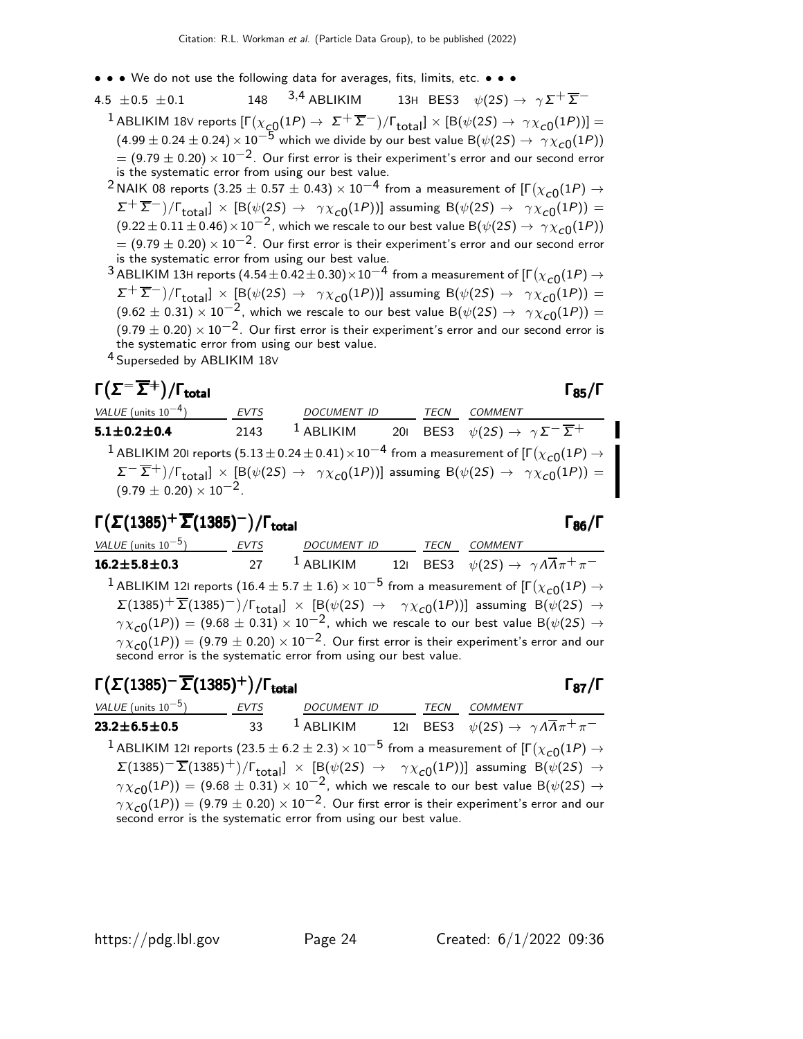- • We do not use the following data for averages, fits, limits, etc. • •
- 4.5 ±0.5 ±0.1 148  $^{3,4}$  ABLIKIM 13H BES3  $\psi(2S) \to \gamma \Sigma^{+} \overline{\Sigma}^{-}$  $^1$ ABLIKIM 18V reports  $[\Gamma(\chi_{\cal{L}0}(1P) \to~ \Sigma^+ \overline{\Sigma}^-)/\Gamma_{\rm total}]\times[{\cal B}(\psi(2S) \to~\gamma\chi_{\cal{C}0}(1P))] =$  $(4.99 \pm 0.24 \pm 0.24) \times 10^{-5}$  which we divide by our best value B( $\psi(2S) \rightarrow \gamma \chi_{c0}(1P)$ )  $= (9.79 \pm 0.20) \times 10^{-2}$ . Our first error is their experiment's error and our second error is the systematic error from using our best value.
	- $^2$ NAIK 08 reports (3.25  $\pm$  0.57  $\pm$  0.43)  $\times$   $10^{-4}$  from a measurement of [Г $(\chi_{\bm{c}0}(1P) \rightarrow$  $(\Sigma^+ \overline{\Sigma}^-)/\Gamma_{\text{total}}] \times [\mathsf{B}(\psi(2\mathsf{S}) \to \gamma \chi_{\text{c}0}(1\mathsf{P}))]$  assuming  $\mathsf{B}(\psi(2\mathsf{S}) \to \gamma \chi_{\text{c}0}(1\mathsf{P})) =$  $(9.22 \pm 0.11 \pm 0.46) \times 10^{-2}$ , which we rescale to our best value B $(\psi(2S) \rightarrow \gamma \chi_{c0}(1P))$  $= (9.79 \pm 0.20) \times 10^{-2}$ . Our first error is their experiment's error and our second error is the systematic error from using our best value.
	- $^3$  ABLIKIM 13H reports  $(4.54\pm0.42\pm0.30)\times10^{-4}$  from a measurement of [Г $(\chi_{\bf C0}(1P) \rightarrow$  $(\Sigma^+ \overline{\Sigma}^-)/\Gamma_{\text{total}}] \times [\text{B}(\psi(2S) \rightarrow \gamma \chi_{c0}(1P))]$  assuming  $\text{B}(\psi(2S) \rightarrow \gamma \chi_{c0}(1P)) =$  $(9.62 \pm 0.31) \times 10^{-2}$ , which we rescale to our best value B $(\psi(2S) \rightarrow \gamma \chi_{c0}(1P)) =$  $(9.79 \pm 0.20) \times 10^{-2}$ . Our first error is their experiment's error and our second error is the systematic error from using our best value.
	- 4 Superseded by ABLIKIM 18<sup>V</sup>

#### $\Gamma(\Sigma^-\overline{\Sigma}^+)$ /Γ<sub>total</sub> Γερ )/Γ<sub>total</sub> Γ<sub>85</sub>/Γ

VALUE (units  $10^{-4}$ ) EVTS DOCUMENT ID TECN COMMENT **5.1±0.2±0.4** 2143 <sup>1</sup> ABLIKIM 20I BES3  $\psi(2S) \to \gamma \Sigma^{-} \overline{\Sigma}^{+}$  $^1$  ABLIKIM 201 reports  $(5.13\pm0.24\pm0.41)\times10^{-4}$  from a measurement of [Г $(\chi_{\bf C0}(1P) \rightarrow$  $\Sigma^{-}(\overline{\Sigma}^{+})/\Gamma_{\text{total}}] \times [\text{B}(\psi(2S) \rightarrow \gamma \chi_{c0}(1P))]$  assuming  $\text{B}(\psi(2S) \rightarrow \gamma \chi_{c0}(1P)) =$  $(9.79 \pm 0.20) \times 10^{-2}$ .

#### Γ $(\Sigma(1385)^+\overline{\Sigma}(1385)^-)$ /Γ<sub>total</sub> Γ<sub>86</sub>/Γ total and the set of the set of the set of the set of the set of the set of the set of the set of the set of t

VALUE (units  $10^{-5}$ ) EVTS DOCUMENT ID TECN COMMENT **16.2±5.8±0.3** 27 <sup>1</sup> ABLIKIM 12I BES3  $\psi(2S) \to \gamma A \overline{A} \pi^+ \pi^ ^1$  ABLIKIM 121 reports  $(16.4\pm5.7\pm1.6)\times10^{-5}$  from a measurement of [Г $(\chi_{\bf C0}(1P)\rightarrow$  $\Sigma(1385)^+\overline{\Sigma}(1385)^-) / \Gamma_{\text{total}}] \times [\mathsf{B}(\psi(2S) \rightarrow \gamma \chi_{\text{C}0}(1P))]$  assuming  $\mathsf{B}(\psi(2S) \rightarrow \mathsf{B}(\psi(2S))$  $\gamma \chi_{\rm C}(1)$  =  $(9.68 \pm 0.31) \times 10^{-2}$ , which we rescale to our best value B( $\psi(2)$   $\rightarrow$  $\gamma \chi_{\bf C 0}(1P))=(9.79\pm0.20)\times 10^{-2}.$  Our first error is their experiment's error and our second error is the systematic error from using our best value.

### Γ $(\Sigma(1385)^-\overline{\Sigma}(1385)^+)$ /Γ<sub>total</sub> Γ<sub>87</sub>/Γ

VALUE (units 10<sup>-5</sup>) EVTS DOCUMENT ID TECN COMMENT **23.2±6.5±0.5** 33 <sup>1</sup> ABLIKIM 12I BES3  $\psi(2S) \to \gamma A \overline{A} \pi^+ \pi^ ^1$  ABLIKIM 121 reports  $(23.5\pm6.2\pm2.3)\times10^{-5}$  from a measurement of [Г $(\chi_{\bf C0}(1P)\rightarrow$  $\Sigma(1385)^{-1} \overline{\Sigma}(1385)^{+})/\Gamma_{\rm total}$ ] × [B( $\psi(2S) \rightarrow \gamma \chi_{c0}(1P)$ )] assuming B( $\psi(2S) \rightarrow$  $\gamma \chi_{\rm C0}(1P)) = (9.68 \pm 0.31) \times 10^{-2}$ , which we rescale to our best value B( $\psi(2S) \rightarrow$  $\gamma \chi_{\rm C0}(1P))=(9.79\pm0.20)\times 10^{-2}.$  Our first error is their experiment's error and our second error is the systematic error from using our best value.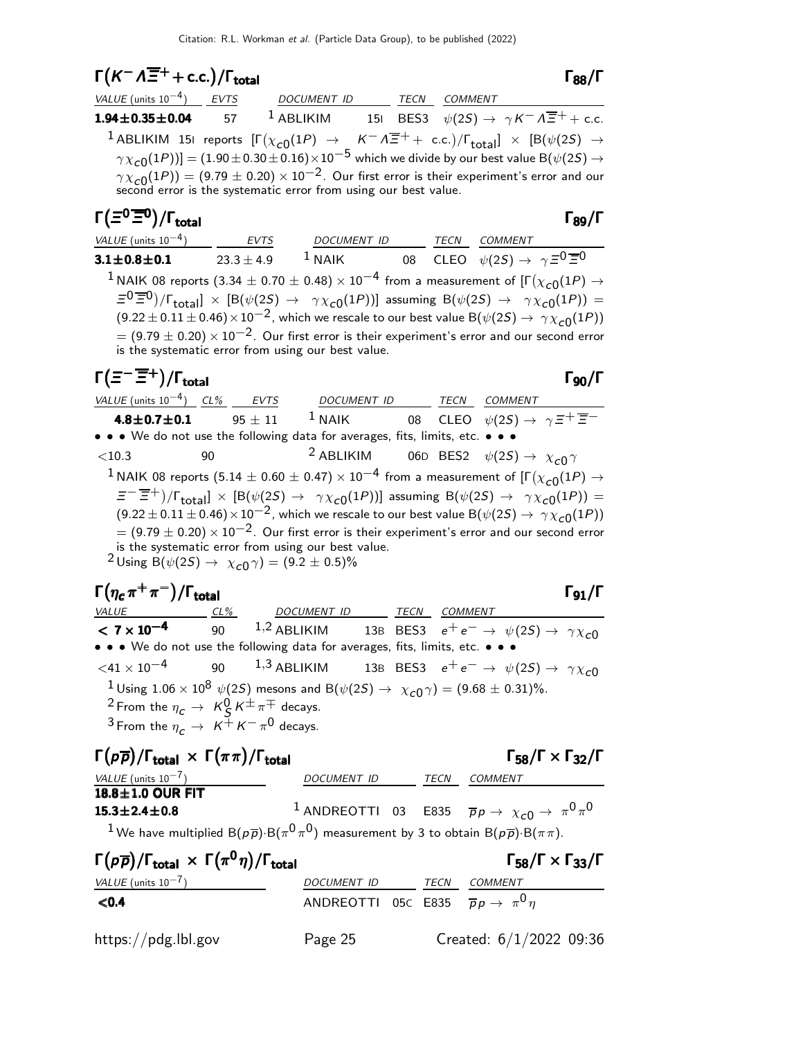## $\Gamma(K^-\Lambda\overline{\Xi}^+ + \text{c.c.})/\Gamma_{\text{total}}$  Γ<sub>88</sub>/Γ

| <i>VALUE</i> (units $10^{-4}$ ) | EVTS | DOCUMENT ID  |  | TECN | <i>COMMENT</i>                                                                                                                                                                  |  |
|---------------------------------|------|--------------|--|------|---------------------------------------------------------------------------------------------------------------------------------------------------------------------------------|--|
| $1.94 \pm 0.35 \pm 0.04$ 57     |      | $^1$ ABLIKIM |  |      | 151 BES3 $\psi(2S) \rightarrow \gamma K^{-} \Lambda \overline{\Xi}^{+} + \text{c.c.}$                                                                                           |  |
|                                 |      |              |  |      | <sup>1</sup> ABLIKIM 151 reports $[\Gamma(\chi_{c0}(1P) \to K^- \Lambda \overline{\Xi}^+ + c.c.)/\Gamma_{total}] \times [B(\psi(2S) \to$                                        |  |
|                                 |      |              |  |      | $\gamma \chi_{c0}(1P)$ ] = (1.90 ± 0.30 ± 0.16) × 10 <sup>-5</sup> which we divide by our best value B( $\psi$ (2S) $\rightarrow$                                               |  |
|                                 |      |              |  |      | $\gamma \chi_{c0}(1P)$ = (9.79 ± 0.20) × 10 <sup>-2</sup> . Our first error is their experiment's error and our second error is the systematic error from using our best value. |  |

#### Γ(Ξ<sup>0</sup>Ξ<sup>0</sup>)/Γ<sub>total</sub> Γεργασία Στου Γεργα total and total and the set of the set of the set of the set of the set of the set of the set of the set of th VALUE (units 10<sup>-4</sup>) EVTS DOCUMENT ID TECN COMMENT 3.1 $\pm$ 0.8 $\pm$ 0.1 23.3 $\pm$ 4.9  $^1$  NAIK 08 CLEO  $\psi(2S) \rightarrow \ \gamma \, \Xi^{\text{O}} \, \overline{\Xi}{}^{\text{O}}$  $^{\text{1}}$ NAIK 08 reports (3.34  $\pm$  0.70  $\pm$  0.48)  $\times$   $10^{-4}$  from a measurement of [Г $(\chi_{\text{c}0}(1P)$   $\rightarrow$  $\Xi^0 \overline{\Xi}{}^0)/\Gamma_{\text{total}}] \times [\text{B}(\psi(2S) \rightarrow \gamma \chi_{c0}(1P))]$  assuming  $\text{B}(\psi(2S) \rightarrow \gamma \chi_{c0}(1P)) =$  $(9.22 \pm 0.11 \pm 0.46) \times 10^{-2}$ , which we rescale to our best value B( $\psi(2S) \rightarrow \gamma \chi_{c0}(1P)$ )  $= (9.79 \pm 0.20) \times 10^{-2}$ . Our first error is their experiment's error and our second error is the systematic error from using our best value.

## $\Gamma(\Xi^-\overline{\Xi}{}^+)$ / $\Gamma_{\rm total}$

| VALUE (units $10^{-4}$ ) CL% EVTS                                                                                             |                                                                                            | DOCUMENT ID TECN COMMENT                           |  |  |                                                                                                                                                                |  |  |  |
|-------------------------------------------------------------------------------------------------------------------------------|--------------------------------------------------------------------------------------------|----------------------------------------------------|--|--|----------------------------------------------------------------------------------------------------------------------------------------------------------------|--|--|--|
| 4.8 $\pm$ 0.7 $\pm$ 0.1                                                                                                       | $95 + 11$                                                                                  |                                                    |  |  | <sup>1</sup> NAIK 08 CLEO $\psi(2S) \rightarrow \gamma \Xi^+ \overline{\Xi}^-$                                                                                 |  |  |  |
| • • • We do not use the following data for averages, fits, limits, etc. • • •                                                 |                                                                                            |                                                    |  |  |                                                                                                                                                                |  |  |  |
| ${<}10.3$                                                                                                                     | 90                                                                                         |                                                    |  |  | <sup>2</sup> ABLIKIM 06D BES2 $\psi(2S) \rightarrow \chi_{c0} \gamma$                                                                                          |  |  |  |
| $^1$ NAIK 08 reports (5.14 $\pm$ 0.60 $\pm$ 0.47) $\times$ 10 $^{-4}$ from a measurement of [F $(\chi_{c0}(1P)$ $\rightarrow$ |                                                                                            |                                                    |  |  |                                                                                                                                                                |  |  |  |
|                                                                                                                               |                                                                                            |                                                    |  |  | $E^{-\frac{m}{2}+}$ )/ $\Gamma_{\text{total}}$ × [B( $\psi(2S) \rightarrow \gamma \chi_{c0}(1P)$ ] assuming B( $\psi(2S) \rightarrow \gamma \chi_{c0}(1P)$ ) = |  |  |  |
|                                                                                                                               |                                                                                            |                                                    |  |  | $(9.22 \pm 0.11 \pm 0.46) \times 10^{-2}$ , which we rescale to our best value B $(\psi(2S) \rightarrow \gamma \chi_{c0}(1P))$                                 |  |  |  |
|                                                                                                                               |                                                                                            |                                                    |  |  | $=$ (9.79 $\pm$ 0.20) $\times$ 10 <sup>-2</sup> . Our first error is their experiment's error and our second error                                             |  |  |  |
|                                                                                                                               |                                                                                            | is the systematic error from using our best value. |  |  |                                                                                                                                                                |  |  |  |
|                                                                                                                               | <sup>2</sup> Using B( $\psi$ (2 <i>S</i> ) $\rightarrow \chi_{c0} \gamma$ ) = (9.2 ± 0.5)% |                                                    |  |  |                                                                                                                                                                |  |  |  |

| $\Gamma(\eta_c \pi^+\pi^-)/\Gamma_{\rm total}$ |    |                    |      |         | 91 |
|------------------------------------------------|----|--------------------|------|---------|----|
| <i>VALUE</i>                                   | 1% | <b>DOCUMENT ID</b> | TECN | COMMENT |    |

| $\Gamma(\eta_c \pi^+\pi^-)/\Gamma_{\rm total}$                                                                                 |                                                                                                                                               |  | $\Gamma_{91}/\Gamma$ |  |
|--------------------------------------------------------------------------------------------------------------------------------|-----------------------------------------------------------------------------------------------------------------------------------------------|--|----------------------|--|
| <b>VALUE</b><br>$CL\%$                                                                                                         | DOCUMENT ID TECN                                                                                                                              |  | COMMENT              |  |
|                                                                                                                                | <b>&lt; 7 x 10<sup>-4</sup></b> 90 <sup>1,2</sup> ABLIKIM 13B BES3 $e^+e^- \rightarrow \psi(2S) \rightarrow \gamma \chi_{c0}$                 |  |                      |  |
|                                                                                                                                | • • • We do not use the following data for averages, fits, limits, etc. • • •                                                                 |  |                      |  |
|                                                                                                                                | $\langle 41 \times 10^{-4}$ 90 1,3 ABLIKIM 13B BES3 $e^+e^- \rightarrow \psi(25) \rightarrow \gamma \chi_{c0}$                                |  |                      |  |
| <sup>2</sup> From the $\eta_c \to K_S^0 K^{\pm} \pi^{\mp}$ decays.<br><sup>3</sup> From the $\eta_c \to K^+ K^- \pi^0$ decays. | <sup>1</sup> Using 1.06 $\times$ 10 <sup>8</sup> $\psi$ (25) mesons and B( $\psi$ (25) $\rightarrow \chi_{c0} \gamma$ ) = (9.68 $\pm$ 0.31)%. |  |                      |  |

### Γ( $p\overline{p}$ )/Γ<sub>total</sub> × Γ( $\pi\pi$ )/Γ<sub>total</sub> Σεντροφής του Γ<sub>58</sub>/Γ × Γ<sub>32</sub>/Γ

#### $\Gamma_{58}/\Gamma \times \Gamma_{32}/\Gamma$

| $18.8 \pm 1.0$ OUR FIT                                                                                                                    |  |                                                                                              |
|-------------------------------------------------------------------------------------------------------------------------------------------|--|----------------------------------------------------------------------------------------------|
| $15.3 \pm 2.4 \pm 0.8$                                                                                                                    |  | <sup>1</sup> ANDREOTTI 03 E835 $\overline{p}p \rightarrow \chi_{c0} \rightarrow \pi^0 \pi^0$ |
| <sup>1</sup> We have multiplied B( $p\overline{p}$ )·B( $\pi^{0}\pi^{0}$ ) measurement by 3 to obtain B( $p\overline{p}$ )·B( $\pi\pi$ ). |  |                                                                                              |

VALUE (units 10<sup>-7</sup>) DOCUMENT ID TECN COMMENT

| $\Gamma(p\overline{p})/\Gamma_{\text{total}} \times \Gamma(\pi^0\eta)/\Gamma_{\text{total}}$ |                                                           |      | $\Gamma_{58}/\Gamma \times \Gamma_{33}/\Gamma$ |
|----------------------------------------------------------------------------------------------|-----------------------------------------------------------|------|------------------------------------------------|
| VALUE (units $10^{-7}$ )                                                                     | <i>DOCUMENT ID</i>                                        | TECN | <i>COMMENT</i>                                 |
| $0.4$                                                                                        | ANDREOTTI 05C E835 $\overline{p}p \rightarrow \pi^0 \eta$ |      |                                                |
| https://pdg.lbl.gov                                                                          | Page 25                                                   |      | Created: $6/1/2022$ 09:36                      |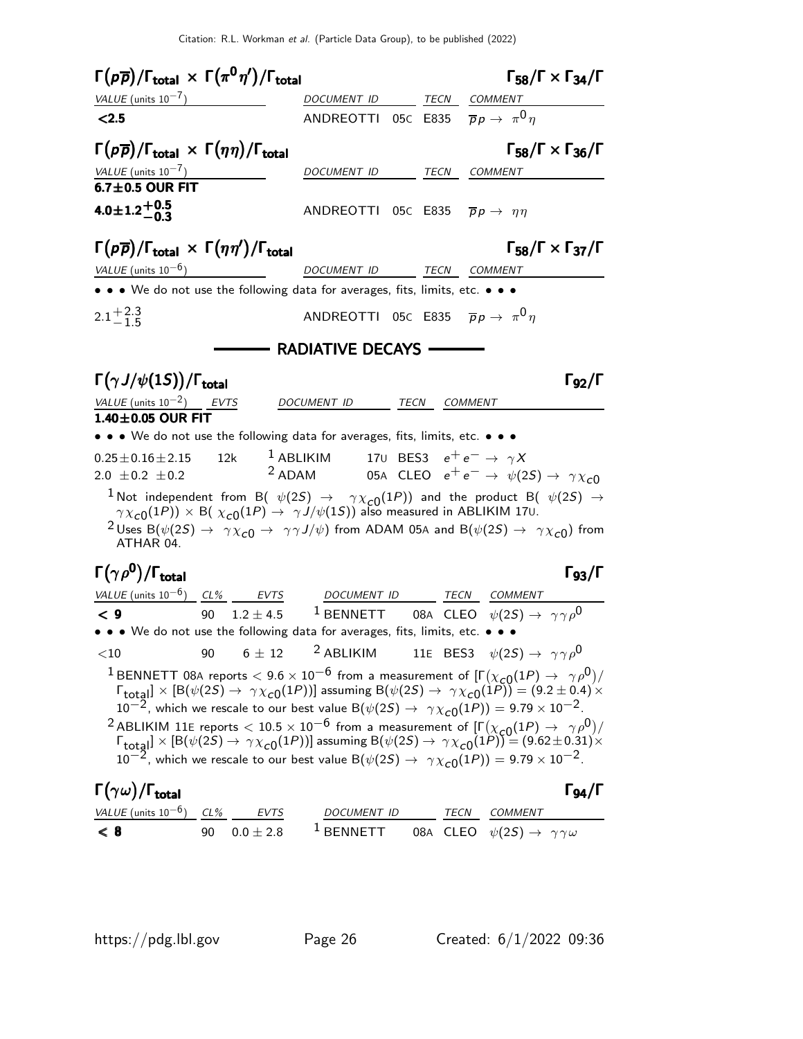| $\Gamma(p\overline{p})/\Gamma_{\text{total}} \times \Gamma(\pi^0\eta')/\Gamma_{\text{total}}$                                                                                                                                                                                      |                                                                                        |  | $\Gamma_{58}/\Gamma \times \Gamma_{34}/\Gamma$                                        |
|------------------------------------------------------------------------------------------------------------------------------------------------------------------------------------------------------------------------------------------------------------------------------------|----------------------------------------------------------------------------------------|--|---------------------------------------------------------------------------------------|
| VALUE (units $10^{-7}$ )                                                                                                                                                                                                                                                           | DOCUMENT ID TECN COMMENT                                                               |  |                                                                                       |
| < 2.5                                                                                                                                                                                                                                                                              | ANDREOTTI 05C E835 $\overline{p}p \rightarrow \pi^0 \eta$                              |  |                                                                                       |
| $\Gamma(p\overline{p})/\Gamma_{\text{total}} \times \Gamma(\eta\eta)/\Gamma_{\text{total}}$                                                                                                                                                                                        |                                                                                        |  | $\Gamma_{58}/\Gamma \times \Gamma_{36}/\Gamma$                                        |
| VALUE (units $10^{-7}$ )                                                                                                                                                                                                                                                           | DOCUMENT ID                                                                            |  | TECN COMMENT                                                                          |
| $6.7 \pm 0.5$ OUR FIT                                                                                                                                                                                                                                                              |                                                                                        |  |                                                                                       |
| $4.0 \pm 1.2 \begin{array}{c} +0.5 \\ -0.3 \end{array}$                                                                                                                                                                                                                            | ANDREOTTI 05C E835 $\bar{p}p \rightarrow \eta \eta$                                    |  |                                                                                       |
| $\Gamma(p\overline{p})/\Gamma_{\text{total}} \times \Gamma(\eta\eta')/\Gamma_{\text{total}}$                                                                                                                                                                                       |                                                                                        |  | $\Gamma_{58}/\Gamma \times \Gamma_{37}/\Gamma$                                        |
| VALUE (units $10^{-6}$ )<br>DOCUMENT ID TECN COMMENT                                                                                                                                                                                                                               |                                                                                        |  |                                                                                       |
| • • • We do not use the following data for averages, fits, limits, etc. • • •                                                                                                                                                                                                      |                                                                                        |  |                                                                                       |
| $2.1 + 2.3$                                                                                                                                                                                                                                                                        | ANDREOTTI 05C E835 $\overline{p}p \rightarrow \pi^0 \eta$                              |  |                                                                                       |
|                                                                                                                                                                                                                                                                                    | <b>NADIATIVE DECAYS - RADIATIVE DECAYS</b>                                             |  |                                                                                       |
|                                                                                                                                                                                                                                                                                    |                                                                                        |  |                                                                                       |
| $\Gamma(\gamma J/\psi(1S))/\Gamma_{\rm total}$                                                                                                                                                                                                                                     |                                                                                        |  | $\Gamma_{92}/\Gamma$                                                                  |
| VALUE (units $10^{-2}$ ) EVTS                                                                                                                                                                                                                                                      | DOCUMENT ID TECN COMMENT                                                               |  |                                                                                       |
| $1.40\pm0.05$ OUR FIT<br>• • • We do not use the following data for averages, fits, limits, etc. • • •                                                                                                                                                                             |                                                                                        |  |                                                                                       |
|                                                                                                                                                                                                                                                                                    |                                                                                        |  |                                                                                       |
| 12k<br>$0.25 \pm 0.16 \pm 2.15$<br>2.0 $\pm$ 0.2 $\pm$ 0.2                                                                                                                                                                                                                         | $^1$ ABLIKIM $\qquad$ 170 $\,$ BES3 $\,$ $\,$ e $^+$ e $^ \rightarrow$ $\,$ $\gamma X$ |  | <sup>2</sup> ADAM 05A CLEO $e^+e^- \rightarrow \psi(2S) \rightarrow \gamma \chi_{c0}$ |
|                                                                                                                                                                                                                                                                                    |                                                                                        |  |                                                                                       |
| <sup>1</sup> Not independent from B( $\psi(2S) \rightarrow \gamma \chi_{c0}(1P)$ ) and the product B( $\psi(2S) \rightarrow \gamma \chi_{c0}(1P)$ ) × B( $\chi_{c0}(1P) \rightarrow \gamma J/\psi(1S)$ ) also measured in ABLIKIM 170.                                             |                                                                                        |  |                                                                                       |
| <sup>2</sup> Uses B( $\psi(2S) \to \gamma \chi_{c0} \to \gamma \gamma J/\psi$ ) from ADAM 05A and B( $\psi(2S) \to \gamma \chi_{c0}$ ) from                                                                                                                                        |                                                                                        |  |                                                                                       |
| ATHAR 04.                                                                                                                                                                                                                                                                          |                                                                                        |  |                                                                                       |
| $\Gamma(\gamma \rho^0)/\Gamma_{\rm total}$                                                                                                                                                                                                                                         |                                                                                        |  | $\Gamma_{93}/\Gamma$                                                                  |
| $VALU E$ (units $10^{-6}$ ) CL% EVTS DOCUMENT ID TECN COMMENT                                                                                                                                                                                                                      |                                                                                        |  |                                                                                       |
| $\lt 9$<br>90                                                                                                                                                                                                                                                                      |                                                                                        |  | 1.2 ± 4.5 <sup>1</sup> BENNETT 08A CLEO $\psi(2S) \rightarrow \gamma \gamma \rho^0$   |
| • • • We do not use the following data for averages, fits, limits, etc. • • •                                                                                                                                                                                                      |                                                                                        |  |                                                                                       |
| $\langle 10$ 90 6 ± 12 <sup>2</sup> ABLIKIM 11E BES3 $\psi(2S) \rightarrow \gamma \gamma \rho^0$                                                                                                                                                                                   |                                                                                        |  |                                                                                       |
| <sup>1</sup> BENNETT 08A reports $< 9.6 \times 10^{-6}$ from a measurement of $[\Gamma(\chi_{c0}(1P) \to \gamma \rho^0)/\Gamma_{\text{total}}] \times [B(\psi(2S) \to \gamma \chi_{c0}(1P))]$ assuming $B(\psi(2S) \to \gamma \chi_{c0}(1P)) = (9.2 \pm 0.4) \times$               |                                                                                        |  |                                                                                       |
| $10^{-2}$ , which we rescale to our best value B $(\psi(2S) \rightarrow \gamma \chi_{c0}(1P)) = 9.79 \times 10^{-2}$ .                                                                                                                                                             |                                                                                        |  |                                                                                       |
| <sup>2</sup> ABLIKIM 11E reports $<$ 10.5 $\times$ 10 <sup>-6</sup> from a measurement of $[\Gamma(\chi_{c0}(1P) \to \gamma \rho^0)/\Gamma_{\text{total}}] \times [B(\psi(2S) \to \gamma \chi_{c0}(1P))]$ assuming $B(\psi(2S) \to \gamma \chi_{c0}(1P)) = (9.62 \pm 0.31) \times$ |                                                                                        |  |                                                                                       |
|                                                                                                                                                                                                                                                                                    |                                                                                        |  |                                                                                       |
| $10^{-2}$ , which we rescale to our best value B $(\psi(2S) \rightarrow \gamma \chi_{c0}(1P)) = 9.79 \times 10^{-2}$ .                                                                                                                                                             |                                                                                        |  |                                                                                       |
| $\Gamma(\gamma\omega)/\Gamma_{\rm total}$                                                                                                                                                                                                                                          |                                                                                        |  | $\Gamma_{94}/\Gamma$                                                                  |
| VALUE (units $10^{-6}$ ) CL %<br>F1/TS                                                                                                                                                                                                                                             | DOCUMENT ID                                                                            |  | <b>TECN</b><br>COMMENT                                                                |

VALUE (units 10<sup>-6</sup>) CL% EVTS DOCUMENT ID TECN COMMENT  $\leq 8$  90 0.0  $\pm$  2.8  $^{\text{1}}$  BENNETT  $\qquad$  08A CLEO  $\;\psi(2S) \rightarrow \; \gamma \, \gamma \, \omega$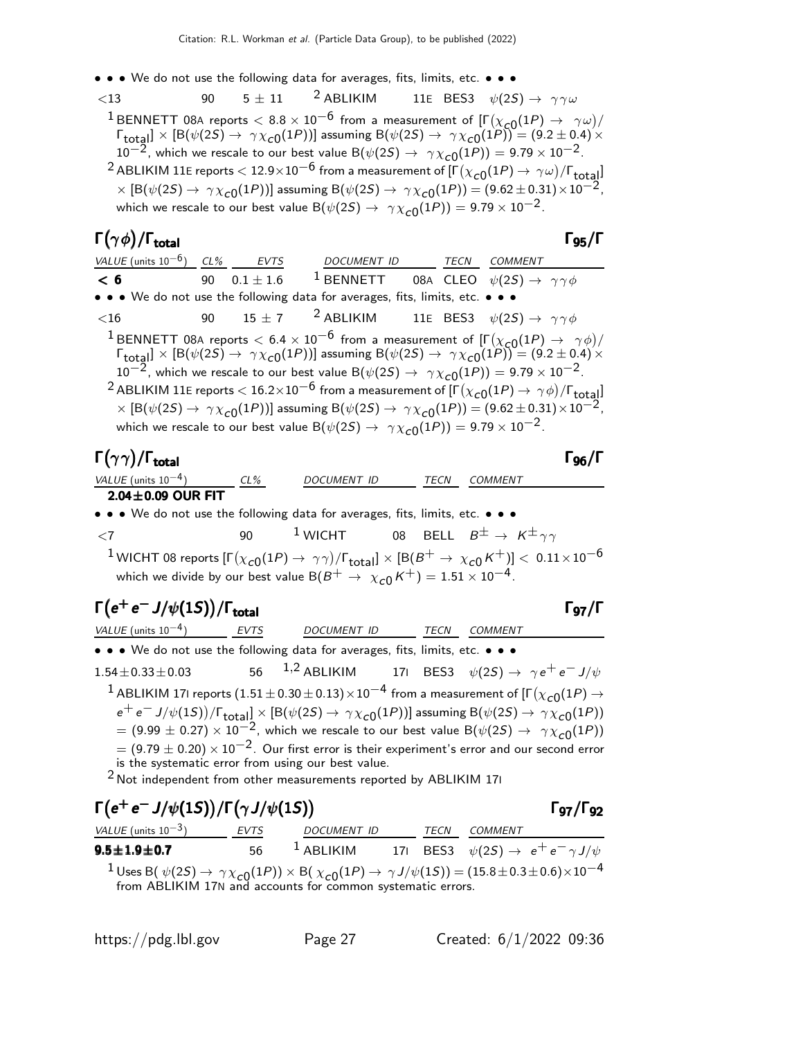• • • We do not use the following data for averages, fits, limits, etc. • • •

 $\lt 13$  90  $5 \pm 11$  <sup>2</sup> ABLIKIM 11E BES3  $\psi(2S) \to \gamma \gamma \omega$ <sup>1</sup> BENNETT 08A reports  $< 8.8 \times 10^{-6}$  from a measurement of  $[\Gamma(\chi_{c0}(1P) \rightarrow \gamma \omega)/$  $\Gamma_{\rm total} \propto [{\rm B}(\psi(2S) \to \gamma \chi_{c0}(1P))]$  assuming  ${\rm B}(\psi(2S) \to \gamma \chi_{c0}(1P)) = (9.2 \pm 0.4) \times 10^{-10}$  $10^{-2}$ , which we rescale to our best value B $(\psi(2S) \rightarrow \gamma \chi_{c0}(1P)) = 9.79 \times 10^{-2}$ .  $^2$  ABLIKIM 11E reports  $<$  12.9 $\times10^{-6}$  from a measurement of  $[\Gamma(\chi_{\bf C0}(1P) \to\ \gamma \omega)/\Gamma_{\bf total}]$  $\times$  [B( $\psi(2S) \rightarrow \gamma \chi_{c0}(1P)$ )] assuming B( $\psi(2S) \rightarrow \gamma \chi_{c0}(1P)$ ) = (9.62 ± 0.31)  $\times 10^{-2}$ , which we rescale to our best value  $B(\psi(2S) \rightarrow \gamma \chi_{c0}(1P)) = 9.79 \times 10^{-2}$ .

### $\Gamma(\gamma \phi)/\Gamma_{\rm total}$  Γg<sub>5</sub>/Γ

| VALUE (units $10^{-6}$ ) CL% EVTS                                             |  |             | DOCUMENT ID TECN                                                                                          |             |  | <i>COMMENT</i>                                                                                                                                                                                                                                                                                                                                                                                                                                                                                                                                                                                                                                              |  |  |
|-------------------------------------------------------------------------------|--|-------------|-----------------------------------------------------------------------------------------------------------|-------------|--|-------------------------------------------------------------------------------------------------------------------------------------------------------------------------------------------------------------------------------------------------------------------------------------------------------------------------------------------------------------------------------------------------------------------------------------------------------------------------------------------------------------------------------------------------------------------------------------------------------------------------------------------------------------|--|--|
| < 6<br><u>90</u>                                                              |  | $0.1\pm1.6$ |                                                                                                           | $1$ BENNETT |  | 08A CLEO $\psi(2S) \rightarrow \gamma \gamma \phi$                                                                                                                                                                                                                                                                                                                                                                                                                                                                                                                                                                                                          |  |  |
| • • • We do not use the following data for averages, fits, limits, etc. • • • |  |             |                                                                                                           |             |  |                                                                                                                                                                                                                                                                                                                                                                                                                                                                                                                                                                                                                                                             |  |  |
| $<$ 16                                                                        |  |             | 90 $15 \pm 7$ <sup>2</sup> ABLIKIM 11E BES3 $\psi(2S) \rightarrow \gamma \gamma \phi$                     |             |  |                                                                                                                                                                                                                                                                                                                                                                                                                                                                                                                                                                                                                                                             |  |  |
|                                                                               |  |             | which we rescale to our best value $B(\psi(2S) \rightarrow \gamma \chi_{c0}(1P)) = 9.79 \times 10^{-2}$ . |             |  | <sup>1</sup> BENNETT 08A reports $< 6.4 \times 10^{-6}$ from a measurement of $[\Gamma(\chi_{c0}(1P) \to \gamma \phi)/\Gamma_{\text{total}}] \times [B(\psi(2S) \to \gamma \chi_{c0}(1P))]$ assuming $B(\psi(2S) \to \gamma \chi_{c0}(1P)) = (9.2 \pm 0.4) \times 10^{-2}$ , which we rescale to our best value $B(\psi(2S) \to \gamma \chi_{c0}($<br><sup>2</sup> ABLIKIM 11E reports $<$ 16.2 $\times$ 10 $^{-6}$ from a measurement of [F $(\chi_{c0}(1P) \rightarrow \gamma \phi)/$ Ftotal]<br>$\times$ [B( $\psi(2S) \rightarrow \gamma \chi_{c0}(1P)$ )] assuming B( $\psi(2S) \rightarrow \gamma \chi_{c0}(1P)$ ) = (9.62 ± 0.31) $\times 10^{-2}$ , |  |  |

### Γ $(\gamma \gamma)/\Gamma_{\rm total}$  Γg<sub>6</sub>/Γ

/Γ<sub>total</sub> Γ<sub>96</sub>/Γ <sub>96</sub>/Γ

|  | $2.04 \pm 0.09$ OUR FIT |  |  |  |  |  |
|--|-------------------------|--|--|--|--|--|
|  |                         |  |  |  |  |  |

• • • We do not use the following data for averages, fits, limits, etc. • • •

VALUE (units  $10^{-4}$ ) CL% DOCUMENT ID TECN COMMENT

 $\langle 7 \rangle$  90  $^1$  WICHT 08 BELL  $B^{\pm} \rightarrow K^{\pm} \gamma \gamma$  $^1$ WICHT 08 reports [Г $(\chi_{\bf C0}(1P)\to\,\gamma\gamma)/\Gamma_{\bf total}]\times[{\sf B}(B^+\to\,\chi_{\bf C0}\,K^+)]<\,$  0.11 $\times10^{-6}$ which we divide by our best value B( $B^+ \rightarrow \chi_{c0} K^+$ ) = 1.51 × 10<sup>-4</sup>.

## $\Gamma(e^+e^-J/\psi(1S))/\Gamma_{\text{total}}$  Γ97/Γ

| VALUE (units $10^{-4}$ )                                                      | <b>EVTS</b> | DOCUMENT ID | TECN | COMMENT                                                                                                                                                                                                                                                     |
|-------------------------------------------------------------------------------|-------------|-------------|------|-------------------------------------------------------------------------------------------------------------------------------------------------------------------------------------------------------------------------------------------------------------|
| • • • We do not use the following data for averages, fits, limits, etc. • • • |             |             |      |                                                                                                                                                                                                                                                             |
| $1.54 \pm 0.33 \pm 0.03$                                                      |             |             |      | 56 <sup>1,2</sup> ABLIKIM 171 BES3 $\psi(2S) \rightarrow \gamma e^+ e^- J/\psi$                                                                                                                                                                             |
|                                                                               |             |             |      | <sup>1</sup> ABLIKIM 17I reports $(1.51 \pm 0.30 \pm 0.13) \times 10^{-4}$ from a measurement of $[\Gamma(\chi_{c0}(1P) \rightarrow$                                                                                                                        |
|                                                                               |             |             |      | $e^+e^- J/\psi(1S))/\Gamma_{\text{total}}] \times [B(\psi(2S) \to \gamma \chi_{c0}(1P))]$ assuming $B(\psi(2S) \to \gamma \chi_{c0}(1P))$<br>= (9.99 ± 0.27) × 10 <sup>-2</sup> , which we rescale to our best value $B(\psi(2S) \to \gamma \chi_{c0}(1P))$ |
|                                                                               |             |             |      |                                                                                                                                                                                                                                                             |
|                                                                               |             |             |      | $=$ (9.79 $\pm$ 0.20) $\times$ 10 <sup>-2</sup> . Our first error is their experiment's error and our second error                                                                                                                                          |
| is the systematic error from using our best value.                            |             |             |      |                                                                                                                                                                                                                                                             |
| $2$ Not independent from other measurements reported by ABLIKIM 171           |             |             |      |                                                                                                                                                                                                                                                             |

| $\Gamma(e^+e^-J/\psi(1S))/\Gamma(\gamma J/\psi(1S))$                                                                                                                                                                       |      |                    |  |      |         | $\Gamma$ <sub>97</sub> / $\Gamma$ <sub>92</sub>      |
|----------------------------------------------------------------------------------------------------------------------------------------------------------------------------------------------------------------------------|------|--------------------|--|------|---------|------------------------------------------------------|
| <i>VALUE</i> (units $10^{-3}$ )                                                                                                                                                                                            | EVTS | <i>DOCUMENT ID</i> |  | TECN | COMMENT |                                                      |
| $9.5 \pm 1.9 \pm 0.7$                                                                                                                                                                                                      | 56   | $^1$ ABLIKIM       |  |      |         | 171 BES3 $\psi(2S) \rightarrow e^+e^- \gamma J/\psi$ |
| <sup>1</sup> Uses B( $\psi(2S) \rightarrow \gamma \chi_{c0}(1P) \times B(\chi_{c0}(1P) \rightarrow \gamma J/\psi(1S)) = (15.8 \pm 0.3 \pm 0.6) \times 10^{-4}$ from ABLIKIM 17N and accounts for common systematic errors. |      |                    |  |      |         |                                                      |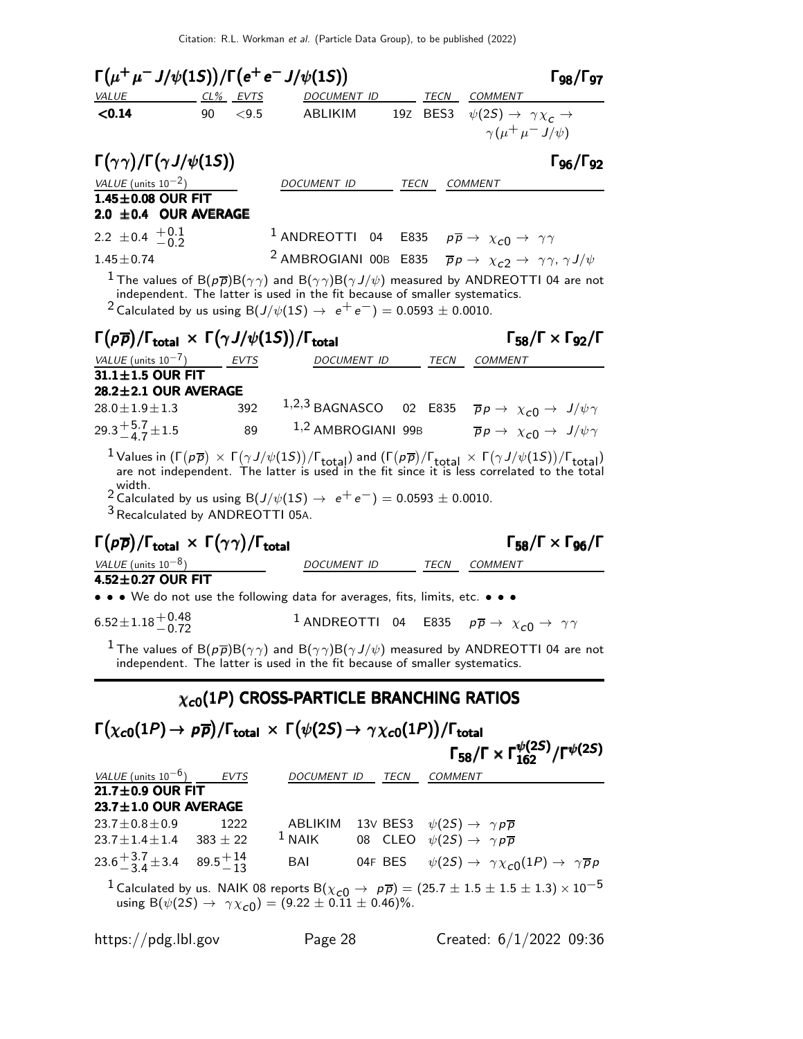| $\Gamma(\mu^+\mu^- J/\psi(1S))/\Gamma(e^+e^- J/\psi(1S))$                                                                              |                 |             |                                                                                                                                                                               |             |      |                                                                                                | $\Gamma_{98}/\Gamma_{97}$                                                                                                                                                                                                                                                                    |
|----------------------------------------------------------------------------------------------------------------------------------------|-----------------|-------------|-------------------------------------------------------------------------------------------------------------------------------------------------------------------------------|-------------|------|------------------------------------------------------------------------------------------------|----------------------------------------------------------------------------------------------------------------------------------------------------------------------------------------------------------------------------------------------------------------------------------------------|
| <b>VALUE</b>                                                                                                                           | <u>CL% EVTS</u> |             | DOCUMENT ID                                                                                                                                                                   |             |      | TECN COMMENT                                                                                   |                                                                                                                                                                                                                                                                                              |
| < 0.14                                                                                                                                 | 90              | < 9.5       | ABLIKIM                                                                                                                                                                       |             |      | 197 BES3 $\psi(2S) \rightarrow \gamma \chi_c \rightarrow$                                      | $\gamma(\mu^+\mu^-J/\psi)$                                                                                                                                                                                                                                                                   |
| $\Gamma(\gamma\gamma)/\Gamma(\gamma J/\psi(1S))$                                                                                       |                 |             |                                                                                                                                                                               |             |      |                                                                                                | Г96/Г92                                                                                                                                                                                                                                                                                      |
| VALUE (units $10^{-2}$ )                                                                                                               |                 |             | <i>DOCUMENT ID</i>                                                                                                                                                            |             | TECN | <b>COMMENT</b>                                                                                 |                                                                                                                                                                                                                                                                                              |
| $1.45\pm0.08$ OUR FIT<br>$2.0 \pm 0.4$ OUR AVERAGE                                                                                     |                 |             |                                                                                                                                                                               |             |      |                                                                                                |                                                                                                                                                                                                                                                                                              |
| 2.2 $\pm$ 0.4 $+$ 0.1 $-$ 0.2                                                                                                          |                 |             | 1 ANDREOTTI 04 E835 $p\overline{p} \rightarrow \chi_{c0} \rightarrow \gamma\gamma$                                                                                            |             |      |                                                                                                |                                                                                                                                                                                                                                                                                              |
| $1.45 \pm 0.74$                                                                                                                        |                 |             | <sup>2</sup> AMBROGIANI 00B E835 $\bar{p}p \rightarrow \chi_{c2} \rightarrow \gamma \gamma$ , $\gamma J/\psi$                                                                 |             |      |                                                                                                |                                                                                                                                                                                                                                                                                              |
|                                                                                                                                        |                 |             | independent. The latter is used in the fit because of smaller systematics.<br><sup>2</sup> Calculated by us using B( $J/\psi(1S) \rightarrow e^+e^-$ ) = 0.0593 $\pm$ 0.0010. |             |      |                                                                                                | $^1$ The values of B( $\rho\overline{\rho}$ )B( $\gamma\gamma$ ) and B( $\gamma\gamma$ )B( $\gamma$ J/ $\psi$ ) measured by ANDREOTTI 04 are not                                                                                                                                             |
| $\Gamma(p\overline{p})/\Gamma_{\text{total}} \times \Gamma(\gamma J/\psi(1S))/\Gamma_{\text{total}}$                                   |                 |             |                                                                                                                                                                               |             |      |                                                                                                | $\Gamma_{58}/\Gamma \times \Gamma_{92}/\Gamma$                                                                                                                                                                                                                                               |
| VALUE (units $10^{-7}$ )                                                                                                               |                 | <b>EVTS</b> |                                                                                                                                                                               | DOCUMENT ID |      | TECN COMMENT                                                                                   |                                                                                                                                                                                                                                                                                              |
| $31.1 \pm 1.5$ OUR FIT<br>28.2±2.1 OUR AVERAGE                                                                                         |                 |             |                                                                                                                                                                               |             |      |                                                                                                |                                                                                                                                                                                                                                                                                              |
| $28.0 \pm 1.9 \pm 1.3$                                                                                                                 |                 | 392         |                                                                                                                                                                               |             |      |                                                                                                | 1,2,3 BAGNASCO 02 E835 $\bar{p}p \rightarrow \chi_{c0} \rightarrow J/\psi \gamma$                                                                                                                                                                                                            |
| 29.3 $\frac{+5.7}{-4.7}$ ± 1.5                                                                                                         |                 | 89          |                                                                                                                                                                               |             |      |                                                                                                | $1,2$ AMBROGIANI 99B $\overline{p}p \rightarrow \chi_{c0} \rightarrow J/\psi \gamma$                                                                                                                                                                                                         |
| width.<br><sup>3</sup> Recalculated by ANDREOTTI 05A.                                                                                  |                 |             | 2 Calculated by us using $B(J/\psi(1S) \to e^+e^-) = 0.0593 \pm 0.0010$ .                                                                                                     |             |      |                                                                                                | <sup>1</sup> Values in $(\Gamma(p\overline{p}) \times \Gamma(\gamma J/\psi(1S))/\Gamma_{total})$ and $(\Gamma(p\overline{p})/\Gamma_{total} \times \Gamma(\gamma J/\psi(1S))/\Gamma_{total})$<br>are not independent. The latter is used in the fit since it is less correlated to the total |
| $\Gamma(p\overline{p})/\Gamma_{\text{total}} \times \Gamma(\gamma\gamma)/\Gamma_{\text{total}}$                                        |                 |             |                                                                                                                                                                               |             |      |                                                                                                | $\Gamma_{58}/\Gamma \times \Gamma_{96}/\Gamma$                                                                                                                                                                                                                                               |
| VALUE (units $10^{-8}$ )                                                                                                               |                 |             |                                                                                                                                                                               |             |      | DOCUMENT ID TECN COMMENT                                                                       |                                                                                                                                                                                                                                                                                              |
| 4.52±0.27 OUR FIT<br>• • • We do not use the following data for averages, fits, limits, etc. • • •                                     |                 |             |                                                                                                                                                                               |             |      |                                                                                                |                                                                                                                                                                                                                                                                                              |
| $6.52 \pm 1.18 \begin{array}{c} +0.48 \\ -0.72 \end{array}$                                                                            |                 |             |                                                                                                                                                                               |             |      | <sup>1</sup> ANDREOTTI 04 E835 $p\overline{p} \rightarrow \chi_{c0} \rightarrow \gamma \gamma$ |                                                                                                                                                                                                                                                                                              |
|                                                                                                                                        |                 |             |                                                                                                                                                                               |             |      |                                                                                                | <sup>1</sup> The values of B( $p\overline{p}$ )B( $\gamma\gamma$ ) and B( $\gamma\gamma$ )B( $\gamma J/\psi$ ) measured by ANDREOTTI 04 are not independent. The latter is used in the fit because of smaller systematics.                                                                   |
|                                                                                                                                        |                 |             | $\chi_{c0}(1P)$ CROSS-PARTICLE BRANCHING RATIOS                                                                                                                               |             |      |                                                                                                |                                                                                                                                                                                                                                                                                              |
| $\Gamma(\chi_{c0}(1P) \to p\overline{p})/\Gamma_{\text{total}} \times \Gamma(\psi(2S) \to \gamma \chi_{c0}(1P))/\Gamma_{\text{total}}$ |                 |             |                                                                                                                                                                               |             |      |                                                                                                |                                                                                                                                                                                                                                                                                              |
|                                                                                                                                        |                 |             |                                                                                                                                                                               |             |      |                                                                                                | $\Gamma_{58}/\Gamma \times \Gamma_{162}^{\psi(25)}/\Gamma^{\psi(25)}$                                                                                                                                                                                                                        |
| $\frac{\text{VALUE (units 10}^{-6})}{\text{21.7} \pm \text{0.9}} \frac{\text{EVTS}}{\text{OUR FIT}}$                                   |                 |             | DOCUMENT ID TECN COMMENT                                                                                                                                                      |             |      |                                                                                                |                                                                                                                                                                                                                                                                                              |
| $23.7 \pm 1.0$ OUR AVERAGE                                                                                                             |                 |             |                                                                                                                                                                               |             |      |                                                                                                |                                                                                                                                                                                                                                                                                              |
| $23.7 \pm 0.8 \pm 0.9$                                                                                                                 |                 | 1222        | ABLIKIM 13V BES3 $\psi(2S) \rightarrow \gamma p \overline{p}$                                                                                                                 |             |      |                                                                                                |                                                                                                                                                                                                                                                                                              |
| $23.7 \pm 1.4 \pm 1.4$ 383 $\pm$ 22                                                                                                    |                 |             | $1$ NAIK                                                                                                                                                                      |             |      | 08 CLEO $\psi(2S) \rightarrow \gamma p \overline{p}$                                           |                                                                                                                                                                                                                                                                                              |
| $23.6 + \frac{3.7}{3.4} \pm 3.4$ 89.5 $+ \frac{14}{13}$                                                                                |                 |             | BAI                                                                                                                                                                           |             |      |                                                                                                | 04F BES $\psi(2S) \rightarrow \gamma \chi_{c0}(1P) \rightarrow \gamma \overline{p}p$                                                                                                                                                                                                         |

<sup>1</sup> Calculated by us. NAIK 08 reports B( $(\chi_{c0} \to p\bar{p}) = (25.7 \pm 1.5 \pm 1.5 \pm 1.3) \times 10^{-5}$ using B $(\psi(2S) \rightarrow \gamma \chi_{c0}) = (9.22 \pm 0.11 \pm 0.46)\%.$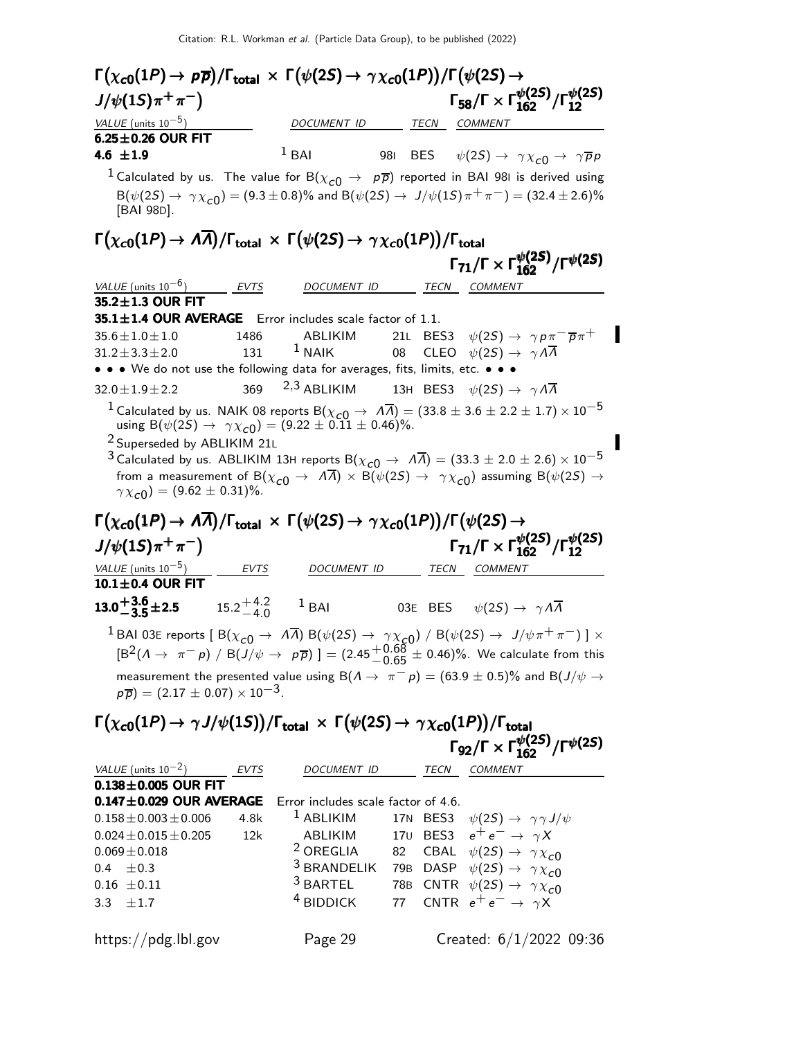| $\Gamma(\chi_{\bf c 0}(1P) \to\, p \overline{\rho})/\Gamma_{\bf total}\,\times\,\Gamma\big(\psi(2S) \to\, \gamma\chi_{\bf c 0}(1P)\big)/\Gamma\big(\psi(2S) \to$                                          |                     |                                                             |      |                                                                                                                                                                                                                 |
|-----------------------------------------------------------------------------------------------------------------------------------------------------------------------------------------------------------|---------------------|-------------------------------------------------------------|------|-----------------------------------------------------------------------------------------------------------------------------------------------------------------------------------------------------------------|
| $J/\psi(1S)\pi^{+}\pi^{-}$                                                                                                                                                                                |                     |                                                             |      | $\Gamma_{58}/\Gamma \times \Gamma_{162}^{\psi(25)}/\Gamma_{12}^{\psi(25)}$                                                                                                                                      |
| VALUE (units $10^{-5}$ )                                                                                                                                                                                  |                     | DOCUMENT ID TECN COMMENT                                    |      |                                                                                                                                                                                                                 |
| $6.25 \pm 0.26$ OUR FIT                                                                                                                                                                                   |                     |                                                             |      |                                                                                                                                                                                                                 |
| 4.6 $\pm 1.9$                                                                                                                                                                                             |                     | $1$ BAI                                                     |      | 981 BES $\psi(2S) \rightarrow \gamma \chi_{c0} \rightarrow \gamma \overline{p} p$                                                                                                                               |
|                                                                                                                                                                                                           |                     |                                                             |      | $^1$ Calculated by us. The value for B $(\chi_{c0} \rightarrow$ $\rho \overline{\rho})$ reported in BAI 981 is derived using                                                                                    |
| [BAI 98D].                                                                                                                                                                                                |                     |                                                             |      | $B(\psi(2S) \to \gamma \chi_{c0}) = (9.3 \pm 0.8)\%$ and $B(\psi(2S) \to J/\psi(1S)\pi^{+}\pi^{-}) = (32.4 \pm 2.6)\%$                                                                                          |
| $\Gamma(\chi_{c0}(1P) \to \Lambda \overline{\Lambda})/\Gamma_{\rm total} \times \Gamma(\psi(2S) \to \gamma \chi_{c0}(1P))/\Gamma_{\rm total}$                                                             |                     |                                                             |      |                                                                                                                                                                                                                 |
|                                                                                                                                                                                                           |                     |                                                             |      | $\Gamma_{71}/\Gamma \times \Gamma_{162}^{\psi(25)}/\Gamma^{\psi(25)}$                                                                                                                                           |
| VALUE (units $10^{-6}$ )                                                                                                                                                                                  | EVTS                | DOCUMENT ID                                                 | TECN | COMMENT                                                                                                                                                                                                         |
| 35.2±1.3 OUR FIT                                                                                                                                                                                          |                     |                                                             |      |                                                                                                                                                                                                                 |
| 35.1±1.4 OUR AVERAGE Error includes scale factor of 1.1.                                                                                                                                                  |                     |                                                             |      |                                                                                                                                                                                                                 |
| $35.6 \pm 1.0 \pm 1.0$                                                                                                                                                                                    | 1486                | ABLIKIM                                                     |      | 21L BES3 $\psi(2S) \rightarrow \gamma p \pi^- \overline{p} \pi^+$                                                                                                                                               |
| $31.2 \pm 3.3 \pm 2.0$                                                                                                                                                                                    | 131                 | $1$ NAIK<br>$\overline{08}$                                 |      | CLEO $\psi(2S) \rightarrow \gamma \Lambda \overline{\Lambda}$                                                                                                                                                   |
| • • • We do not use the following data for averages, fits, limits, etc. • • •<br>$32.0 \pm 1.9 \pm 2.2$                                                                                                   |                     | 369 $2,3$ ABLIKIM                                           |      | 13H BES3 $\psi(2S) \rightarrow \gamma A \overline{A}$                                                                                                                                                           |
|                                                                                                                                                                                                           |                     |                                                             |      | $^1$ Calculated by us. NAIK 08 reports B $(\chi_{c0}\to\ A\overline\Lambda)=(33.8\pm3.6\pm2.2\pm1.7)\times10^{-5}$                                                                                              |
| $\gamma \chi_{c0}$ ) = (9.62 ± 0.31)%.<br>$\Gamma(\chi_{c0}(1P) \to A\overline{A})/\Gamma_{\rm total} \times \Gamma(\psi(2S) \to \gamma \chi_{c0}(1P))/\Gamma(\psi(2S) \to$<br>$J/\psi(1S)\pi^{+}\pi^{-}$ |                     |                                                             |      | from a measurement of B( $\chi_{c0} \to A\overline{A}$ ) $\times$ B( $\psi(2S) \to \gamma \chi_{c0}$ ) assuming B( $\psi(2S) \to$<br>$\Gamma_{71}/\Gamma \times \Gamma_{162}^{\psi(2S)}/\Gamma_{12}^{\psi(2S)}$ |
| VALUE (units $10^{-5}$ )                                                                                                                                                                                  |                     | DOCUMENT ID                                                 | TECN | <i>COMMENT</i>                                                                                                                                                                                                  |
| $10.1 \pm 0.4$ OUR FIT                                                                                                                                                                                    | $\frac{EVTS}{EVTS}$ |                                                             |      |                                                                                                                                                                                                                 |
| <b>13.0<sup>+3.6</sup>±2.5</b> 15.2 <sup>+4.2</sup> 1 BAI                                                                                                                                                 |                     |                                                             |      | 03E BES $\psi(2S) \rightarrow \gamma A \overline{A}$                                                                                                                                                            |
|                                                                                                                                                                                                           |                     |                                                             |      | $^1$ BAI 03E reports [ B $(\chi_{\bm{c}\bm{0}}\to~A\overline\Lambda)$ B $(\psi(2S)\to~\gamma\chi_{\bm{c}\bm{0}})$ / B $(\psi(2S)\to~J/\psi\pi^+\pi^-)$ ] $\times$                                               |
|                                                                                                                                                                                                           |                     |                                                             |      | $[\text{B}^2(\Lambda \to \pi^- p) / \text{B}(J/\psi \to p\overline{p})] = (2.45\frac{+0.68}{-0.65} \pm 0.46)\%$ . We calculate from this                                                                        |
| $p\overline{p}$ ) = (2.17 ± 0.07) × 10 <sup>-3</sup> .                                                                                                                                                    |                     |                                                             |      | measurement the presented value using B( $\Lambda \to \pi^- p$ ) = (63.9 ± 0.5)% and B(J/ $\psi \to$                                                                                                            |
| $\Gamma(\chi_{c0}(1P) \to \gamma J/\psi(1S))/\Gamma_{\rm total} \times \Gamma(\psi(2S) \to \gamma \chi_{c0}(1P))/\Gamma_{\rm total}$                                                                      |                     |                                                             |      |                                                                                                                                                                                                                 |
|                                                                                                                                                                                                           |                     |                                                             |      | $\Gamma_{92}/\Gamma \times \Gamma_{162}^{\psi(25)}/\Gamma^{\psi(25)}$                                                                                                                                           |
|                                                                                                                                                                                                           |                     |                                                             |      |                                                                                                                                                                                                                 |
| VALUE (units $10^{-2}$ )                                                                                                                                                                                  | EVTS                | DOCUMENT ID                                                 |      | TECN COMMENT                                                                                                                                                                                                    |
| $\overline{0.138 \pm 0.005}$ OUR FIT                                                                                                                                                                      |                     |                                                             |      |                                                                                                                                                                                                                 |
| $0.147 \pm 0.029$ OUR AVERAGE<br>$0.158 \pm 0.003 \pm 0.006$                                                                                                                                              | 4.8k                | Error includes scale factor of 4.6.<br><sup>1</sup> ABLIKIM |      | 17N BES3 $\psi(2S) \rightarrow \gamma \gamma J/\psi$                                                                                                                                                            |
| $0.024 \pm 0.015 \pm 0.205$                                                                                                                                                                               | 12k                 | ABLIKIM                                                     |      | 170 BES3 $e^+e^- \rightarrow \gamma X$                                                                                                                                                                          |
| $0.069 \pm 0.018$                                                                                                                                                                                         |                     | <sup>2</sup> OREGLIA                                        |      | 82 CBAL $\psi(2S) \rightarrow \gamma \chi_{c0}$                                                                                                                                                                 |
| $0.4 \pm 0.3$                                                                                                                                                                                             |                     | <sup>3</sup> BRANDELIK                                      |      | 79B DASP $\psi(2S) \rightarrow \gamma \chi_{c0}$                                                                                                                                                                |
| $0.16 \pm 0.11$                                                                                                                                                                                           |                     | <sup>3</sup> BARTEL                                         |      |                                                                                                                                                                                                                 |

3.3  $\pm 1.7$ 

https://pdg.lbl.gov Page 29 Created: 6/1/2022 09:36

<sup>4</sup> BIDDICK 77 CNTR  $e^+e^- \rightarrow \gamma \overrightarrow{X}$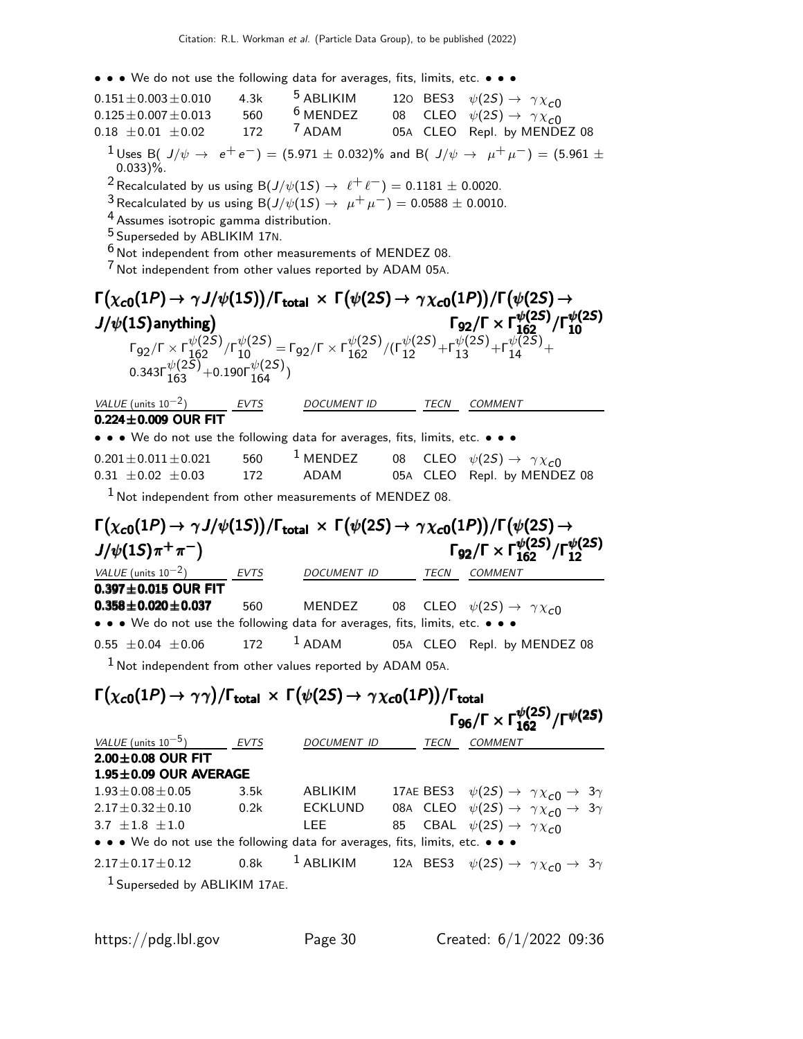• • • We do not use the following data for averages, fits, limits, etc. • • •

| $0.151 \pm 0.003 \pm 0.010$                                                                                                                                                                                                                                                                                                                                                                                                                             | 4.3k | <sup>5</sup> ABLIKIM |             | 120 BES3 $\psi(2S) \rightarrow \gamma \chi_{c0}$                                                                                                            |
|---------------------------------------------------------------------------------------------------------------------------------------------------------------------------------------------------------------------------------------------------------------------------------------------------------------------------------------------------------------------------------------------------------------------------------------------------------|------|----------------------|-------------|-------------------------------------------------------------------------------------------------------------------------------------------------------------|
| $0.125 \pm 0.007 \pm 0.013$                                                                                                                                                                                                                                                                                                                                                                                                                             | 560  | $6$ MENDEZ           |             | 08 CLEO $\psi(2S) \rightarrow \gamma \chi_{c0}$                                                                                                             |
| $0.18 \pm 0.01 \pm 0.02$                                                                                                                                                                                                                                                                                                                                                                                                                                | 172  | <sup>7</sup> ADAM    |             | 05A CLEO Repl. by MENDEZ 08                                                                                                                                 |
| $0.033$ )%.<br><sup>2</sup> Recalculated by us using B( $J/\psi(1S) \rightarrow \ell^+ \ell^-$ ) = 0.1181 $\pm$ 0.0020.<br><sup>3</sup> Recalculated by us using B( $J/\psi(1S) \to \mu^+ \mu^-$ ) = 0.0588 ± 0.0010.<br><sup>4</sup> Assumes isotropic gamma distribution.<br><sup>5</sup> Superseded by ABLIKIM 17N.<br><sup>6</sup> Not independent from other measurements of MENDEZ 08.<br>Not independent from other values reported by ADAM 05A. |      |                      |             | $^1$ Uses B( $J/\psi$ $\rightarrow$ $\,$ $\mathrm{e^+e^-})$ $=$ (5.971 $\pm$ 0.032)% and B( $\,$ $J/\psi$ $\rightarrow$ $\,$ $\mu^+\mu^-)$ $=$ (5.961 $\pm$ |
|                                                                                                                                                                                                                                                                                                                                                                                                                                                         |      |                      |             |                                                                                                                                                             |
| $\Gamma(\chi_{c0}(1P) \to \gamma J/\psi(1S))/\Gamma_{\rm total} \times \Gamma(\psi(2S) \to \gamma \chi_{c0}(1P))/\Gamma(\psi(2S) \to$                                                                                                                                                                                                                                                                                                                   |      |                      |             |                                                                                                                                                             |
| $J/\psi(1S)$ anything)                                                                                                                                                                                                                                                                                                                                                                                                                                  |      |                      |             | $\Gamma_{92}/\Gamma \times \Gamma_{162}^{\psi(2S)}/\Gamma_{10}^{\psi(2S)}$                                                                                  |
| $\Gamma_{92}/\Gamma \times \Gamma_{162}^{\psi(25)}/\Gamma_{10}^{\psi(25)} = \Gamma_{92}/\Gamma \times \Gamma_{162}^{\psi(25)}/(\Gamma_{12}^{\psi(25)} + \Gamma_{13}^{\psi(25)} + \Gamma_{14}^{\psi(25)} +$<br>0.343 $\Gamma_{163}^{\psi(2S)}$ +0.190 $\Gamma_{164}^{\psi(2S)}$ )                                                                                                                                                                        |      |                      |             |                                                                                                                                                             |
| VALUE (units $10^{-2}$ )                                                                                                                                                                                                                                                                                                                                                                                                                                |      | <b>DOCUMENT ID</b>   | <b>TECN</b> | <b>COMMENT</b>                                                                                                                                              |
| $\frac{\text{VALUE (units 10}^{-2})}{0.224 \pm 0.009} \frac{\text{EVTS}}{\text{D}}$                                                                                                                                                                                                                                                                                                                                                                     |      |                      |             |                                                                                                                                                             |
| • • • We do not use the following data for averages, fits, limits, etc. • • •                                                                                                                                                                                                                                                                                                                                                                           |      |                      |             |                                                                                                                                                             |
| $0.201 \pm 0.011 \pm 0.021$                                                                                                                                                                                                                                                                                                                                                                                                                             | 560  | $1$ MENDEZ           |             | 08 CLEO $\psi(2S) \rightarrow \gamma \chi_{c0}$                                                                                                             |
| $0.31 \pm 0.02 \pm 0.03$                                                                                                                                                                                                                                                                                                                                                                                                                                | 172  | ADAM                 |             | 05A CLEO Repl. by MENDEZ 08                                                                                                                                 |
| $1$ Not independent from other measurements of MENDEZ 08.                                                                                                                                                                                                                                                                                                                                                                                               |      |                      |             |                                                                                                                                                             |
| $\Gamma(\chi_{c0}(1P) \to \gamma J/\psi(1S))/\Gamma_{\rm total} \times \Gamma(\psi(2S) \to \gamma \chi_{c0}(1P))/\Gamma(\psi(2S) \to$                                                                                                                                                                                                                                                                                                                   |      |                      |             |                                                                                                                                                             |
| $J/\psi(15)\pi^{+}\pi^{-}$                                                                                                                                                                                                                                                                                                                                                                                                                              |      |                      |             | $\Gamma_{92}/\Gamma \times \Gamma_{162}^{\psi(2S)}/\Gamma_{12}^{\psi(2S)}$                                                                                  |
| VALUE (units $10^{-2}$ )                                                                                                                                                                                                                                                                                                                                                                                                                                | EVTS | DOCUMENT ID          |             | TECN COMMENT                                                                                                                                                |
| $0.397 \pm 0.015$ OUR FIT                                                                                                                                                                                                                                                                                                                                                                                                                               |      |                      |             |                                                                                                                                                             |

**0.358±0.020±0.037** 560 MENDEZ 08 CLEO  $\psi(2S) \to \gamma \chi_{c0}$ • • • We do not use the following data for averages, fits, limits, etc. • • •  $0.55 \pm 0.04 \pm 0.06$  172 <sup>1</sup> ADAM 05A CLEO Repl. by MENDEZ 08  $1$  Not independent from other values reported by ADAM 05A.

# $\Gamma(\chi_{c0}(1P) \to \gamma \gamma) / \Gamma_{\rm total} \times \Gamma(\psi(2S) \to \gamma \chi_{c0}(1P)) / \Gamma_{\rm total} \ \Gamma_{96} / \Gamma \times \Gamma_{162}^{\psi(2S)} / \Gamma^{\psi(2S)}$

|                                                                               |             |                |             | $\Gamma_{96}/\Gamma \times \Gamma_{162}^{\psi(25)}/\Gamma^{\psi(25)}$                     |
|-------------------------------------------------------------------------------|-------------|----------------|-------------|-------------------------------------------------------------------------------------------|
| <i>VALUE</i> (units $10^{-5}$ )                                               | <i>EVTS</i> | DOCUMENT ID    | <b>TECN</b> | <b>COMMENT</b>                                                                            |
| $2.00\pm0.08$ OUR FIT                                                         |             |                |             |                                                                                           |
| $1.95 \pm 0.09$ OUR AVERAGE                                                   |             |                |             |                                                                                           |
| $1.93 \pm 0.08 \pm 0.05$                                                      | 3.5k        | ABLIKIM        |             | 17AE BES3 $\psi(2S) \rightarrow \gamma \chi_{c0} \rightarrow 3\gamma$                     |
| $2.17 + 0.32 + 0.10$                                                          | 0.2k        | <b>ECKLUND</b> |             | 08A CLEO $\psi(2S) \rightarrow \gamma \chi_{c0} \rightarrow 3\gamma$                      |
| $3.7 + 1.8 + 1.0$                                                             |             | LEE.           |             | 85 CBAL $\psi(2S) \rightarrow \gamma \chi_{c0}$                                           |
| • • • We do not use the following data for averages, fits, limits, etc. • • • |             |                |             |                                                                                           |
| $2.17 \pm 0.17 \pm 0.12$ 0.8k                                                 |             |                |             | <sup>1</sup> ABLIKIM 12A BES3 $\psi(2S) \rightarrow \gamma \chi_{c0} \rightarrow 3\gamma$ |
| <sup>1</sup> Superseded by ABLIKIM 17AE.                                      |             |                |             |                                                                                           |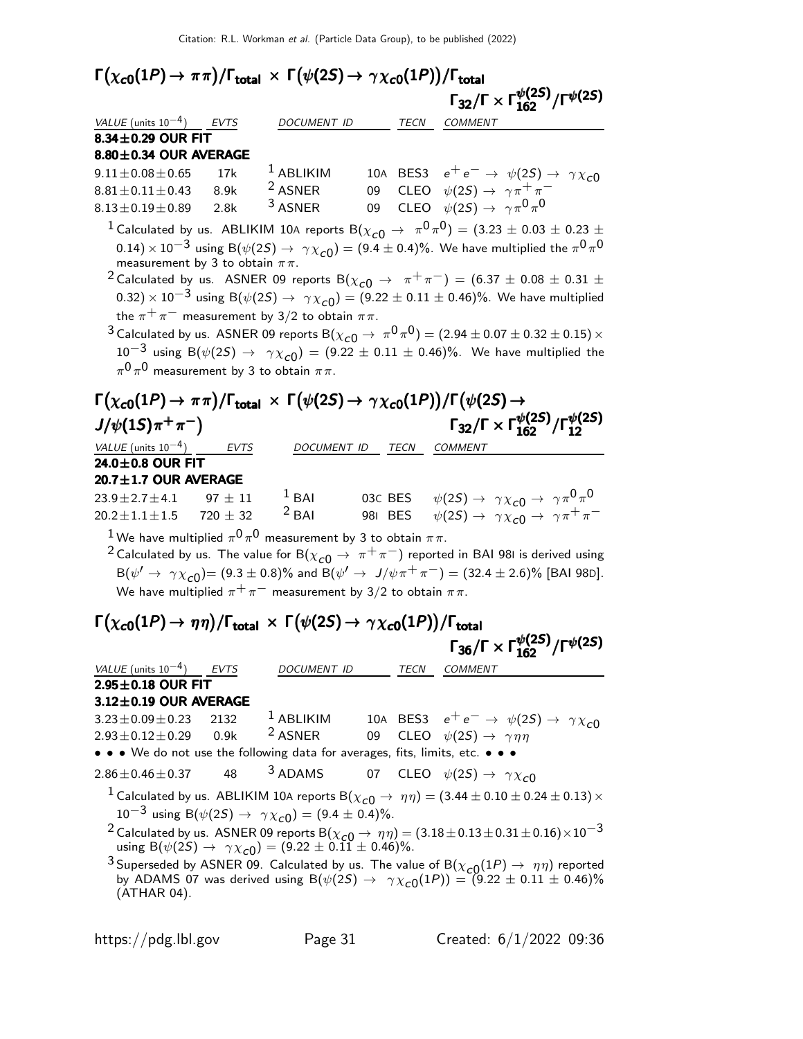|                                                                                                                                                                                                                                                                             |             | Citation: R.L. Workman et al. (Particle Data Group), to be published (2022)                                                                            |                          |                                                                                                                                                                                                                                                                                                                                                                                                                                                                                                                                                                                                                                                                                                                                                                             |                                                                            |
|-----------------------------------------------------------------------------------------------------------------------------------------------------------------------------------------------------------------------------------------------------------------------------|-------------|--------------------------------------------------------------------------------------------------------------------------------------------------------|--------------------------|-----------------------------------------------------------------------------------------------------------------------------------------------------------------------------------------------------------------------------------------------------------------------------------------------------------------------------------------------------------------------------------------------------------------------------------------------------------------------------------------------------------------------------------------------------------------------------------------------------------------------------------------------------------------------------------------------------------------------------------------------------------------------------|----------------------------------------------------------------------------|
| $\Gamma(\chi_{\bf c 0}(1P) \to\pi\pi)/\Gamma_{\bf total}\,\times\,\Gamma\big(\psi(2S) \to\,\gamma\chi_{\bf c 0}(1P)\big)/\Gamma_{\bf total}$                                                                                                                                |             |                                                                                                                                                        |                          |                                                                                                                                                                                                                                                                                                                                                                                                                                                                                                                                                                                                                                                                                                                                                                             |                                                                            |
|                                                                                                                                                                                                                                                                             |             |                                                                                                                                                        |                          |                                                                                                                                                                                                                                                                                                                                                                                                                                                                                                                                                                                                                                                                                                                                                                             | $\Gamma_{32}/\Gamma\times\Gamma_{162}^{\psi(2S)}/\Gamma^{\psi(2S)}$        |
| VALUE (units $10^{-4}$ ) EVTS                                                                                                                                                                                                                                               |             | DOCUMENT ID TECN COMMENT                                                                                                                               |                          |                                                                                                                                                                                                                                                                                                                                                                                                                                                                                                                                                                                                                                                                                                                                                                             |                                                                            |
| $8.34\pm0.29$ OUR FIT                                                                                                                                                                                                                                                       |             |                                                                                                                                                        |                          |                                                                                                                                                                                                                                                                                                                                                                                                                                                                                                                                                                                                                                                                                                                                                                             |                                                                            |
| $8.80 \pm 0.34$ OUR AVERAGE                                                                                                                                                                                                                                                 |             | $1$ ABLIKIM                                                                                                                                            |                          |                                                                                                                                                                                                                                                                                                                                                                                                                                                                                                                                                                                                                                                                                                                                                                             |                                                                            |
| $9.11 \pm 0.08 \pm 0.65$<br>$8.81 \pm 0.11 \pm 0.43$                                                                                                                                                                                                                        | 17k<br>8.9k | <sup>2</sup> ASNER                                                                                                                                     |                          | 10A BES3 $e^+e^- \rightarrow \psi(2S) \rightarrow \gamma \chi_{c0}$<br>09 CLEO $\psi(2S) \rightarrow \gamma \pi^+ \pi^-$                                                                                                                                                                                                                                                                                                                                                                                                                                                                                                                                                                                                                                                    |                                                                            |
| $8.13\!\pm\!0.19\!\pm\!0.89$                                                                                                                                                                                                                                                | 2.8k        | <sup>3</sup> ASNER                                                                                                                                     | 09                       | CLEO $\psi(2S) \rightarrow \gamma \pi^0 \pi^0$                                                                                                                                                                                                                                                                                                                                                                                                                                                                                                                                                                                                                                                                                                                              |                                                                            |
| measurement by 3 to obtain $\pi\pi$ .<br>$\pi^{0}\pi^{0}$ measurement by 3 to obtain $\pi\pi$ .<br>$\Gamma\big(\chi_{c0}(1P)\to\pi\pi\big)/\Gamma_{\rm total}\,\times\,\Gamma\big(\psi(2S)\to\gamma\chi_{c0}(1P)\big)/\Gamma\big(\psi(2S)\to$<br>$J/\psi(1S)\pi^{+}\pi^{-}$ |             | the $\pi^+\pi^-$ measurement by 3/2 to obtain $\pi\pi$ .                                                                                               |                          | $^1$ Calculated by us. ABLIKIM 10A reports B $(\chi_{c0} \rightarrow \ \pi^0 \pi^0) = (3.23 \pm 0.03 \pm 0.23 \pm 0.03)$<br>$(0.14)\times 10^{-3}$ using B $(\psi(2S) \to \gamma \chi_{c0}) = (9.4 \pm 0.4)\%$ . We have multiplied the $\pi^0 \pi^0$<br><sup>2</sup> Calculated by us. ASNER 09 reports B( $\chi_{c0} \rightarrow \pi^+ \pi^-$ ) = (6.37 $\pm$ 0.08 $\pm$ 0.31 $\pm$<br>0.32) $\times$ 10 <sup>-3</sup> using B( $\psi(2S) \to \gamma \chi_{c0}$ ) = (9.22 $\pm$ 0.11 $\pm$ 0.46)%. We have multiplied<br><sup>3</sup> Calculated by us. ASNER 09 reports B( $\chi_{c0}\to\pi^0\pi^0$ ) = (2.94 $\pm$ 0.07 $\pm$ 0.32 $\pm$ 0.15) $\times$<br>$10^{-3}$ using B( $\psi(2S) \to \gamma \chi_{c0}$ ) = (9.22 $\pm$ 0.11 $\pm$ 0.46)%. We have multiplied the | $\Gamma_{32}/\Gamma \times \Gamma_{162}^{\psi(25)}/\Gamma_{12}^{\psi(25)}$ |
| VALUE (units $10^{-4}$ ) EVTS                                                                                                                                                                                                                                               |             |                                                                                                                                                        | DOCUMENT ID TECN COMMENT |                                                                                                                                                                                                                                                                                                                                                                                                                                                                                                                                                                                                                                                                                                                                                                             |                                                                            |
| $24.0 \pm 0.8$ OUR FIT<br>$20.7 \pm 1.7$ OUR AVERAGE                                                                                                                                                                                                                        |             |                                                                                                                                                        |                          |                                                                                                                                                                                                                                                                                                                                                                                                                                                                                                                                                                                                                                                                                                                                                                             |                                                                            |
| $23.9 \!\pm\! 2.7 \!\pm\! 4.1$                                                                                                                                                                                                                                              | $97 \pm 11$ | $1$ BAI                                                                                                                                                |                          | 03C BES $\psi(2S) \rightarrow \gamma \chi_{c0} \rightarrow \gamma \pi^0 \pi^0$                                                                                                                                                                                                                                                                                                                                                                                                                                                                                                                                                                                                                                                                                              |                                                                            |
| $20.2 \pm 1.1 \pm 1.5$ 720 $\pm$ 32                                                                                                                                                                                                                                         |             | $2$ BAI                                                                                                                                                |                          | 981 BES $\psi(2S) \rightarrow \gamma \chi_{c0} \rightarrow \gamma \pi^+ \pi^-$                                                                                                                                                                                                                                                                                                                                                                                                                                                                                                                                                                                                                                                                                              |                                                                            |
|                                                                                                                                                                                                                                                                             |             | $^1$ We have multiplied $\pi^0\,\pi^0$ measurement by 3 to obtain $\pi\pi.$<br>We have multiplied $\pi^+\pi^-$ measurement by 3/2 to obtain $\pi\pi$ . |                          | <sup>2</sup> Calculated by us. The value for B( $\chi_{c0} \to \pi^+ \pi^-$ ) reported in BAI 981 is derived using<br>$B(\psi' \to \gamma \chi_{c0}) = (9.3 \pm 0.8)\%$ and $B(\psi' \to J/\psi \pi^+ \pi^-) = (32.4 \pm 2.6)\%$ [BAI 98D].                                                                                                                                                                                                                                                                                                                                                                                                                                                                                                                                 |                                                                            |
| $\Gamma(\chi_{\bf c 0}(1P) \to \eta \eta)/\Gamma_{\bf total} \, \times \, \Gamma(\psi(2S) \to \, \gamma \chi_{\bf c 0}(1P))/\Gamma_{\bf total}$                                                                                                                             |             |                                                                                                                                                        |                          |                                                                                                                                                                                                                                                                                                                                                                                                                                                                                                                                                                                                                                                                                                                                                                             | $\Gamma_{36}/\Gamma \times \Gamma_{162}^{\psi(25)}/\Gamma^{\psi(25)}$      |
|                                                                                                                                                                                                                                                                             |             |                                                                                                                                                        |                          |                                                                                                                                                                                                                                                                                                                                                                                                                                                                                                                                                                                                                                                                                                                                                                             |                                                                            |
| VALUE (units $10^{-4}$ )<br>$2.95 \pm 0.18$ OUR FIT                                                                                                                                                                                                                         | <b>EVTS</b> | DOCUMENT ID                                                                                                                                            | TECN                     | COMMENT                                                                                                                                                                                                                                                                                                                                                                                                                                                                                                                                                                                                                                                                                                                                                                     |                                                                            |
| $3.12 \pm 0.19$ OUR AVERAGE                                                                                                                                                                                                                                                 |             |                                                                                                                                                        |                          |                                                                                                                                                                                                                                                                                                                                                                                                                                                                                                                                                                                                                                                                                                                                                                             |                                                                            |
| $3.23 \pm 0.09 \pm 0.23$                                                                                                                                                                                                                                                    | 2132        | $1$ ABLIKIM                                                                                                                                            |                          | 10A BES3 $e^+e^- \rightarrow \psi(2S) \rightarrow \gamma \chi_{c0}$                                                                                                                                                                                                                                                                                                                                                                                                                                                                                                                                                                                                                                                                                                         |                                                                            |
| $2.93 \pm 0.12 \pm 0.29$                                                                                                                                                                                                                                                    | 0.9k        | <sup>2</sup> ASNER                                                                                                                                     | 09                       | CLEO $\psi(2S) \rightarrow \gamma \eta \eta$                                                                                                                                                                                                                                                                                                                                                                                                                                                                                                                                                                                                                                                                                                                                |                                                                            |
| • • • We do not use the following data for averages, fits, limits, etc. • • •                                                                                                                                                                                               |             |                                                                                                                                                        |                          |                                                                                                                                                                                                                                                                                                                                                                                                                                                                                                                                                                                                                                                                                                                                                                             |                                                                            |
| $2.86 \pm 0.46 \pm 0.37$                                                                                                                                                                                                                                                    | 48          | <sup>3</sup> ADAMS                                                                                                                                     |                          | 07 CLEO $\psi(2S) \rightarrow \gamma \chi_{c0}$                                                                                                                                                                                                                                                                                                                                                                                                                                                                                                                                                                                                                                                                                                                             |                                                                            |
|                                                                                                                                                                                                                                                                             |             |                                                                                                                                                        |                          | $^1$ Calculated by us. ABLIKIM 10A reports B $(\chi_{c0} \rightarrow \ \eta\eta) = (3.44 \pm 0.10 \pm 0.24 \pm 0.13) \times$                                                                                                                                                                                                                                                                                                                                                                                                                                                                                                                                                                                                                                                |                                                                            |
|                                                                                                                                                                                                                                                                             |             | 10 <sup>-3</sup> using B( $\psi$ (2S) $\rightarrow \gamma \chi_{c0}$ ) = (9.4 ± 0.4)%.                                                                 |                          |                                                                                                                                                                                                                                                                                                                                                                                                                                                                                                                                                                                                                                                                                                                                                                             |                                                                            |
|                                                                                                                                                                                                                                                                             |             | using B( $\psi(2S) \rightarrow \gamma \chi_{c0}$ ) = (9.22 ± 0.11 ± 0.46)%.                                                                            |                          | <sup>2</sup> Calculated by us. ASNER 09 reports B( $\chi_{c0} \rightarrow \eta \eta$ ) = (3.18 $\pm$ 0.13 $\pm$ 0.31 $\pm$ 0.16) $\times$ 10 $^{-3}$                                                                                                                                                                                                                                                                                                                                                                                                                                                                                                                                                                                                                        |                                                                            |

<sup>3</sup> Superseded by ASNER 09. Calculated by us. The value of  $B(\chi_{c0}(1P) \to \eta \eta)$  reported by ADAMS 07 was derived using B $(\psi(2S) \rightarrow \gamma \chi_{c0}(1P)) = (9.22 \pm 0.11 \pm 0.46)\%$ (ATHAR 04).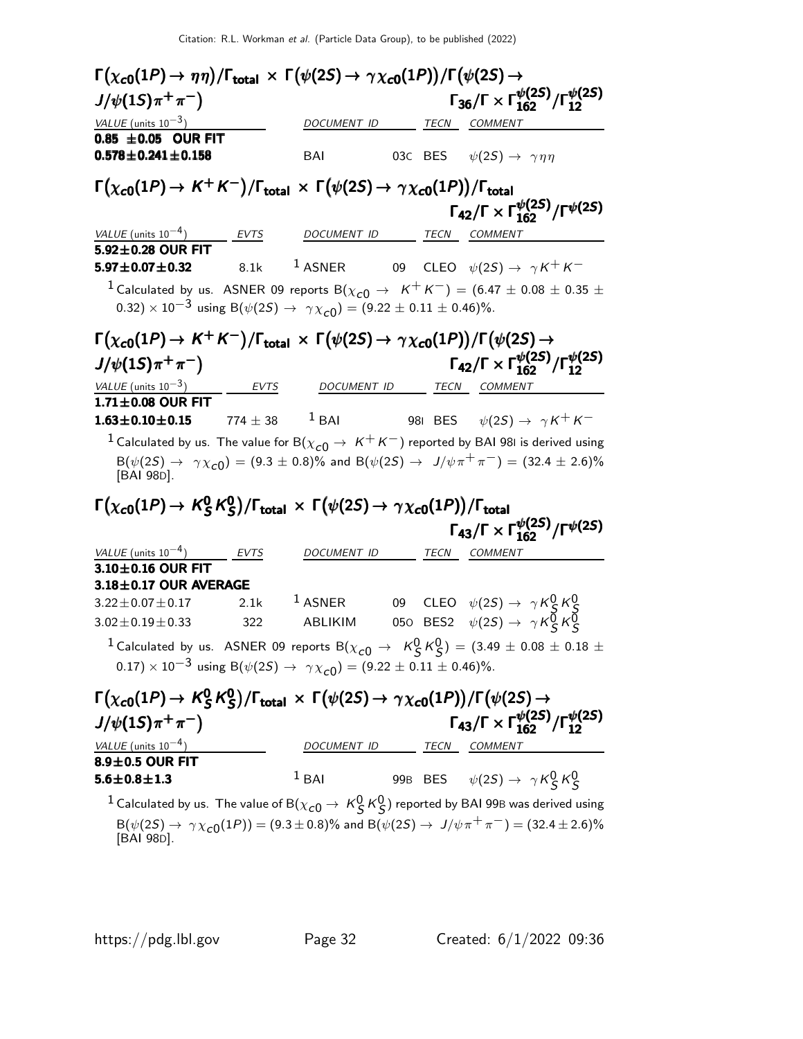| $\Gamma(\chi_{\bf c 0}(1P) \to \eta \eta)/\Gamma_{\bf total} \, \times \, \Gamma(\psi(2S) \to \, \gamma \chi_{\bf c 0}(1P))/\Gamma(\psi(2S) \to$                                                                                                                     |            |                                      |      |                                                                              |                                                                            |
|----------------------------------------------------------------------------------------------------------------------------------------------------------------------------------------------------------------------------------------------------------------------|------------|--------------------------------------|------|------------------------------------------------------------------------------|----------------------------------------------------------------------------|
| $J/\psi(1S)\pi^{+}\pi^{-}$                                                                                                                                                                                                                                           |            |                                      |      |                                                                              | $\Gamma_{36}/\Gamma \times \Gamma_{162}^{\psi(25)}/\Gamma_{12}^{\psi(25)}$ |
| VALUE (units $10^{-3}$ )                                                                                                                                                                                                                                             |            | DOCUMENT ID                          |      | TECN COMMENT                                                                 |                                                                            |
| 0.85 $\pm$ 0.05 OUR FIT<br>$0.578 \pm 0.241 \pm 0.158$                                                                                                                                                                                                               |            | BAI                                  |      | 03C BES $\psi(2S) \rightarrow \gamma \eta \eta$                              |                                                                            |
| $\Gamma(\chi_{c0}(1P) \to K^+K^-)/\Gamma_{\rm total} \times \Gamma(\psi(2S) \to \gamma \chi_{c0}(1P))/\Gamma_{\rm total}$                                                                                                                                            |            |                                      |      |                                                                              |                                                                            |
|                                                                                                                                                                                                                                                                      |            |                                      |      |                                                                              | $\Gamma_{42}/\Gamma \times \Gamma_{162}^{\psi(2S)}/\Gamma^{\psi(2S)}$      |
| VALUE (units $10^{-4}$ )<br>$5.92 \pm 0.28$ OUR FIT                                                                                                                                                                                                                  |            | <u>EVTS DOCUMENT ID TECN COMMENT</u> |      |                                                                              |                                                                            |
| $5.97 \pm 0.07 \pm 0.32$                                                                                                                                                                                                                                             |            | 8.1k $1$ ASNER                       |      |                                                                              | 09 CLEO $\psi(2S) \rightarrow \gamma K^+ K^-$                              |
| <sup>1</sup> Calculated by us. ASNER 09 reports B( $\chi_{c0} \rightarrow K^{+} K^{-}$ ) = (6.47 $\pm$ 0.08 $\pm$ 0.35 $\pm$                                                                                                                                         |            |                                      |      |                                                                              |                                                                            |
| 0.32) $\times$ 10 <sup>-3</sup> using B( $\psi$ (2 <i>S</i> ) $\rightarrow \gamma \chi_{c0}$ ) = (9.22 $\pm$ 0.11 $\pm$ 0.46)%.                                                                                                                                      |            |                                      |      |                                                                              |                                                                            |
| $\Gamma(\chi_{\bf c0}(1P)\to K^+K^-)/\Gamma_{\bf total}\,\times\,\Gamma(\psi(2S)\to\gamma\chi_{\bf c0}(1P))/\Gamma(\psi(2S)\to$                                                                                                                                      |            |                                      |      |                                                                              |                                                                            |
| $J/\psi(15)\pi^{+}\pi^{-}$                                                                                                                                                                                                                                           |            |                                      |      |                                                                              | $\Gamma_{42}/\Gamma \times \Gamma_{162}^{\psi(2S)}/\Gamma_{12}^{\psi(2S)}$ |
| <i>VALUE</i> (units $10^{-3}$ )                                                                                                                                                                                                                                      |            |                                      |      |                                                                              |                                                                            |
| $1.71 \pm 0.08$ OUR FIT                                                                                                                                                                                                                                              | EVTS       |                                      |      | DOCUMENT ID TECN COMMENT                                                     |                                                                            |
| $1.63 \pm 0.10 \pm 0.15$                                                                                                                                                                                                                                             | $774\pm38$ |                                      |      |                                                                              | <sup>1</sup> BAI 981 BES $\psi(2S) \rightarrow \gamma K^+ K^-$             |
| <sup>1</sup> Calculated by us. The value for B( $\chi_{c0} \rightarrow K^+K^-$ ) reported by BAI 981 is derived using                                                                                                                                                |            |                                      |      |                                                                              |                                                                            |
| $B(\psi(2S) \rightarrow \gamma \chi_{c0}) = (9.3 \pm 0.8)\%$ and $B(\psi(2S) \rightarrow J/\psi \pi^{+} \pi^{-}) = (32.4 \pm 2.6)\%$<br>[BAI 98D].                                                                                                                   |            |                                      |      |                                                                              |                                                                            |
| $\Gamma(\chi_{c0}(1P) \to K_S^0 K_S^0)/\Gamma_{\text{total}} \times \Gamma(\psi(2S) \to \gamma \chi_{c0}(1P))/\Gamma_{\text{total}}$                                                                                                                                 |            |                                      |      |                                                                              |                                                                            |
|                                                                                                                                                                                                                                                                      |            |                                      |      |                                                                              | $\Gamma_{43}/\Gamma \times \Gamma_{162}^{\psi(25)}/\Gamma^{\psi(25)}$      |
| VALUE (units $10^{-4}$ )                                                                                                                                                                                                                                             | EVTS       | DOCUMENT ID                          | TECN | <i>COMMENT</i>                                                               |                                                                            |
| 3.10±0.16 OUR FIT                                                                                                                                                                                                                                                    |            |                                      |      |                                                                              |                                                                            |
| $3.18 \pm 0.17$ OUR AVERAGE                                                                                                                                                                                                                                          | 2.1k       | $^1$ ASNER                           |      | 09 CLEO $\psi(2S) \rightarrow \gamma K_S^0 K_S^0$                            |                                                                            |
| $3.22 \pm 0.07 \pm 0.17$<br>$3.02 \pm 0.19 \pm 0.33$                                                                                                                                                                                                                 | 322        | ABLIKIM                              |      | 050 BES2 $\psi(2S) \rightarrow \gamma K_S^{\overline{0}} K_S^{\overline{0}}$ |                                                                            |
|                                                                                                                                                                                                                                                                      |            |                                      |      |                                                                              |                                                                            |
| $^1$ Calculated by us. $\,$ ASNER 09 reports B $(\chi_{\bm{c}0}^{} \rightarrow \,\,\,$ $\,\,\,$ K $^0_S\,$ K $^0_S)$ $=$ $(3.49\,\pm\,0.08\,\pm\,0.18\,\pm\,$<br>$(0.17) \times 10^{-3}$ using B( $\psi(2S) \rightarrow \gamma \chi_{c0}$ ) = (9.22 ± 0.11 ± 0.46)%. |            |                                      |      |                                                                              |                                                                            |
|                                                                                                                                                                                                                                                                      |            |                                      |      |                                                                              |                                                                            |
| $\Gamma(\chi_{c0}(1P) \to K_S^0 K_S^0)/\Gamma_{\text{total}} \times \Gamma(\psi(2S) \to \gamma \chi_{c0}(1P))/\Gamma(\psi(2S) \to$                                                                                                                                   |            |                                      |      |                                                                              |                                                                            |
| $J/\psi(1S)\pi^{+}\pi^{-}$                                                                                                                                                                                                                                           |            |                                      |      |                                                                              | $\Gamma_{43}/\Gamma \times \Gamma_{162}^{\psi(25)}/\Gamma_{12}^{\psi(25)}$ |
| $\frac{VALUE \text{ (units 10}^{-4})}{8.9 \pm 0.5 \text{ OUR FIT}}$                                                                                                                                                                                                  |            |                                      |      | DOCUMENT ID TECN COMMENT                                                     |                                                                            |
| $5.6 \pm 0.8 \pm 1.3$                                                                                                                                                                                                                                                |            | $1$ BAI                              |      | 99B BES $\psi(2S) \rightarrow \gamma K_S^0 K_S^0$                            |                                                                            |
|                                                                                                                                                                                                                                                                      |            |                                      |      |                                                                              |                                                                            |
| $^1$ Calculated by us. The value of B $(\chi_{\bm{c}\bm{0}}\to\,\mathsf{K}^{\bm{0}}_{\bm{S}}\,\mathsf{K}^{\bm{0}}_{\bm{S}})$ reported by BAI 99B was derived using                                                                                                   |            |                                      |      |                                                                              |                                                                            |
| $B(\psi(2S) \to \gamma \chi_{c0}(1P)) = (9.3 \pm 0.8)\%$ and $B(\psi(2S) \to J/\psi \pi^+ \pi^-) = (32.4 \pm 2.6)\%$<br>[BAI 98D].                                                                                                                                   |            |                                      |      |                                                                              |                                                                            |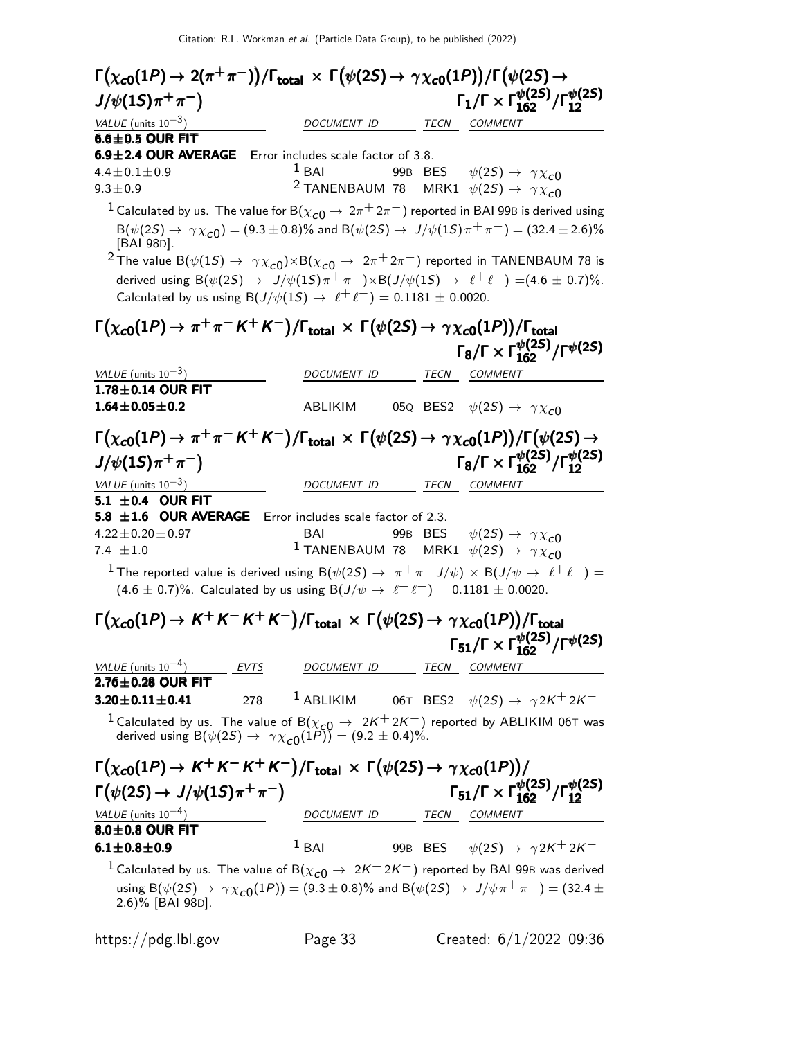| $\Gamma\big(\chi_{\bf c 0}(1P) \to 2(\pi^+\pi^-)\big)/\Gamma_{\bf total}\,\times\,\Gamma\big(\psi(2S) \to \gamma\chi_{\bf c 0}(1P)\big)/\Gamma\big(\psi(2S) \to$                  |                                            |  |                                                                                                                                       |
|-----------------------------------------------------------------------------------------------------------------------------------------------------------------------------------|--------------------------------------------|--|---------------------------------------------------------------------------------------------------------------------------------------|
| $J/\psi(15)\pi^{+}\pi^{-}$                                                                                                                                                        |                                            |  | $\Gamma_1/\Gamma \times \Gamma_{162}^{\psi(25)}/\Gamma_{12}^{\psi(25)}$                                                               |
| VALUE (units $10^{-3}$ )                                                                                                                                                          | DOCUMENT ID TECN COMMENT                   |  |                                                                                                                                       |
| $6.6 \pm 0.5$ OUR FIT                                                                                                                                                             |                                            |  |                                                                                                                                       |
| 6.9±2.4 OUR AVERAGE Error includes scale factor of 3.8.                                                                                                                           |                                            |  |                                                                                                                                       |
| $4.4 \pm 0.1 \pm 0.9$                                                                                                                                                             | $1$ BAI                                    |  | 99B BES $\psi(2S) \rightarrow \gamma \chi_{c0}$                                                                                       |
| $9.3 \pm 0.9$                                                                                                                                                                     |                                            |  | <sup>2</sup> TANENBAUM 78 MRK1 $\psi(2S) \rightarrow \gamma \chi_{c0}$                                                                |
| $^1$ Calculated by us. The value for B $(\chi_{c0}^{} \rightarrow 2\pi^+2\pi^-)$ reported in BAI 99B is derived using                                                             |                                            |  |                                                                                                                                       |
| $B(\psi(2S) \to \gamma \chi_{c0}) = (9.3 \pm 0.8)\%$ and $B(\psi(2S) \to J/\psi(1S)\pi^{+}\pi^{-}) = (32.4 \pm 2.6)\%$<br>[BAI 98D].                                              |                                            |  |                                                                                                                                       |
| <sup>2</sup> The value B( $\psi(15) \rightarrow \gamma \chi_{c0}$ ) $\times$ B( $\chi_{c0} \rightarrow 2\pi^+ 2\pi^-$ ) reported in TANENBAUM 78 is                               |                                            |  |                                                                                                                                       |
| derived using $B(\psi(2S) \to J/\psi(1S)\pi^+\pi^-) \times B(J/\psi(1S) \to \ell^+\ell^-) = (4.6 \pm 0.7)\%$ .                                                                    |                                            |  |                                                                                                                                       |
| Calculated by us using $B(J/\psi(1S) \rightarrow \ell^+ \ell^-) = 0.1181 \pm 0.0020$ .                                                                                            |                                            |  |                                                                                                                                       |
|                                                                                                                                                                                   |                                            |  |                                                                                                                                       |
| $\Gamma(\chi_{c0}(1P) \to \pi^+ \pi^- K^+ K^-)/\Gamma_{\rm total} \times \Gamma(\psi(2S) \to \gamma \chi_{c0}(1P))/\Gamma_{\rm total}$                                            |                                            |  |                                                                                                                                       |
|                                                                                                                                                                                   |                                            |  | $\Gamma_8/\Gamma \times \Gamma_{162}^{\psi(2S)}/\Gamma^{\psi(2S)}$                                                                    |
| VALUE (units $10^{-3}$ )                                                                                                                                                          | DOCUMENT ID                                |  | TECN COMMENT                                                                                                                          |
| $1.78 \pm 0.14$ OUR FIT                                                                                                                                                           |                                            |  |                                                                                                                                       |
| $1.64 \pm 0.05 \pm 0.2$                                                                                                                                                           | ABLIKIM                                    |  | 05Q BES2 $\psi(2S) \rightarrow \gamma \chi_{c0}$                                                                                      |
|                                                                                                                                                                                   |                                            |  |                                                                                                                                       |
| $\Gamma(\chi_{c0}(1P) \to \pi^+ \pi^- K^+ K^-)/\Gamma_{\rm total} \times \Gamma(\psi(2S) \to \gamma \chi_{c0}(1P))/\Gamma(\psi(2S) \to$                                           |                                            |  |                                                                                                                                       |
| $J/\psi(15)\pi^{+}\pi^{-}$                                                                                                                                                        |                                            |  | $\Gamma_8/\Gamma \times \Gamma_{162}^{\psi(25)}/\Gamma_{12}^{\psi(25)}$                                                               |
| VALUE (units $10^{-3}$ )                                                                                                                                                          | DOCUMENT ID TECN COMMENT                   |  |                                                                                                                                       |
| 5.1 $\pm$ 0.4 OUR FIT                                                                                                                                                             |                                            |  |                                                                                                                                       |
| 5.8 $\pm 1.6$ OUR AVERAGE<br>$4.22 \pm 0.20 \pm 0.97$                                                                                                                             | Error includes scale factor of 2.3.<br>BAI |  |                                                                                                                                       |
| 7.4 $\pm 1.0$                                                                                                                                                                     |                                            |  | 99B BES $\psi(2S) \rightarrow \gamma \chi_{c0}$<br>$^1$ TANENBAUM 78 MRK1 $\psi(2S) \rightarrow \ \gamma \chi_{\small{\mathcal{CO}}}$ |
| $^{-1}$ The reported value is derived using B( $\psi(2S) \to~\pi^+\pi^- J/\psi) \times$ B(J/ $\psi \to~\ell^+\ell^-) = 0$                                                         |                                            |  |                                                                                                                                       |
| $(4.6 \pm 0.7)\%$ . Calculated by us using B $(J/\psi \to \ell^+ \ell^-) = 0.1181 \pm 0.0020$ .                                                                                   |                                            |  |                                                                                                                                       |
|                                                                                                                                                                                   |                                            |  |                                                                                                                                       |
| $\Gamma(\chi_{c0}(1P) \to K^+K^-K^+K^-)/\Gamma_{\rm total} \times \Gamma(\psi(2S) \to \gamma \chi_{c0}(1P))/\Gamma_{\rm total}$                                                   |                                            |  |                                                                                                                                       |
|                                                                                                                                                                                   |                                            |  | $\Gamma_{51}/\Gamma \times \Gamma_{162}^{\psi(25)}/\Gamma^{\psi(25)}$                                                                 |
| $VALUE$ (units $10^{-4}$ ) EVTS                                                                                                                                                   | DOCUMENT ID TECN COMMENT                   |  |                                                                                                                                       |
| $2.76 \pm 0.28$ OUR FIT                                                                                                                                                           |                                            |  |                                                                                                                                       |
| 278<br>$3.20 \pm 0.11 \pm 0.41$                                                                                                                                                   |                                            |  | $^1$ ABLIKIM 06T BES2 $\psi(2S) \rightarrow \ \gamma 2K^+ 2K^-$                                                                       |
| <sup>1</sup> Calculated by us. The value of B( $\chi_{c0} \to 2K^+ 2K^-$ ) reported by ABLIKIM 06T was derived using B( $\psi(2S) \to \gamma \chi_{c0}(1P)$ ) = (9.2 $\pm$ 0.4)%. |                                            |  |                                                                                                                                       |
|                                                                                                                                                                                   |                                            |  |                                                                                                                                       |
| $\Gamma(\chi_{c0}(1P) \to K^+K^-K^+K^-)/\Gamma_{\text{total}} \times \Gamma(\psi(2S) \to \gamma \chi_{c0}(1P))/$                                                                  |                                            |  |                                                                                                                                       |
|                                                                                                                                                                                   |                                            |  |                                                                                                                                       |
| $\Gamma(\psi(2S) \rightarrow J/\psi(1S)\pi^+\pi^-)$                                                                                                                               |                                            |  | $\Gamma_{51}/\Gamma \times \Gamma_{162}^{\psi(25)}/\Gamma_{12}^{\psi(25)}$                                                            |
| VALUE (units $10^{-4}$ )                                                                                                                                                          | DOCUMENT ID TECN COMMENT                   |  |                                                                                                                                       |
| 8.0±0.8 OUR FIT                                                                                                                                                                   |                                            |  |                                                                                                                                       |
| $6.1 \pm 0.8 \pm 0.9$                                                                                                                                                             | $1$ BAI                                    |  | 99B BES $\psi(2S) \rightarrow \gamma 2K^+ 2K^-$                                                                                       |
| $^1$ Calculated by us. The value of B $(\chi_{c0} \rightarrow\ 2K^+2K^-)$ reported by BAI 99B was derived                                                                         |                                            |  |                                                                                                                                       |
| using B $(\psi(2S) \rightarrow \gamma \chi_{c0}(1P)) = (9.3 \pm 0.8)\%$ and B $(\psi(2S) \rightarrow J/\psi \pi^{+} \pi^{-}) = (32.4 \pm 0.8)\%$<br>2.6)% [BAI 98D].              |                                            |  |                                                                                                                                       |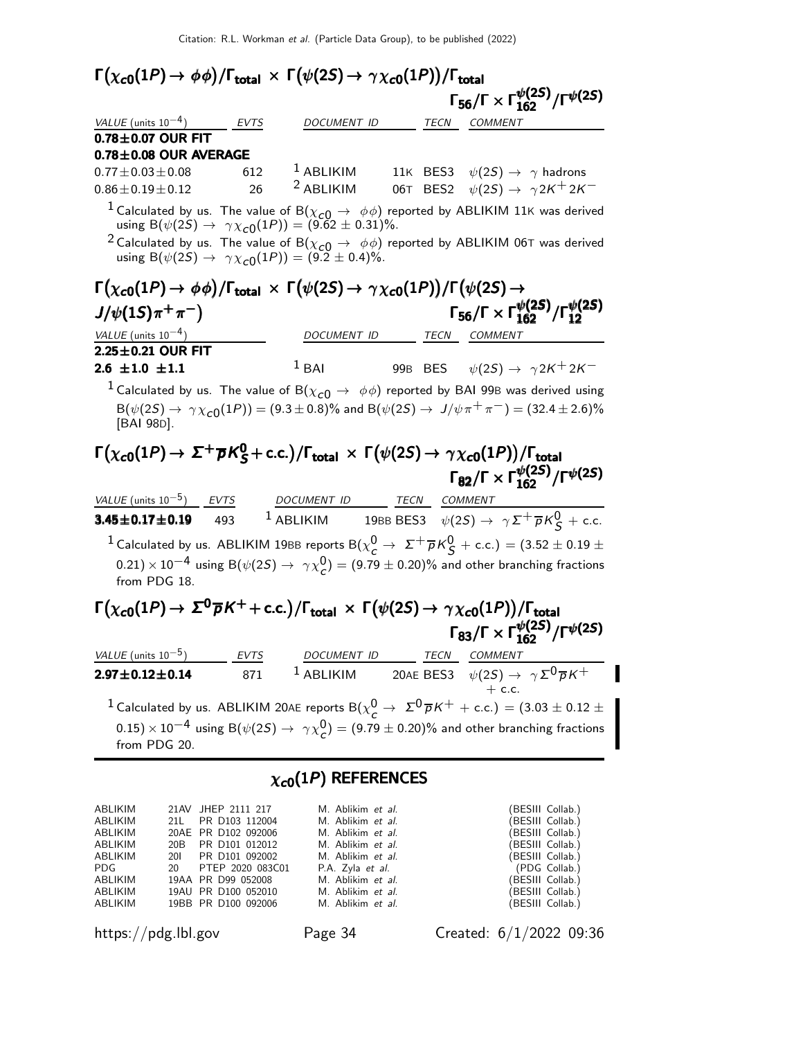#### $\Gamma(\chi_{c0}(1P) \rightarrow \phi \phi) / \Gamma_{\text{total}} \times \Gamma(\psi(2S) \rightarrow \gamma \chi_{c0}(1P)) / \Gamma_{\text{total}}$ <br> $\Gamma_{56}/\Gamma \times \Gamma_{162}^{\psi(2S)} / \Gamma^{\psi(2S)}$ Γ $_{56}/$ Γ $\times$  Γ $_{162}^{\psi(2S)}/$ Γ $^{\psi(2S)}$ VALUE (units  $10^{-4}$ ) EVTS DOCUMENT ID TECN COMMENT  $0.78\pm0.07$  OUR FIT  $78 \pm 0.08$  OUR AVERAGE

| <u>U.IO LU.UO VUINTAVEINAUE</u> |     |                      |                                                  |
|---------------------------------|-----|----------------------|--------------------------------------------------|
| $0.77 \pm 0.03 \pm 0.08$        | 612 | $^1$ ABLIKIM         | 11K BES3 $\psi(2S) \rightarrow \gamma$ hadrons   |
| $0.86 \pm 0.19 \pm 0.12$        | 26  | <sup>2</sup> ABLIKIM | 06T BES2 $\psi(2S) \rightarrow \gamma 2K^+ 2K^-$ |

<sup>1</sup> Calculated by us. The value of B( $\chi_{c0} \rightarrow \phi \phi$ ) reported by ABLIKIM 11K was derived using  $B(\psi(2S) \to \gamma \chi_{c0}(1P)) = (9.62 \pm 0.31)\%.$ 

<sup>2</sup> Calculated by us. The value of B( $\chi_{c0} \rightarrow \phi \phi$ ) reported by ABLIKIM 06T was derived using  $B(\psi(2S) \to \gamma \chi_{c0}(1P)) = (9.2 \pm 0.4)\%.$ 

#### $\Gamma(\chi_{c0}(1P) \to \phi \phi)/\Gamma_{\rm total} \times \Gamma(\psi(2S) \to \gamma \chi_{c0}(1P))/\Gamma(\psi(2S) \to$  $J/\psi(1S)\pi^{+}\pi^{-}$ Γ<sub>56</sub>/Γ × Γ $\frac{\psi(2S)}{162}$ /Γ $\frac{\psi(2S)}{12}$ VALUE (units  $10^{-4}$ ) DOCUMENT ID TECN COMMENT  $2.25 \pm 0.21$  OUR FIT

| $2.6 \pm 1.0 \pm 1.1$ | $\frac{1}{2}$ BAI |  |  |  | 99B BES $\psi(2S) \rightarrow \gamma 2K^+ 2K^-$ |
|-----------------------|-------------------|--|--|--|-------------------------------------------------|
|-----------------------|-------------------|--|--|--|-------------------------------------------------|

<sup>1</sup> Calculated by us. The value of B( $\chi_{c0} \rightarrow \phi \phi$ ) reported by BAI 99B was derived using  ${\rm B}(\psi(2S) \to \gamma \chi_{c0}(1P)) = (9.3 \pm 0.8)\%$  and  ${\rm B}(\psi(2S) \to J/\psi \pi^+ \pi^-) = (32.4 \pm 2.6)\%$ [BAI 98D].

#### $\Gamma(\chi_{c0}(1P) \to \Sigma^+ \overline{\rho} K^0_S + \text{c.c.})/\Gamma_{\text{total}} \times \Gamma(\psi(2S) \to \gamma \chi_{c0}(1P))/\Gamma_{\text{total}}$ Γ<sub>82</sub>/Γ × Γ $\frac{\psi(2S)}{162}$ /Γ $\psi(2S)$  $\chi_{\bf c0}(1P)\to~\sf \Sigma^+\overline\rho K^0_S+c.c.)/\Gamma_{\bf total}~\times~\Gamma\big(\psi(2S)\to\gamma\chi_{\bf c0}(1P)\big)/\Gamma_{\bf total}$ Γ $_{82}/$ Γ  $\times$  Γ $_{162}^{\psi(2S)}$  $\Gamma(\chi_{c0}(1P) \to \Sigma^{+} \overline{\rho} K_{S}^{0} + \text{c.c.})/\Gamma_{\text{total}} \times \Gamma(\psi(2S) \to \gamma \chi_{c0}(1P))/\Gamma_{\text{total}}$ <br>  $\Gamma_{82}/\Gamma \times \Gamma_{162}^{\psi(2S)}/\Gamma^{\psi(2S)}$  $\chi_{\rm c0}(1P)$  →  $\mathsf{\Sigma^{+} \overline{\rho} K_{S}^{0}+c.c.})/\Gamma_{\rm total} \times \Gamma(\psi(2S) \rightarrow \gamma \chi_{\rm c0}(1P))/\Gamma_{\rm total} \ \Gamma_{82}/\Gamma \times \Gamma_{162}^{\psi(2S)}/\Gamma^{\psi(2S)}$ Γ $_{82}/$ Γ $\times$  Γ $_{162}^{\psi(2S)}/$ Γ $^{\psi(2S)}$

| VALUE (units $10^{-5}$ ) EVTS   | DOCUMENT ID | TECN | <b>COMMENT</b>                                                                                                                     |
|---------------------------------|-------------|------|------------------------------------------------------------------------------------------------------------------------------------|
| $3.45 \pm 0.17 \pm 0.19$<br>493 | $1$ ABLIKIM |      | 19BB BES3 $\psi(2S) \rightarrow \gamma \Sigma^+ \overline{p} K^0_S$ + c.c.                                                         |
|                                 |             |      | <sup>1</sup> Calculated by us. ABLIKIM 19BB reports B( $\chi^0_c \rightarrow \Sigma^+ \overline{p} K^0_S$ + c.c.) = (3.52 ± 0.19 ± |
|                                 |             |      | $(0.21) \times 10^{-4}$ using B $(\psi(2S) \rightarrow \gamma \chi^0_C) = (9.79 \pm 0.20)\%$ and other branching fractions         |

from PDG 18.

#### $\Gamma(\chi_{\bf c 0}(1P) \to \, \Sigma^{\bf 0} \overline{p} K^+ + {\rm c.c.})/\Gamma_{\bf total} \, \times \, \Gamma\big(\psi(2S) \to \, \gamma \, \chi_{\bf c 0}(1P)\big)/\Gamma_{\bf total}$ Γ<sub>83</sub>/Γ × Γ $\frac{\psi(2S)}{162}$ /Γ $\psi(2S)$  $\Gamma(\chi_{c0}(1P) \to \,\mathsf{\Sigma}^0\overline{\rho}\,K^+ + \text{c.c.})/\Gamma_{\text{total}}\,\times\,\Gamma\big(\psi(2S) \to \,\gamma\,\chi_{c0}(1P)\big)/\Gamma_{\text{total}}$  $\Gamma(\chi_{c0}(1P) \to \Sigma^0 \overline{\rho} K^+ + \text{c.c.})/\Gamma_{\text{total}} \times \Gamma(\psi(2S) \to \gamma \chi_{c0}(1P))/\Gamma_{\text{total}} \ \Gamma_{83}/\Gamma \times \Gamma_{162}^{\psi(2S)}/\Gamma^{\psi(2S)}$  $\Gamma(\chi_{c0}(1P) \to \mathcal{E}^0\overline{p}K^+ + \text{c.c.})/\Gamma_{\text{total}} \times \Gamma(\psi(2S) \to \gamma \chi_{c0}(1P))/\Gamma_{\text{total}} \ \Gamma_{83}/\Gamma \times \Gamma_{162}^{\psi(2S)}/\Gamma^{\psi(2S)}$ Γ<sub>83</sub>/Γ × Γ $\frac{\psi(2S)}{162}$ /Γ $\psi(2S)$

| VALUE (units $10^{-5}$ )                                                                                                  | <b>EVTS</b> | <b>DOCUMENT ID</b> | TECN | <b>COMMENT</b>                                                                                                                                |  |
|---------------------------------------------------------------------------------------------------------------------------|-------------|--------------------|------|-----------------------------------------------------------------------------------------------------------------------------------------------|--|
| $2.97 \pm 0.12 \pm 0.14$                                                                                                  | 871         | $1$ ABLIKIM        |      | 20AE BES3 $\psi(2S) \rightarrow \gamma \Sigma^0 \overline{p} K^+$                                                                             |  |
|                                                                                                                           |             |                    |      | $+$ c.c.                                                                                                                                      |  |
|                                                                                                                           |             |                    |      | <sup>1</sup> Calculated by us. ABLIKIM 20AE reports B( $\chi^0_c \to \Sigma^0 \bar{p} K^+ + \text{c.c.}) = (3.03 \pm 0.12 \pm 0.12 \pm 0.12)$ |  |
| $(0.15) \times 10^{-4}$ using B $(\psi(2S) \rightarrow \gamma \chi^0$ = $(9.79 \pm 0.20)\%$ and other branching fractions |             |                    |      |                                                                                                                                               |  |
| from PDG 20.                                                                                                              |             |                    |      |                                                                                                                                               |  |

#### $\chi_{c0}(1P)$  REFERENCES

| ABLIKIM                                                                                                                                                                                                                       | 21AV JHEP 2111 217  | M. Ablikim et al.        | (BESIII Collab.) |
|-------------------------------------------------------------------------------------------------------------------------------------------------------------------------------------------------------------------------------|---------------------|--------------------------|------------------|
| ABLIKIM                                                                                                                                                                                                                       | 21L PR D103 112004  | M. Ablikim et al.        | (BESIII Collab.) |
| ABLIKIM                                                                                                                                                                                                                       | 20AE PR D102 092006 | M. Ablikim et al.        | (BESIII Collab.) |
| ABLIKIM                                                                                                                                                                                                                       | 20B PR D101 012012  | M. Ablikim et al.        | (BESIII Collab.) |
| ABLIKIM                                                                                                                                                                                                                       | 201 PR D101 092002  | M. Ablikim et al.        | (BESIII Collab.) |
| PDG and the post of the set of the set of the set of the set of the set of the set of the set of the set of the set of the set of the set of the set of the set of the set of the set of the set of the set of the set of the | 20 PTEP 2020 083C01 | P.A. Zyla <i>et al.</i>  | (PDG Collab.)    |
| ABLIKIM                                                                                                                                                                                                                       | 19AA PR D99 052008  | M. Ablikim et al.        | (BESIII Collab.) |
| ABLIKIM                                                                                                                                                                                                                       | 19AU PR D100 052010 | M. Ablikim et al.        | (BESIII Collab.) |
| ABLIKIM                                                                                                                                                                                                                       | 19BB PR D100 092006 | M. Ablikim <i>et al.</i> | (BESIII Collab.) |

https://pdg.lbl.gov Page 34 Created: 6/1/2022 09:36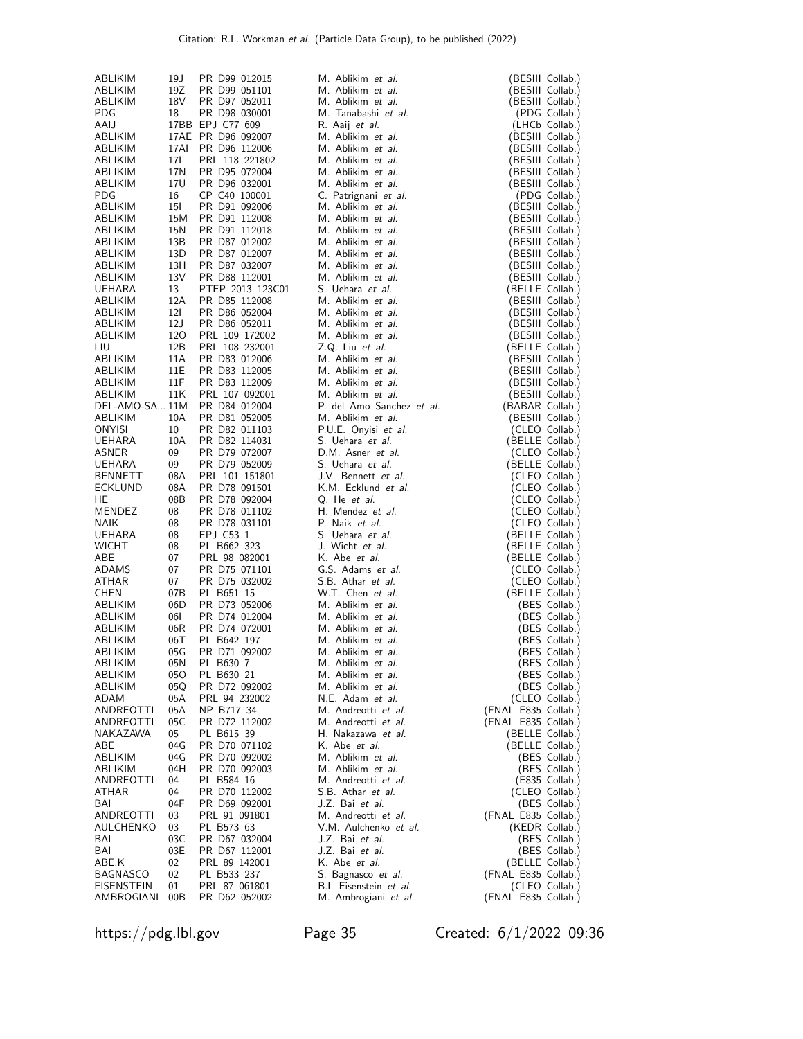| ABLIKIM                | 19 J       | PR D99 012015                    | M. Ablikim et al.                         | (BESIII Collab.)                     |
|------------------------|------------|----------------------------------|-------------------------------------------|--------------------------------------|
| ABLIKIM                | 19Z        | PR D99 051101                    | M. Ablikim et al.                         | (BESIII Collab.)                     |
| ABLIKIM<br><b>PDG</b>  | 18V<br>18  | PR D97 052011<br>PR D98 030001   | M. Ablikim et al.<br>M. Tanabashi et al.  | (BESIII Collab.)<br>(PDG Collab.)    |
| AAIJ                   |            | 17BB EPJ C77 609                 | R. Aaij et al.                            | (LHCb Collab.)                       |
| ABLIKIM                |            | 17AE PR D96 092007               | M. Ablikim et al.                         | (BESIII Collab.)                     |
| ABLIKIM                |            | 17AI PR D96 112006               | M. Ablikim et al.                         | (BESIII Collab.)                     |
| ABLIKIM                | 17I        | PRL 118 221802                   | M. Ablikim et al.                         | BESIII Collab.)                      |
| ABLIKIM<br>ABLIKIM     | 17N<br>17U | PR D95 072004<br>PR D96 032001   | M. Ablikim et al.<br>M. Ablikim et al.    | (BESIII Collab.)<br>(BESIII Collab.) |
| <b>PDG</b>             | 16         | CP C40 100001                    | C. Patrignani et al.                      | (PDG Collab.)                        |
| ABLIKIM                | 15I        | PR D91 092006                    | M. Ablikim et al.                         | (BESIII Collab.)                     |
| ABLIKIM                | 15M        | PR D91 112008                    | M. Ablikim et al.                         | (BESIII Collab.)                     |
| ABLIKIM                | 15N        | PR D91 112018                    | M. Ablikim et al.                         | (BESIII Collab.)                     |
| ABLIKIM                | 13B        | PR D87 012002                    | M. Ablikim et al.<br>M. Ablikim et al.    | (BESIII Collab.)                     |
| ABLIKIM<br>ABLIKIM     | 13D<br>13H | PR D87 012007<br>PR D87 032007   | M. Ablikim et al.                         | (BESIII Collab.)<br>(BESIII Collab.) |
| ABLIKIM                | 13V        | PR D88 112001                    | M. Ablikim et al.                         | (BESIII Collab.)                     |
| <b>UEHARA</b>          | 13         | PTEP 2013 123C01                 | S. Uehara et al.                          | (BELLE Collab.)                      |
| ABLIKIM                | 12A        | PR D85 112008                    | M. Ablikim et al.                         | (BESIII Collab.)                     |
| ABLIKIM                | 12I        | PR D86 052004                    | M. Ablikim et al.                         | (BESIII Collab.)                     |
| ABLIKIM                | 12J        | PR D86 052011                    | M. Ablikim et al.                         | (BESIII Collab.)                     |
| ABLIKIM<br>LIU         | 120<br>12B | PRL 109 172002<br>PRL 108 232001 | M. Ablikim et al.<br>Z.Q. Liu et al.      | (BESIII Collab.)<br>(BELLE Collab.)  |
| ABLIKIM                | 11A        | PR D83 012006                    | M. Ablikim et al.                         | (BESIII Collab.)                     |
| ABLIKIM                | 11E        | PR D83 112005                    | M. Ablikim et al.                         | (BESIII Collab.)                     |
| ABLIKIM                | 11F        | PR D83 112009                    | M. Ablikim et al.                         | (BESIII Collab.)                     |
| ABLIKIM                | 11K        | PRL 107 092001                   | M. Ablikim et al.                         | (BESIII Collab.)                     |
| DEL-AMO-SA 11M         |            | PR D84 012004                    | P. del Amo Sanchez et al.                 | (BABAR Collab.)                      |
| ABLIKIM<br>ONYISI      | 10A<br>10  | PR D81 052005<br>PR D82 011103   | M. Ablikim et al.<br>P.U.E. Onyisi et al. | (BESIII Collab.)                     |
| UEHARA                 | 10A        | PR D82 114031                    | S. Uehara et al.                          | (CLEO Collab.)<br>(BELLE Collab.)    |
| ASNER                  | 09         | PR D79 072007                    | D.M. Asner et al.                         | (CLEO Collab.)                       |
| UEHARA                 | 09         | PR D79 052009                    | S. Uehara et al.                          | (BELLE Collab.)                      |
| <b>BENNETT</b>         | 08A        | PRL 101 151801                   | J.V. Bennett et al.                       | (CLEO Collab.)                       |
| ECKLUND                | 08A        | PR D78 091501                    | K.M. Ecklund et al.                       | (CLEO Collab.)                       |
| HE                     | 08B        | PR D78 092004                    | Q. He et al.                              | (CLEO Collab.)                       |
| MENDEZ<br>NAIK         | 08<br>08   | PR D78 011102<br>PR D78 031101   | H. Mendez <i>et al.</i><br>P. Naik et al. | (CLEO Collab.)<br>(CLEO Collab.)     |
| UEHARA                 | 08         | EPJ C53 1                        | S. Uehara et al.                          | (BELLE Collab.)                      |
| <b>WICHT</b>           | 08         | PL B662 323                      | J. Wicht et al.                           | (BELLE Collab.)                      |
| ABE                    | 07         | PRL 98 082001                    | K. Abe et al.                             | (BELLE Collab.)                      |
| ADAMS                  | 07         | PR D75 071101                    | G.S. Adams et al.                         | (CLEO Collab.)                       |
| ATHAR                  | 07         | PR D75 032002                    | S.B. Athar et al.<br>W.T. Chen et al.     | (CLEO Collab.)                       |
| <b>CHEN</b><br>ABLIKIM | 07B<br>06D | PL B651 15<br>PR D73 052006      | M. Ablikim et al.                         | (BELLE Collab.)<br>(BES Collab.)     |
| ABLIKIM                | 06I        | PR D74 012004                    | M. Ablikim et al.                         | (BES Collab.)                        |
| ABLIKIM                | 06R        | PR D74 072001                    | M. Ablikim et al.                         | (BES Collab.)                        |
| ABLIKIM                | 06T        | PL B642 197                      | M. Ablikim et al.                         | (BES Collab.)                        |
| ABLIKIM                | 05G        | PR D71 092002                    | M. Ablikim et al.                         | (BES Collab.)                        |
| ABLIKIM                | 05N        | PL B630 7                        | M. Ablikim <i>et al.</i>                  | (BES Collab.)                        |
| ABLIKIM<br>ABLIKIM     | 05O<br>05Q | PL B630 21<br>PR D72 092002      | M. Ablikim et al.<br>M. Ablikim et al.    | (BES Collab.)<br>(BES Collab.)       |
| ADAM                   | 05A        | PRL 94 232002                    | N.E. Adam et al.                          | (CLEO Collab.)                       |
| ANDREOTTI              | 05A        | NP B717 34                       | M. Andreotti et al.                       | (FNAL E835 Collab.)                  |
| ANDREOTTI              | 05C        | PR D72 112002                    | M. Andreotti et al.                       | (FNAL E835 Collab.)                  |
| NAKAZAWA               | 05         | PL B615 39                       | H. Nakazawa et al.                        | (BELLE Collab.)                      |
| ABE<br>ABLIKIM         | 04G<br>04G | PR D70 071102<br>PR D70 092002   | K. Abe <i>et al.</i><br>M. Ablikim et al. | (BELLE Collab.)                      |
| ABLIKIM                | 04H        | PR D70 092003                    | M. Ablikim et al.                         | (BES Collab.)<br>(BES Collab.)       |
| ANDREOTTI              | 04         | PL B584 16                       | M. Andreotti et al.                       | (E835 Collab.)                       |
| ATHAR                  | 04         | PR D70 112002                    | S.B. Athar et al.                         | (CLEO Collab.)                       |
| BAI                    | 04F        | PR D69 092001                    | J.Z. Bai et al.                           | (BES Collab.)                        |
| ANDREOTTI              | 03         | PRL 91 091801                    | M. Andreotti et al.                       | (FNAL E835 Collab.)                  |
| AULCHENKO              | 03         | PL B573 63                       | V.M. Aulchenko et al.<br>J.Z. Bai et al.  | (KEDR Collab.)                       |
| BAI<br>BAI             | 03C<br>03E | PR D67 032004<br>PR D67 112001   | J.Z. Bai et al.                           | (BES Collab.)<br>(BES Collab.)       |
| ABE,K                  | 02         | PRL 89 142001                    | K. Abe <i>et al.</i>                      | (BELLE Collab.)                      |
| BAGNASCO               | 02         | PL B533 237                      | S. Bagnasco et al.                        | (FNAL E835 Collab.)                  |
| EISENSTEIN             | 01         | PRL 87 061801                    | B.I. Eisenstein et al.                    | (CLEO Collab.)                       |
| AMBROGIANI             | 00B        | PR D62 052002                    | M. Ambrogiani et al.                      | (FNAL E835 Collab.)                  |

https://pdg.lbl.gov Page 35 Created: 6/1/2022 09:36